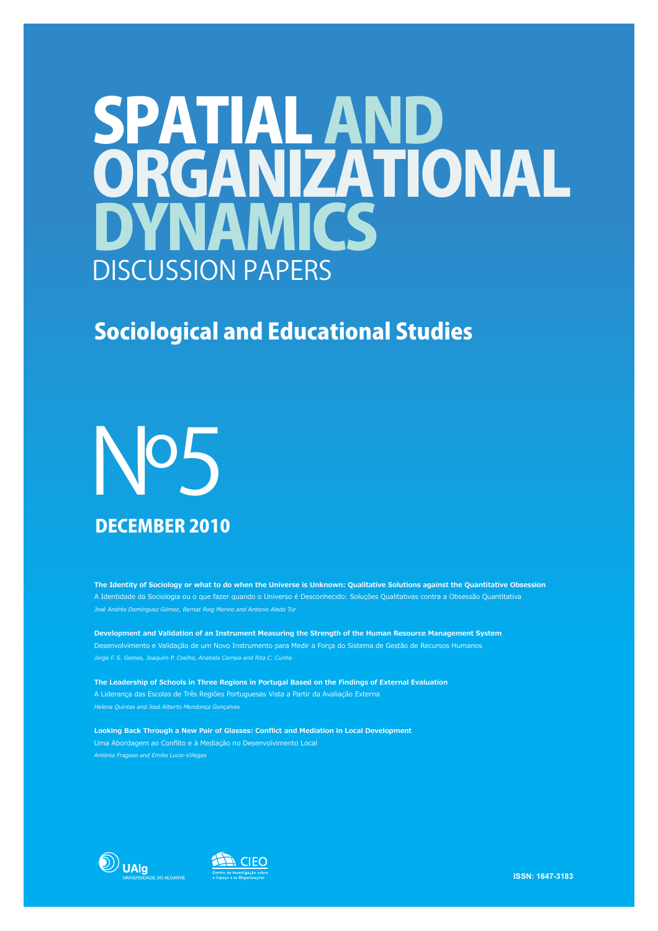## SPATIAL AND YNAMICS ORGANIZATIONAL DISCUSSION PAPERS

## Sociological and Educational Studies

# Nº5 DECEMBER 2010

**The Identity of Sociology or what to do when the Universe is Unknown: Qualitative Solutions against the Quantitative Obsession** A Identidade da Sociologia ou o que fazer quando o Universo é Desconhecido: Soluções Qualitativas contra a Obsessão Quantitativa *José Andrés Domínguez Gómez, Bernat Roig Merino and Antonio Aledo Tur*

**Development and Validation of an Instrument Measuring the Strength of the Human Resource Management System** Desenvolvimento e Validação de um Novo Instrumento para Medir a Força do Sistema de Gestão de Recursos Humanos *Jorge F. S. Gomes, Joaquim P. Coelho, Anabela Correia and Rita C. Cunha*

**The Leadership of Schools in Three Regions in Portugal Based on the Findings of External Evaluation**  A Liderança das Escolas de Três Regiões Portuguesas Vista a Partir da Avaliação Externa *Helena Quintas and José Alberto Mendonça Gonçalves* 

**Looking Back Through a New Pair of Glasses: Conflict and Mediation in Local Development** Uma Abordagem ao Conflito e à Mediação no Desenvolvimento Local *António Fragoso and Emilio Lucio-Villegas*





**ISSN: 1647-3183**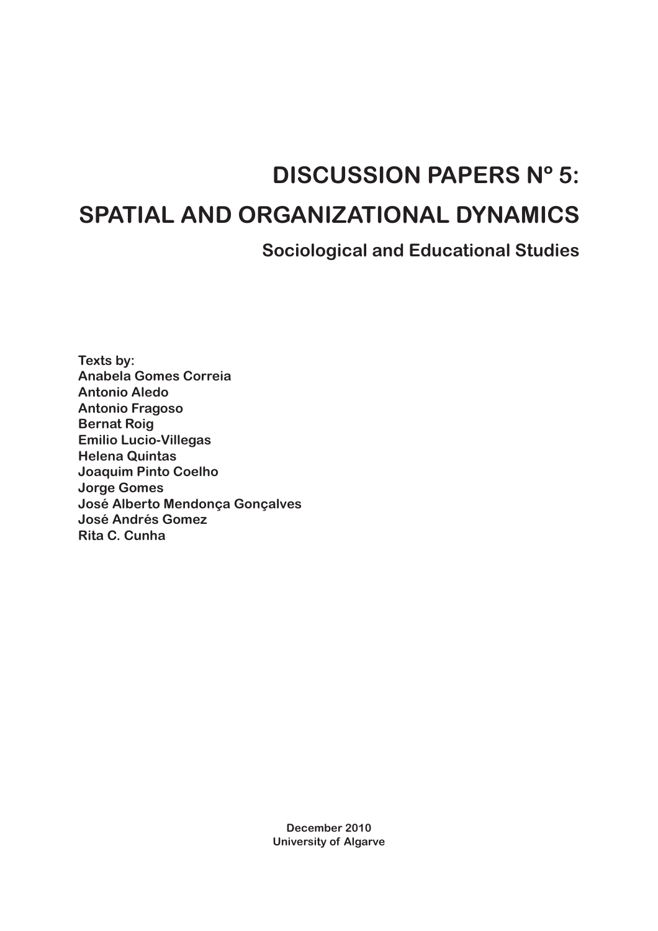## **DISCUSSION PAPERS Nº 5:**

## **SPATIAL AND ORGANIZATIONAL DYNAMICS**

**Sociological and Educational Studies**

**Texts by: Anabela Gomes Correia Antonio Aledo Antonio Fragoso Bernat Roig Emilio Lucio-Villegas Helena Quintas Joaquim Pinto Coelho Jorge Gomes José Alberto Mendonça Gonçalves José Andrés Gomez Rita C. Cunha**

> **December 2010 University of Algarve**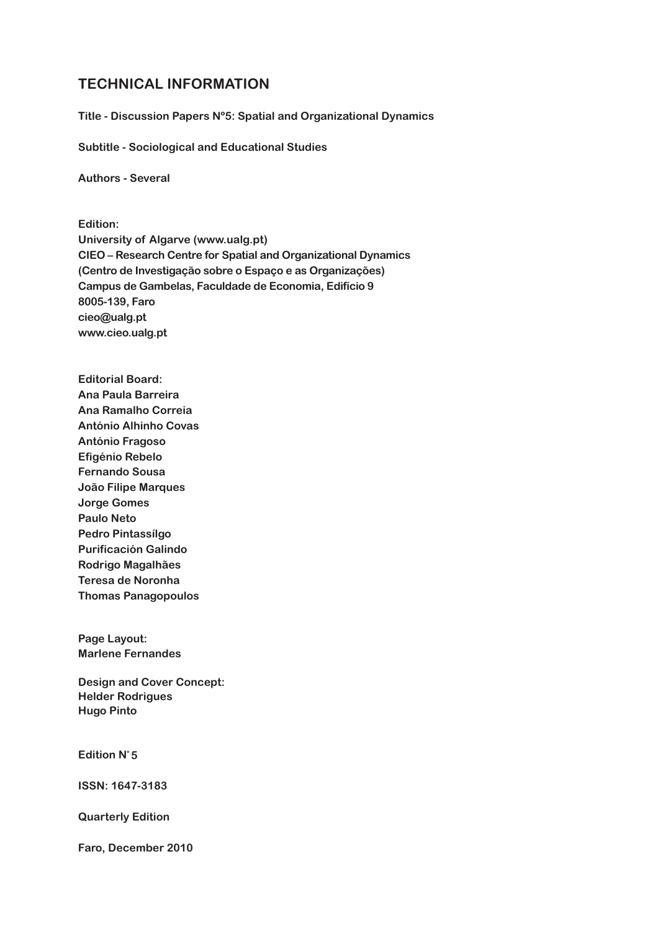#### **TECHNICAL INFORMATION**

**Title - Discussion Papers Nº5: Spatial and Organizational Dynamics**

**Subtitle - Sociological and Educational Studies**

**Authors - Several**

**Edition: University of Algarve (www.ualg.pt) CIEO – Research Centre for Spatial and Organizational Dynamics (Centro de Investigação sobre o Espaço e as Organizações) Campus de Gambelas, Faculdade de Economia, Edifício 9 8005-139, Faro cieo@ualg.pt www.cieo.ualg.pt**

**Editorial Board: Ana Paula Barreira Ana Ramalho Correia António Alhinho Covas António Fragoso Efigénio Rebelo Fernando Sousa João Filipe Marques Jorge Gomes Paulo Neto Pedro Pintassílgo Purificación Galindo Rodrigo Magalhães Teresa de Noronha Thomas Panagopoulos**

**Page Layout: Marlene Fernandes**

**Design and Cover Concept: Helder Rodrigues Hugo Pinto**

**Edition Nº 5**

**ISSN: 1647-3183**

**Quarterly Edition**

**Faro, December 2010**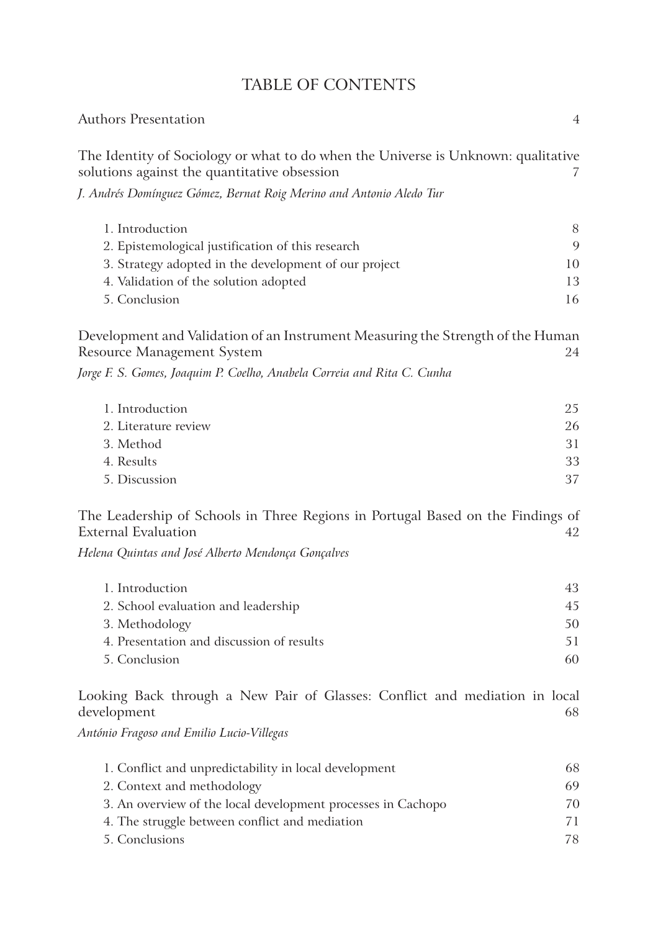|  |  | <b>TABLE OF CONTENTS</b> |
|--|--|--------------------------|
|--|--|--------------------------|

| <b>Authors Presentation</b>                                                                                                       | $\overline{4}$ |
|-----------------------------------------------------------------------------------------------------------------------------------|----------------|
| The Identity of Sociology or what to do when the Universe is Unknown: qualitative<br>solutions against the quantitative obsession | 7              |
| J. Andrés Domínguez Gómez, Bernat Roig Merino and Antonio Aledo Tur                                                               |                |
| 1. Introduction                                                                                                                   | 8              |
| 2. Epistemological justification of this research                                                                                 | 9              |
| 3. Strategy adopted in the development of our project                                                                             | 10             |
| 4. Validation of the solution adopted                                                                                             | 13             |
| 5. Conclusion                                                                                                                     | 16             |
| Development and Validation of an Instrument Measuring the Strength of the Human<br><b>Resource Management System</b>              | 24             |
| Jorge F. S. Gomes, Joaquim P. Coelho, Anabela Correia and Rita C. Cunha                                                           |                |
| 1. Introduction                                                                                                                   | 25             |
| 2. Literature review                                                                                                              | 26             |
| 3. Method                                                                                                                         | 31             |
| 4. Results                                                                                                                        | 33             |
| 5. Discussion                                                                                                                     | 37             |
| The Leadership of Schools in Three Regions in Portugal Based on the Findings of<br><b>External Evaluation</b>                     | 42             |
| Helena Quintas and José Alberto Mendonça Gonçalves                                                                                |                |
| 1. Introduction                                                                                                                   | 43             |
| 2. School evaluation and leadership                                                                                               | 45             |
| 3. Methodology                                                                                                                    | 50             |
| 4. Presentation and discussion of results                                                                                         | 51             |
| 5. Conclusion                                                                                                                     | 60             |
| Looking Back through a New Pair of Glasses: Conflict and mediation in local<br>development                                        | 68             |
| António Fragoso and Emilio Lucio-Villegas                                                                                         |                |
| 1. Conflict and unpredictability in local development                                                                             | 68             |
| 2. Context and methodology                                                                                                        | 69             |
| 3. An overview of the local development processes in Cachopo                                                                      | 70             |
| 4. The struggle between conflict and mediation                                                                                    | 71             |
| 5. Conclusions                                                                                                                    | 78             |
|                                                                                                                                   |                |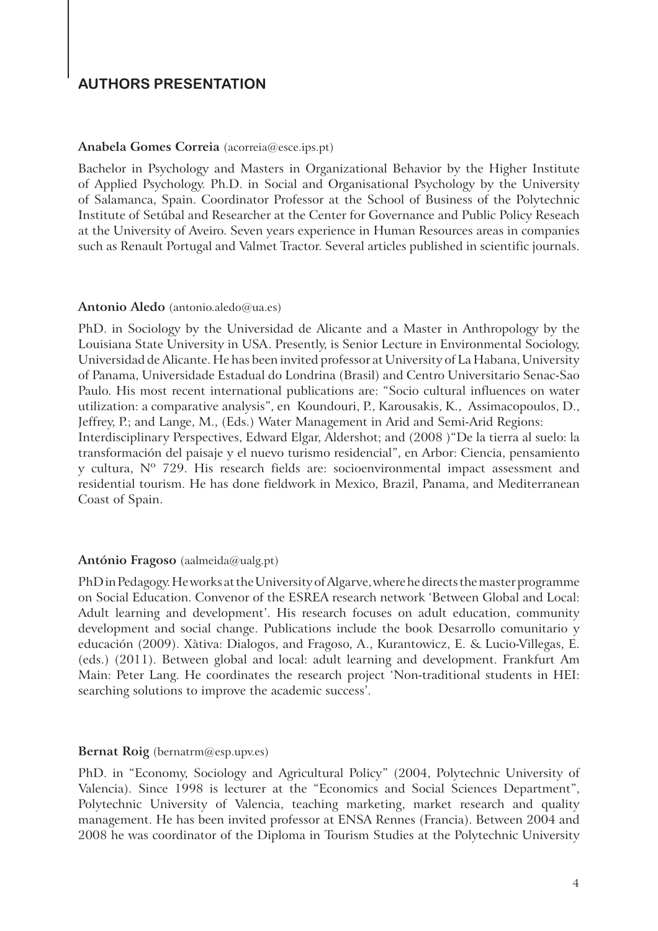#### **AUTHORS PRESENTATION**

#### **Anabela Gomes Correia** (acorreia@esce.ips.pt)

Bachelor in Psychology and Masters in Organizational Behavior by the Higher Institute of Applied Psychology. Ph.D. in Social and Organisational Psychology by the University of Salamanca, Spain. Coordinator Professor at the School of Business of the Polytechnic Institute of Setúbal and Researcher at the Center for Governance and Public Policy Reseach at the University of Aveiro. Seven years experience in Human Resources areas in companies such as Renault Portugal and Valmet Tractor. Several articles published in scientific journals.

#### **Antonio Aledo** (antonio.aledo@ua.es)

PhD. in Sociology by the Universidad de Alicante and a Master in Anthropology by the Louisiana State University in USA. Presently, is Senior Lecture in Environmental Sociology, Universidad de Alicante. He has been invited professor at University of La Habana, University of Panama, Universidade Estadual do Londrina (Brasil) and Centro Universitario Senac-Sao Paulo. His most recent international publications are: "Socio cultural influences on water utilization: a comparative analysis", en Koundouri, P., Karousakis, K., Assimacopoulos, D., Jeffrey, P.; and Lange, M., (Eds.) Water Management in Arid and Semi-Arid Regions: Interdisciplinary Perspectives, Edward Elgar, Aldershot; and (2008 )"De la tierra al suelo: la transformación del paisaje y el nuevo turismo residencial", en Arbor: Ciencia, pensamiento y cultura, Nº 729. His research fields are: socioenvironmental impact assessment and residential tourism. He has done fieldwork in Mexico, Brazil, Panama, and Mediterranean

#### Coast of Spain.

#### **António Fragoso** (aalmeida@ualg.pt)

PhD in Pedagogy. He works at the University of Algarve, where he directs the master programme on Social Education. Convenor of the ESREA research network 'Between Global and Local: Adult learning and development'. His research focuses on adult education, community development and social change. Publications include the book Desarrollo comunitario y educación (2009). Xàtiva: Dialogos, and Fragoso, A., Kurantowicz, E. & Lucio-Villegas, E. (eds.) (2011). Between global and local: adult learning and development. Frankfurt Am Main: Peter Lang. He coordinates the research project 'Non-traditional students in HEI: searching solutions to improve the academic success'.

#### **Bernat Roig** (bernatrm@esp.upv.es)

PhD. in "Economy, Sociology and Agricultural Policy" (2004, Polytechnic University of Valencia). Since 1998 is lecturer at the "Economics and Social Sciences Department", Polytechnic University of Valencia, teaching marketing, market research and quality management. He has been invited professor at ENSA Rennes (Francia). Between 2004 and 2008 he was coordinator of the Diploma in Tourism Studies at the Polytechnic University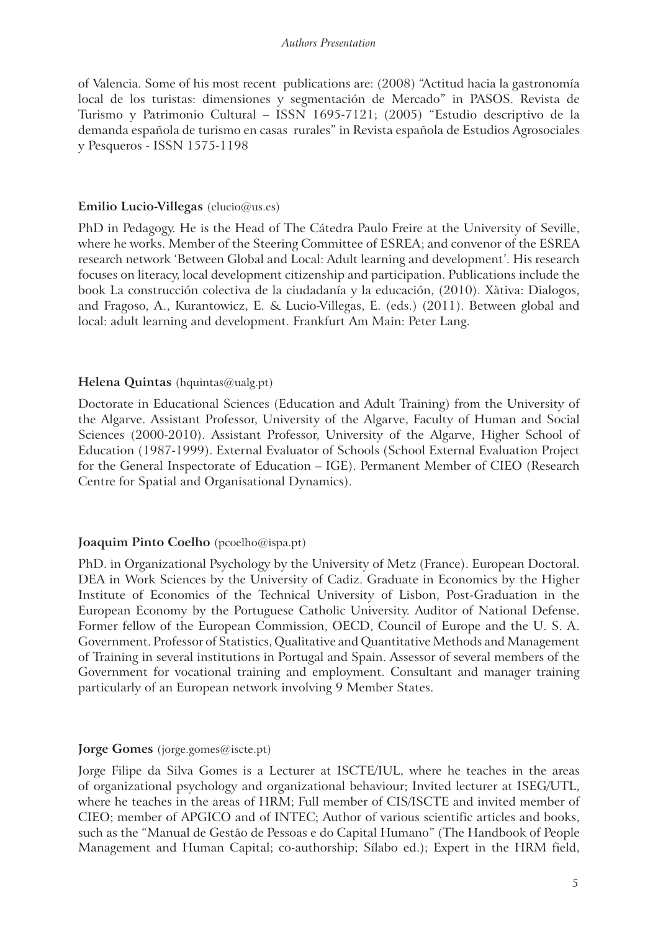#### *Authors Presentation*

of Valencia. Some of his most recent publications are: (2008) "Actitud hacia la gastronomía local de los turistas: dimensiones y segmentación de Mercado" in PASOS. Revista de Turismo y Patrimonio Cultural – ISSN 1695-7121; (2005) "Estudio descriptivo de la demanda española de turismo en casas rurales" in Revista española de Estudios Agrosociales y Pesqueros - ISSN 1575-1198

#### **Emilio Lucio-Villegas** (elucio@us.es)

PhD in Pedagogy. He is the Head of The Cátedra Paulo Freire at the University of Seville, where he works. Member of the Steering Committee of ESREA; and convenor of the ESREA research network 'Between Global and Local: Adult learning and development'. His research focuses on literacy, local development citizenship and participation. Publications include the book La construcción colectiva de la ciudadanía y la educación, (2010). Xàtiva: Dialogos, and Fragoso, A., Kurantowicz, E. & Lucio-Villegas, E. (eds.) (2011). Between global and local: adult learning and development. Frankfurt Am Main: Peter Lang.

#### **Helena Quintas** (hquintas@ualg.pt)

Doctorate in Educational Sciences (Education and Adult Training) from the University of the Algarve. Assistant Professor, University of the Algarve, Faculty of Human and Social Sciences (2000-2010). Assistant Professor, University of the Algarve, Higher School of Education (1987-1999). External Evaluator of Schools (School External Evaluation Project for the General Inspectorate of Education – IGE). Permanent Member of CIEO (Research Centre for Spatial and Organisational Dynamics).

#### **Joaquim Pinto Coelho** (pcoelho@ispa.pt)

PhD. in Organizational Psychology by the University of Metz (France). European Doctoral. DEA in Work Sciences by the University of Cadiz. Graduate in Economics by the Higher Institute of Economics of the Technical University of Lisbon, Post-Graduation in the European Economy by the Portuguese Catholic University. Auditor of National Defense. Former fellow of the European Commission, OECD, Council of Europe and the U. S. A. Government. Professor of Statistics, Qualitative and Quantitative Methods and Management of Training in several institutions in Portugal and Spain. Assessor of several members of the Government for vocational training and employment. Consultant and manager training particularly of an European network involving 9 Member States.

#### **Jorge Gomes** (jorge.gomes@iscte.pt)

Jorge Filipe da Silva Gomes is a Lecturer at ISCTE/IUL, where he teaches in the areas of organizational psychology and organizational behaviour; Invited lecturer at ISEG/UTL, where he teaches in the areas of HRM; Full member of CIS/ISCTE and invited member of CIEO; member of APGICO and of INTEC; Author of various scientific articles and books, such as the "Manual de Gestão de Pessoas e do Capital Humano" (The Handbook of People Management and Human Capital; co-authorship; Sílabo ed.); Expert in the HRM field,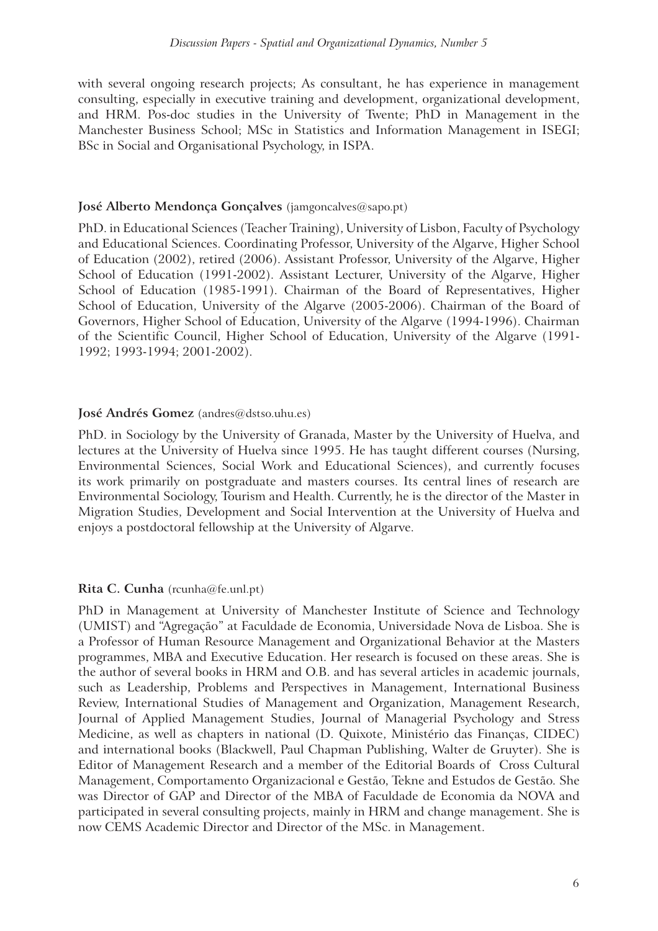with several ongoing research projects; As consultant, he has experience in management consulting, especially in executive training and development, organizational development, and HRM. Pos-doc studies in the University of Twente; PhD in Management in the Manchester Business School; MSc in Statistics and Information Management in ISEGI; BSc in Social and Organisational Psychology, in ISPA.

#### **José Alberto Mendonça Gonçalves** (jamgoncalves@sapo.pt)

PhD. in Educational Sciences (Teacher Training), University of Lisbon, Faculty of Psychology and Educational Sciences. Coordinating Professor, University of the Algarve, Higher School of Education (2002), retired (2006). Assistant Professor, University of the Algarve, Higher School of Education (1991-2002). Assistant Lecturer, University of the Algarve, Higher School of Education (1985-1991). Chairman of the Board of Representatives, Higher School of Education, University of the Algarve (2005-2006). Chairman of the Board of Governors, Higher School of Education, University of the Algarve (1994-1996). Chairman of the Scientific Council, Higher School of Education, University of the Algarve (1991- 1992; 1993-1994; 2001-2002).

#### **José Andrés Gomez** (andres@dstso.uhu.es)

PhD. in Sociology by the University of Granada, Master by the University of Huelva, and lectures at the University of Huelva since 1995. He has taught different courses (Nursing, Environmental Sciences, Social Work and Educational Sciences), and currently focuses its work primarily on postgraduate and masters courses. Its central lines of research are Environmental Sociology, Tourism and Health. Currently, he is the director of the Master in Migration Studies, Development and Social Intervention at the University of Huelva and enjoys a postdoctoral fellowship at the University of Algarve.

#### **Rita C. Cunha** (rcunha@fe.unl.pt)

PhD in Management at University of Manchester Institute of Science and Technology (UMIST) and "Agregação" at Faculdade de Economia, Universidade Nova de Lisboa. She is a Professor of Human Resource Management and Organizational Behavior at the Masters programmes, MBA and Executive Education. Her research is focused on these areas. She is the author of several books in HRM and O.B. and has several articles in academic journals, such as Leadership, Problems and Perspectives in Management, International Business Review, International Studies of Management and Organization, Management Research, Journal of Applied Management Studies, Journal of Managerial Psychology and Stress Medicine, as well as chapters in national (D. Quixote, Ministério das Finanças, CIDEC) and international books (Blackwell, Paul Chapman Publishing, Walter de Gruyter). She is Editor of Management Research and a member of the Editorial Boards of Cross Cultural Management, Comportamento Organizacional e Gestão, Tekne and Estudos de Gestão. She was Director of GAP and Director of the MBA of Faculdade de Economia da NOVA and participated in several consulting projects, mainly in HRM and change management. She is now CEMS Academic Director and Director of the MSc. in Management.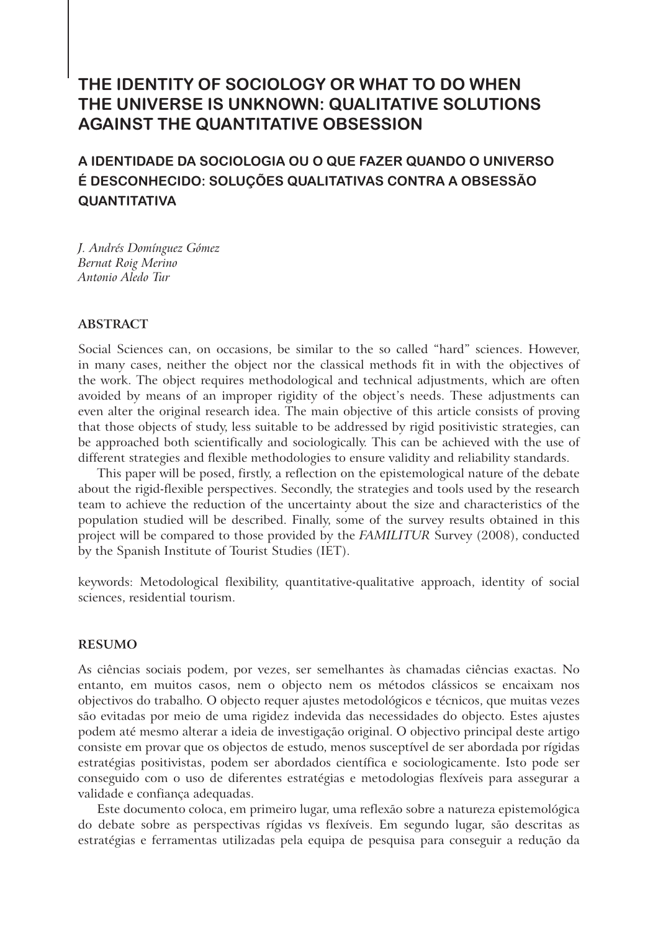#### **THE IDENTITY OF SOCIOLOGY OR WHAT TO DO WHEN THE UNIVERSE IS UNKNOWN: QUALITATIVE SOLUTIONS AGAINST THE QUANTITATIVE OBSESSION**

#### **A IDENTIDADE DA SOCIOLOGIA OU O QUE FAZER QUANDO O UNIVERSO É DESCONHECIDO: SOLUÇÕES QUALITATIVAS CONTRA A OBSESSÃO QUANTITATIVA**

*J. Andrés Domínguez Gómez Bernat Roig Merino Antonio Aledo Tur*

#### **ABSTRACT**

Social Sciences can, on occasions, be similar to the so called "hard" sciences. However, in many cases, neither the object nor the classical methods fit in with the objectives of the work. The object requires methodological and technical adjustments, which are often avoided by means of an improper rigidity of the object's needs. These adjustments can even alter the original research idea. The main objective of this article consists of proving that those objects of study, less suitable to be addressed by rigid positivistic strategies, can be approached both scientifically and sociologically. This can be achieved with the use of different strategies and flexible methodologies to ensure validity and reliability standards.

This paper will be posed, firstly, a reflection on the epistemological nature of the debate about the rigid-flexible perspectives. Secondly, the strategies and tools used by the research team to achieve the reduction of the uncertainty about the size and characteristics of the population studied will be described. Finally, some of the survey results obtained in this project will be compared to those provided by the *FAMILITUR* Survey (2008), conducted by the Spanish Institute of Tourist Studies (IET).

keywords: Metodological flexibility, quantitative-qualitative approach, identity of social sciences, residential tourism.

#### **RESUMO**

As ciências sociais podem, por vezes, ser semelhantes às chamadas ciências exactas. No entanto, em muitos casos, nem o objecto nem os métodos clássicos se encaixam nos objectivos do trabalho. O objecto requer ajustes metodológicos e técnicos, que muitas vezes são evitadas por meio de uma rigidez indevida das necessidades do objecto. Estes ajustes podem até mesmo alterar a ideia de investigação original. O objectivo principal deste artigo consiste em provar que os objectos de estudo, menos susceptível de ser abordada por rígidas estratégias positivistas, podem ser abordados científica e sociologicamente. Isto pode ser conseguido com o uso de diferentes estratégias e metodologias flexíveis para assegurar a validade e confiança adequadas.

Este documento coloca, em primeiro lugar, uma reflexão sobre a natureza epistemológica do debate sobre as perspectivas rígidas vs flexíveis. Em segundo lugar, são descritas as estratégias e ferramentas utilizadas pela equipa de pesquisa para conseguir a redução da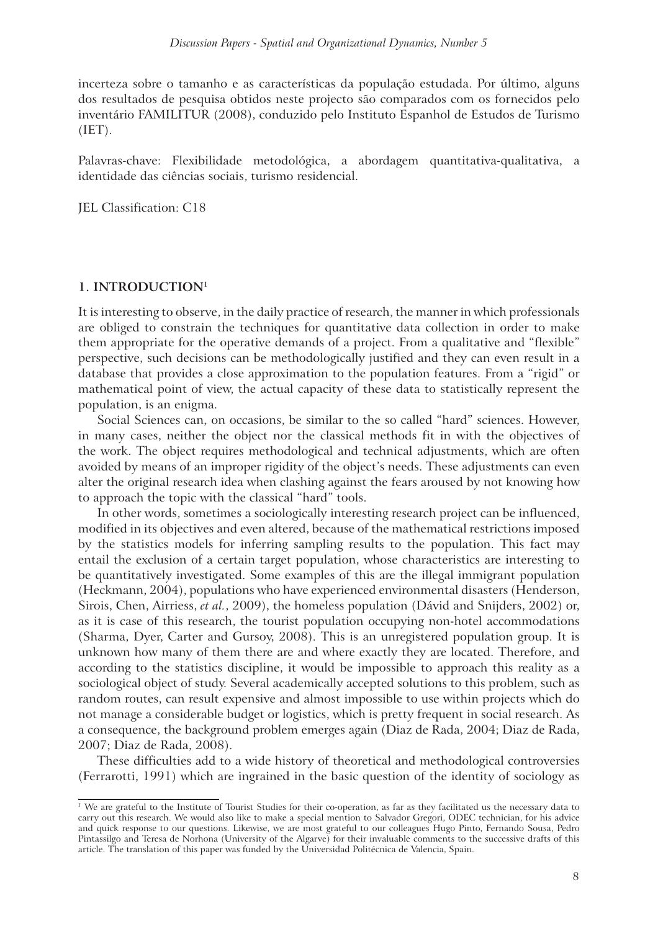incerteza sobre o tamanho e as características da população estudada. Por último, alguns dos resultados de pesquisa obtidos neste projecto são comparados com os fornecidos pelo inventário FAMILITUR (2008), conduzido pelo Instituto Espanhol de Estudos de Turismo (IET).

Palavras-chave: Flexibilidade metodológica, a abordagem quantitativa-qualitativa, a identidade das ciências sociais, turismo residencial.

JEL Classification: C18

#### **1. INTRODUCTION<sup>1</sup>**

It is interesting to observe, in the daily practice of research, the manner in which professionals are obliged to constrain the techniques for quantitative data collection in order to make them appropriate for the operative demands of a project. From a qualitative and "flexible" perspective, such decisions can be methodologically justified and they can even result in a database that provides a close approximation to the population features. From a "rigid" or mathematical point of view, the actual capacity of these data to statistically represent the population, is an enigma.

Social Sciences can, on occasions, be similar to the so called "hard" sciences. However, in many cases, neither the object nor the classical methods fit in with the objectives of the work. The object requires methodological and technical adjustments, which are often avoided by means of an improper rigidity of the object's needs. These adjustments can even alter the original research idea when clashing against the fears aroused by not knowing how to approach the topic with the classical "hard" tools.

In other words, sometimes a sociologically interesting research project can be influenced, modified in its objectives and even altered, because of the mathematical restrictions imposed by the statistics models for inferring sampling results to the population. This fact may entail the exclusion of a certain target population, whose characteristics are interesting to be quantitatively investigated. Some examples of this are the illegal immigrant population (Heckmann, 2004), populations who have experienced environmental disasters (Henderson, Sirois, Chen, Airriess, *et al.*, 2009), the homeless population (Dávid and Snijders, 2002) or, as it is case of this research, the tourist population occupying non-hotel accommodations (Sharma, Dyer, Carter and Gursoy, 2008). This is an unregistered population group. It is unknown how many of them there are and where exactly they are located. Therefore, and according to the statistics discipline, it would be impossible to approach this reality as a sociological object of study. Several academically accepted solutions to this problem, such as random routes, can result expensive and almost impossible to use within projects which do not manage a considerable budget or logistics, which is pretty frequent in social research. As a consequence, the background problem emerges again (Diaz de Rada, 2004; Diaz de Rada, 2007; Diaz de Rada, 2008).

These difficulties add to a wide history of theoretical and methodological controversies (Ferrarotti, 1991) which are ingrained in the basic question of the identity of sociology as

<sup>&</sup>lt;sup>1</sup> We are grateful to the Institute of Tourist Studies for their co-operation, as far as they facilitated us the necessary data to carry out this research. We would also like to make a special mention to Salvador Gregori, ODEC technician, for his advice and quick response to our questions. Likewise, we are most grateful to our colleagues Hugo Pinto, Fernando Sousa, Pedro Pintassilgo and Teresa de Norhona (University of the Algarve) for their invaluable comments to the successive drafts of this article. The translation of this paper was funded by the Universidad Politécnica de Valencia, Spain.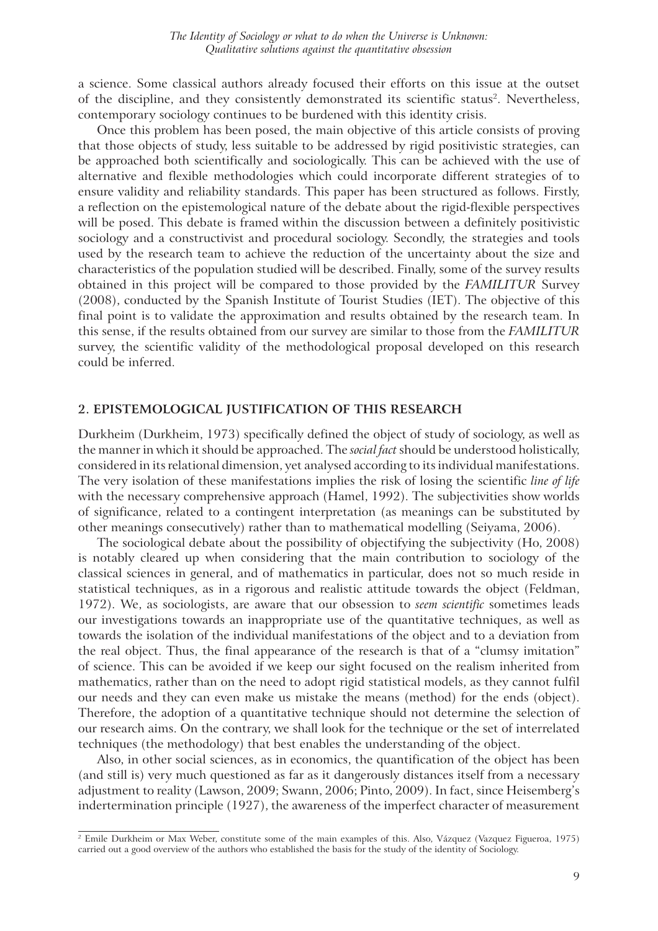a science. Some classical authors already focused their efforts on this issue at the outset of the discipline, and they consistently demonstrated its scientific status<sup>2</sup>. Nevertheless, contemporary sociology continues to be burdened with this identity crisis.

Once this problem has been posed, the main objective of this article consists of proving that those objects of study, less suitable to be addressed by rigid positivistic strategies, can be approached both scientifically and sociologically. This can be achieved with the use of alternative and flexible methodologies which could incorporate different strategies of to ensure validity and reliability standards. This paper has been structured as follows. Firstly, a reflection on the epistemological nature of the debate about the rigid-flexible perspectives will be posed. This debate is framed within the discussion between a definitely positivistic sociology and a constructivist and procedural sociology. Secondly, the strategies and tools used by the research team to achieve the reduction of the uncertainty about the size and characteristics of the population studied will be described. Finally, some of the survey results obtained in this project will be compared to those provided by the *FAMILITUR* Survey (2008), conducted by the Spanish Institute of Tourist Studies (IET). The objective of this final point is to validate the approximation and results obtained by the research team. In this sense, if the results obtained from our survey are similar to those from the *FAMILITUR*  survey, the scientific validity of the methodological proposal developed on this research could be inferred.

#### **2. EPISTEMOLOGICAL JUSTIFICATION OF THIS RESEARCH**

Durkheim (Durkheim, 1973) specifically defined the object of study of sociology, as well as the manner in which it should be approached. The *social fact* should be understood holistically, considered in its relational dimension, yet analysed according to its individual manifestations. The very isolation of these manifestations implies the risk of losing the scientific *line of life* with the necessary comprehensive approach (Hamel, 1992). The subjectivities show worlds of significance, related to a contingent interpretation (as meanings can be substituted by other meanings consecutively) rather than to mathematical modelling (Seiyama, 2006).

The sociological debate about the possibility of objectifying the subjectivity (Ho, 2008) is notably cleared up when considering that the main contribution to sociology of the classical sciences in general, and of mathematics in particular, does not so much reside in statistical techniques, as in a rigorous and realistic attitude towards the object (Feldman, 1972). We, as sociologists, are aware that our obsession to *seem scientific* sometimes leads our investigations towards an inappropriate use of the quantitative techniques, as well as towards the isolation of the individual manifestations of the object and to a deviation from the real object. Thus, the final appearance of the research is that of a "clumsy imitation" of science. This can be avoided if we keep our sight focused on the realism inherited from mathematics, rather than on the need to adopt rigid statistical models, as they cannot fulfil our needs and they can even make us mistake the means (method) for the ends (object). Therefore, the adoption of a quantitative technique should not determine the selection of our research aims. On the contrary, we shall look for the technique or the set of interrelated techniques (the methodology) that best enables the understanding of the object.

Also, in other social sciences, as in economics, the quantification of the object has been (and still is) very much questioned as far as it dangerously distances itself from a necessary adjustment to reality (Lawson, 2009; Swann, 2006; Pinto, 2009). In fact, since Heisemberg's indertermination principle (1927), the awareness of the imperfect character of measurement

*<sup>2</sup>* Emile Durkheim or Max Weber, constitute some of the main examples of this. Also, Vázquez (Vazquez Figueroa, 1975) carried out a good overview of the authors who established the basis for the study of the identity of Sociology.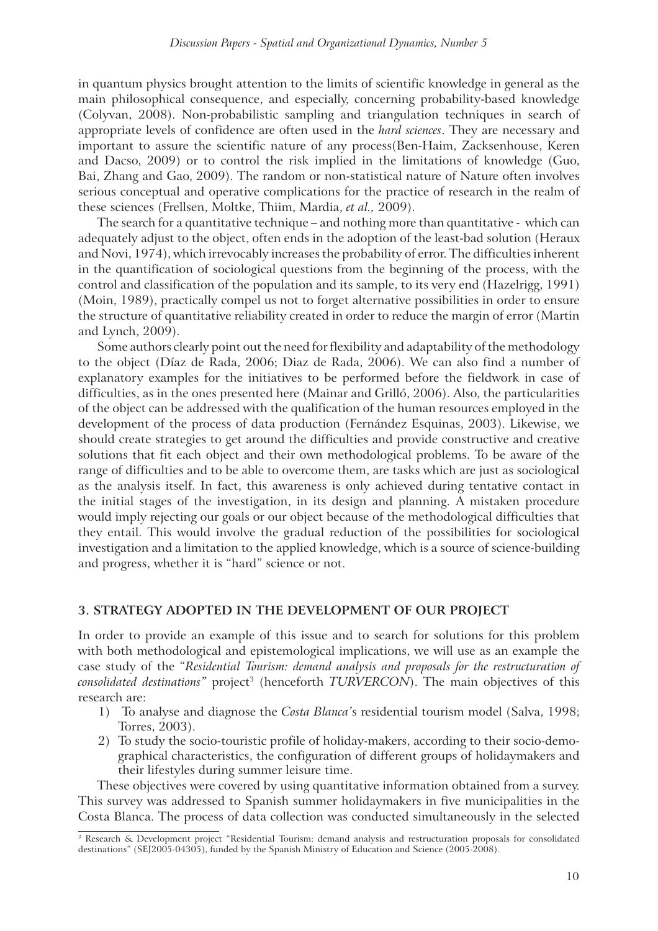in quantum physics brought attention to the limits of scientific knowledge in general as the main philosophical consequence, and especially, concerning probability-based knowledge (Colyvan, 2008). Non-probabilistic sampling and triangulation techniques in search of appropriate levels of confidence are often used in the *hard sciences*. They are necessary and important to assure the scientific nature of any process(Ben-Haim, Zacksenhouse, Keren and Dacso, 2009) or to control the risk implied in the limitations of knowledge (Guo, Bai, Zhang and Gao, 2009). The random or non-statistical nature of Nature often involves serious conceptual and operative complications for the practice of research in the realm of these sciences (Frellsen, Moltke, Thiim, Mardia, *et al.,* 2009).

The search for a quantitative technique – and nothing more than quantitative - which can adequately adjust to the object, often ends in the adoption of the least-bad solution (Heraux and Novi, 1974), which irrevocably increases the probability of error. The difficulties inherent in the quantification of sociological questions from the beginning of the process, with the control and classification of the population and its sample, to its very end (Hazelrigg, 1991) (Moin, 1989), practically compel us not to forget alternative possibilities in order to ensure the structure of quantitative reliability created in order to reduce the margin of error (Martin and Lynch, 2009).

Some authors clearly point out the need for flexibility and adaptability of the methodology to the object (Díaz de Rada, 2006; Diaz de Rada, 2006). We can also find a number of explanatory examples for the initiatives to be performed before the fieldwork in case of difficulties, as in the ones presented here (Mainar and Grilló, 2006). Also, the particularities of the object can be addressed with the qualification of the human resources employed in the development of the process of data production (Fernández Esquinas, 2003). Likewise, we should create strategies to get around the difficulties and provide constructive and creative solutions that fit each object and their own methodological problems. To be aware of the range of difficulties and to be able to overcome them, are tasks which are just as sociological as the analysis itself. In fact, this awareness is only achieved during tentative contact in the initial stages of the investigation, in its design and planning. A mistaken procedure would imply rejecting our goals or our object because of the methodological difficulties that they entail. This would involve the gradual reduction of the possibilities for sociological investigation and a limitation to the applied knowledge, which is a source of science-building and progress, whether it is "hard" science or not.

#### **3. STRATEGY ADOPTED IN THE DEVELOPMENT OF OUR PROJECT**

In order to provide an example of this issue and to search for solutions for this problem with both methodological and epistemological implications, we will use as an example the case study of the "*Residential Tourism: demand analysis and proposals for the restructuration of consolidated destinations"* project<sup>3</sup> (henceforth *TURVERCON*). The main objectives of this research are:

- 1) To analyse and diagnose the *Costa Blanca'*s residential tourism model (Salva, 1998; Torres, 2003).
- 2) To study the socio-touristic profile of holiday-makers, according to their socio-demographical characteristics, the configuration of different groups of holidaymakers and their lifestyles during summer leisure time.

These objectives were covered by using quantitative information obtained from a survey. This survey was addressed to Spanish summer holidaymakers in five municipalities in the Costa Blanca. The process of data collection was conducted simultaneously in the selected

*<sup>3</sup>* Research & Development project "Residential Tourism: demand analysis and restructuration proposals for consolidated destinations" (SEJ2005-04305), funded by the Spanish Ministry of Education and Science (2005-2008).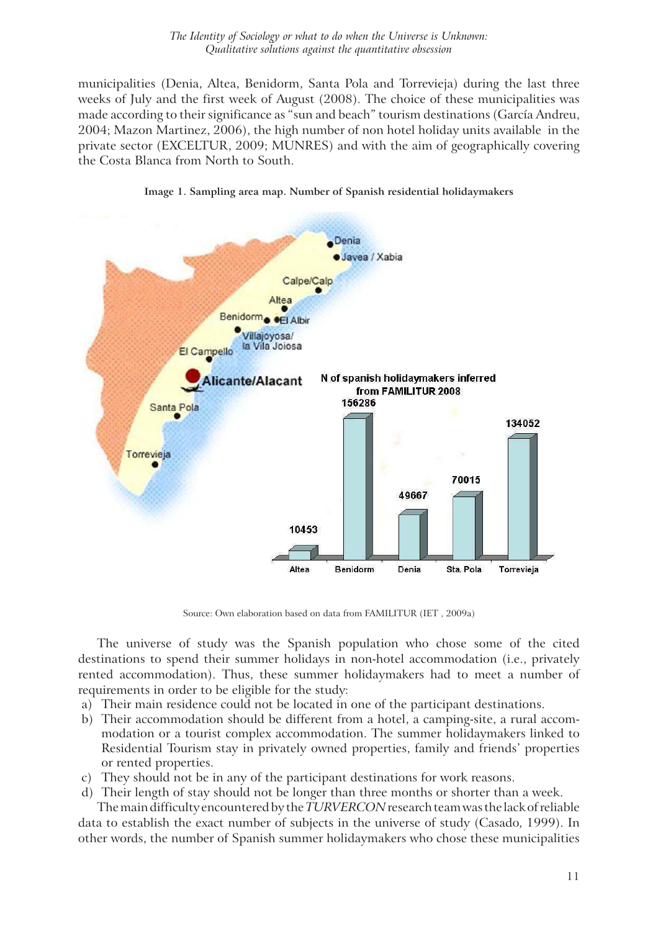#### *The Identity of Sociology or what to do when the Universe is Unknown: Qualitative solutions against the quantitative obsession*

municipalities (Denia, Altea, Benidorm, Santa Pola and Torrevieja) during the last three weeks of July and the first week of August (2008). The choice of these municipalities was made according to their significance as "sun and beach" tourism destinations (García Andreu, 2004; Mazon Martinez, 2006), the high number of non hotel holiday units available in the private sector (EXCELTUR, 2009; MUNRES) and with the aim of geographically covering the Costa Blanca from North to South.



**Image 1. Sampling area map. Number of Spanish residential holidaymakers**

Source: Own elaboration based on data from FAMILITUR (IET , 2009a)

The universe of study was the Spanish population who chose some of the cited destinations to spend their summer holidays in non-hotel accommodation (i.e., privately rented accommodation). Thus, these summer holidaymakers had to meet a number of requirements in order to be eligible for the study:

- a) Their main residence could not be located in one of the participant destinations.
- b) Their accommodation should be different from a hotel, a camping-site, a rural accommodation or a tourist complex accommodation. The summer holidaymakers linked to Residential Tourism stay in privately owned properties, family and friends' properties or rented properties.
- c) They should not be in any of the participant destinations for work reasons.
- d) Their length of stay should not be longer than three months or shorter than a week. The main difficulty encountered by the *TURVERCON* research team was the lack of reliable

data to establish the exact number of subjects in the universe of study (Casado, 1999). In other words, the number of Spanish summer holidaymakers who chose these municipalities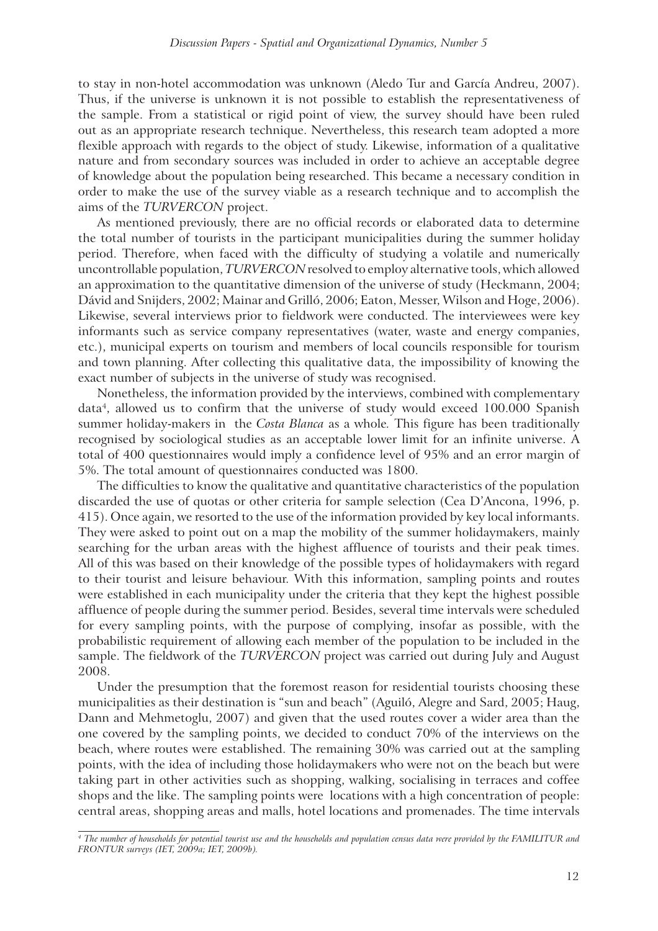to stay in non-hotel accommodation was unknown (Aledo Tur and García Andreu, 2007). Thus, if the universe is unknown it is not possible to establish the representativeness of the sample. From a statistical or rigid point of view, the survey should have been ruled out as an appropriate research technique. Nevertheless, this research team adopted a more flexible approach with regards to the object of study. Likewise, information of a qualitative nature and from secondary sources was included in order to achieve an acceptable degree of knowledge about the population being researched. This became a necessary condition in order to make the use of the survey viable as a research technique and to accomplish the aims of the *TURVERCON* project.

As mentioned previously, there are no official records or elaborated data to determine the total number of tourists in the participant municipalities during the summer holiday period. Therefore, when faced with the difficulty of studying a volatile and numerically uncontrollable population, *TURVERCON* resolved to employ alternative tools, which allowed an approximation to the quantitative dimension of the universe of study (Heckmann, 2004; Dávid and Snijders, 2002; Mainar and Grilló, 2006; Eaton, Messer, Wilson and Hoge, 2006). Likewise, several interviews prior to fieldwork were conducted. The interviewees were key informants such as service company representatives (water, waste and energy companies, etc.), municipal experts on tourism and members of local councils responsible for tourism and town planning. After collecting this qualitative data, the impossibility of knowing the exact number of subjects in the universe of study was recognised.

Nonetheless, the information provided by the interviews, combined with complementary data<sup>4</sup>, allowed us to confirm that the universe of study would exceed 100.000 Spanish summer holiday-makers in the *Costa Blanca* as a whole*.* This figure has been traditionally recognised by sociological studies as an acceptable lower limit for an infinite universe. A total of 400 questionnaires would imply a confidence level of 95% and an error margin of 5%. The total amount of questionnaires conducted was 1800.

The difficulties to know the qualitative and quantitative characteristics of the population discarded the use of quotas or other criteria for sample selection (Cea D'Ancona, 1996, p. 415). Once again, we resorted to the use of the information provided by key local informants. They were asked to point out on a map the mobility of the summer holidaymakers, mainly searching for the urban areas with the highest affluence of tourists and their peak times. All of this was based on their knowledge of the possible types of holidaymakers with regard to their tourist and leisure behaviour. With this information, sampling points and routes were established in each municipality under the criteria that they kept the highest possible affluence of people during the summer period. Besides, several time intervals were scheduled for every sampling points, with the purpose of complying, insofar as possible, with the probabilistic requirement of allowing each member of the population to be included in the sample. The fieldwork of the *TURVERCON* project was carried out during July and August 2008.

Under the presumption that the foremost reason for residential tourists choosing these municipalities as their destination is "sun and beach" (Aguiló, Alegre and Sard, 2005; Haug, Dann and Mehmetoglu, 2007) and given that the used routes cover a wider area than the one covered by the sampling points, we decided to conduct 70% of the interviews on the beach, where routes were established. The remaining 30% was carried out at the sampling points, with the idea of including those holidaymakers who were not on the beach but were taking part in other activities such as shopping, walking, socialising in terraces and coffee shops and the like. The sampling points were locations with a high concentration of people: central areas, shopping areas and malls, hotel locations and promenades. The time intervals

*<sup>4</sup> The number of households for potential tourist use and the households and population census data were provided by the FAMILITUR and FRONTUR surveys (IET, 2009a; IET, 2009b).*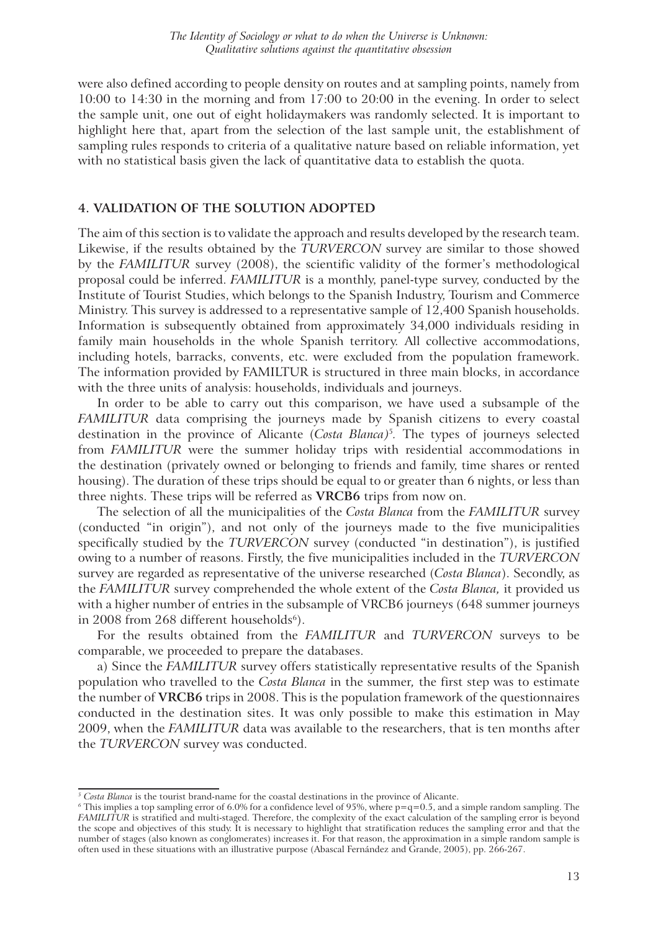were also defined according to people density on routes and at sampling points, namely from 10:00 to 14:30 in the morning and from 17:00 to 20:00 in the evening. In order to select the sample unit, one out of eight holidaymakers was randomly selected. It is important to highlight here that, apart from the selection of the last sample unit, the establishment of sampling rules responds to criteria of a qualitative nature based on reliable information, yet with no statistical basis given the lack of quantitative data to establish the quota.

#### **4. VALIDATION OF THE SOLUTION ADOPTED**

The aim of this section is to validate the approach and results developed by the research team. Likewise, if the results obtained by the *TURVERCON* survey are similar to those showed by the *FAMILITUR* survey (2008), the scientific validity of the former's methodological proposal could be inferred. *FAMILITUR* is a monthly, panel-type survey, conducted by the Institute of Tourist Studies, which belongs to the Spanish Industry, Tourism and Commerce Ministry. This survey is addressed to a representative sample of 12,400 Spanish households. Information is subsequently obtained from approximately 34,000 individuals residing in family main households in the whole Spanish territory. All collective accommodations, including hotels, barracks, convents, etc. were excluded from the population framework. The information provided by FAMILTUR is structured in three main blocks, in accordance with the three units of analysis: households, individuals and journeys.

In order to be able to carry out this comparison, we have used a subsample of the *FAMILITUR* data comprising the journeys made by Spanish citizens to every coastal destination in the province of Alicante (*Costa Blanca)*<sup>5</sup> *.* The types of journeys selected from *FAMILITUR* were the summer holiday trips with residential accommodations in the destination (privately owned or belonging to friends and family, time shares or rented housing). The duration of these trips should be equal to or greater than 6 nights, or less than three nights. These trips will be referred as **VRCB6** trips from now on.

The selection of all the municipalities of the *Costa Blanca* from the *FAMILITUR* survey (conducted "in origin"), and not only of the journeys made to the five municipalities specifically studied by the *TURVERCON* survey (conducted "in destination"), is justified owing to a number of reasons. Firstly, the five municipalities included in the *TURVERCON* survey are regarded as representative of the universe researched (*Costa Blanca*). Secondly, as the *FAMILITUR* survey comprehended the whole extent of the *Costa Blanca,* it provided us with a higher number of entries in the subsample of VRCB6 journeys (648 summer journeys in 2008 from 268 different households $^6$ ).

For the results obtained from the *FAMILITUR* and *TURVERCON* surveys to be comparable, we proceeded to prepare the databases.

a) Since the *FAMILITUR* survey offers statistically representative results of the Spanish population who travelled to the *Costa Blanca* in the summer*,* the first step was to estimate the number of **VRCB6** trips in 2008. This is the population framework of the questionnaires conducted in the destination sites. It was only possible to make this estimation in May 2009, when the *FAMILITUR* data was available to the researchers, that is ten months after the *TURVERCON* survey was conducted.

<sup>&</sup>lt;sup>5</sup> Costa Blanca is the tourist brand-name for the coastal destinations in the province of Alicante.

 $^6$  This implies a top sampling error of 6.0% for a confidence level of 95%, where p=q=0.5, and a simple random sampling. The *FAMILITUR* is stratified and multi-staged. Therefore, the complexity of the exact calculation of the sampling error is beyond the scope and objectives of this study. It is necessary to highlight that stratification reduces the sampling error and that the number of stages (also known as conglomerates) increases it. For that reason, the approximation in a simple random sample is often used in these situations with an illustrative purpose (Abascal Fernández and Grande, 2005), pp. 266-267.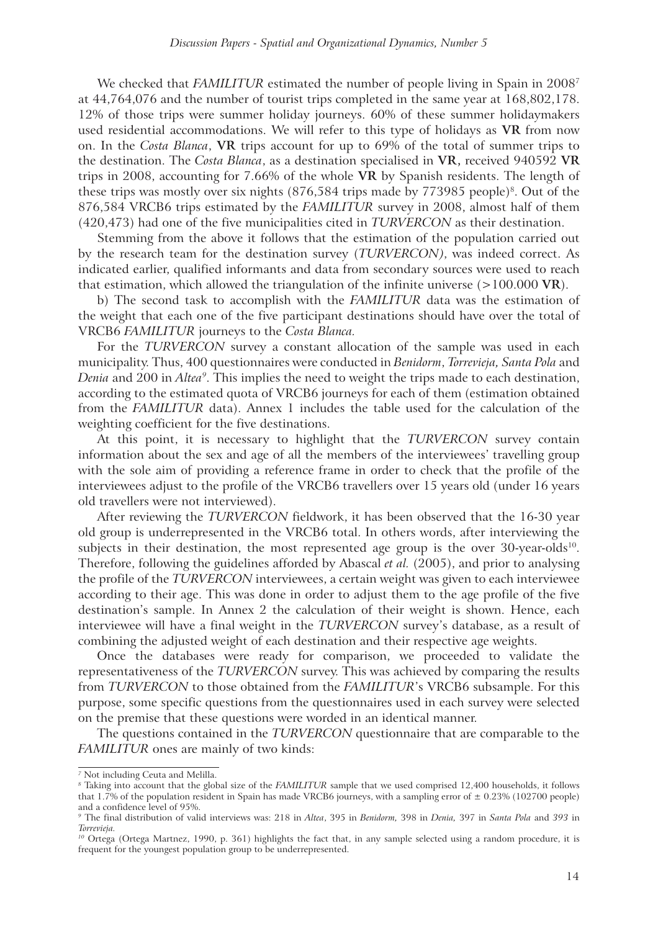We checked that *FAMILITUR* estimated the number of people living in Spain in 2008<sup>7</sup> at 44,764,076 and the number of tourist trips completed in the same year at 168,802,178. 12% of those trips were summer holiday journeys. 60% of these summer holidaymakers used residential accommodations. We will refer to this type of holidays as **VR** from now on. In the *Costa Blanca*, **VR** trips account for up to 69% of the total of summer trips to the destination. The *Costa Blanca*, as a destination specialised in **VR,** received 940592 **VR**  trips in 2008, accounting for 7.66% of the whole **VR** by Spanish residents. The length of these trips was mostly over six nights  $(876,584)$  trips made by  $773985$  people)<sup>8</sup>. Out of the 876,584 VRCB6 trips estimated by the *FAMILITUR* survey in 2008, almost half of them (420,473) had one of the five municipalities cited in *TURVERCON* as their destination.

Stemming from the above it follows that the estimation of the population carried out by the research team for the destination survey (*TURVERCON)*, was indeed correct. As indicated earlier, qualified informants and data from secondary sources were used to reach that estimation, which allowed the triangulation of the infinite universe (>100.000 **VR**).

b) The second task to accomplish with the *FAMILITUR* data was the estimation of the weight that each one of the five participant destinations should have over the total of VRCB6 *FAMILITUR* journeys to the *Costa Blanca.*

For the *TURVERCON* survey a constant allocation of the sample was used in each municipality. Thus, 400 questionnaires were conducted in *Benidorm*, *Torrevieja, Santa Pola* and *Denia* and 200 in *Altea<sup>9</sup>* . This implies the need to weight the trips made to each destination, according to the estimated quota of VRCB6 journeys for each of them (estimation obtained from the *FAMILITUR* data). Annex 1 includes the table used for the calculation of the weighting coefficient for the five destinations.

At this point, it is necessary to highlight that the *TURVERCON* survey contain information about the sex and age of all the members of the interviewees' travelling group with the sole aim of providing a reference frame in order to check that the profile of the interviewees adjust to the profile of the VRCB6 travellers over 15 years old (under 16 years old travellers were not interviewed).

After reviewing the *TURVERCON* fieldwork, it has been observed that the 16-30 year old group is underrepresented in the VRCB6 total. In others words, after interviewing the subjects in their destination, the most represented age group is the over  $30$ -year-olds<sup>10</sup>. Therefore, following the guidelines afforded by Abascal *et al.* (2005), and prior to analysing the profile of the *TURVERCON* interviewees, a certain weight was given to each interviewee according to their age. This was done in order to adjust them to the age profile of the five destination's sample. In Annex 2 the calculation of their weight is shown. Hence, each interviewee will have a final weight in the *TURVERCON* survey's database, as a result of combining the adjusted weight of each destination and their respective age weights.

Once the databases were ready for comparison, we proceeded to validate the representativeness of the *TURVERCON* survey. This was achieved by comparing the results from *TURVERCON* to those obtained from the *FAMILITUR*'s VRCB6 subsample. For this purpose, some specific questions from the questionnaires used in each survey were selected on the premise that these questions were worded in an identical manner.

The questions contained in the *TURVERCON* questionnaire that are comparable to the *FAMILITUR* ones are mainly of two kinds:

*<sup>7</sup>* Not including Ceuta and Melilla.

*<sup>8</sup>* Taking into account that the global size of the *FAMILITUR* sample that we used comprised 12,400 households, it follows that 1.7% of the population resident in Spain has made VRCB6 journeys, with a sampling error of  $\pm$  0.23% (102700 people) and a confidence level of 95%.

*<sup>9</sup>* The final distribution of valid interviews was: 218 in *Altea*, 395 in *Benidorm,* 398 in *Denia,* 397 in *Santa Pola* and *393* in *Torrevieja.*

*<sup>10</sup>* Ortega (Ortega Martnez, 1990, p. 361) highlights the fact that, in any sample selected using a random procedure, it is frequent for the youngest population group to be underrepresented.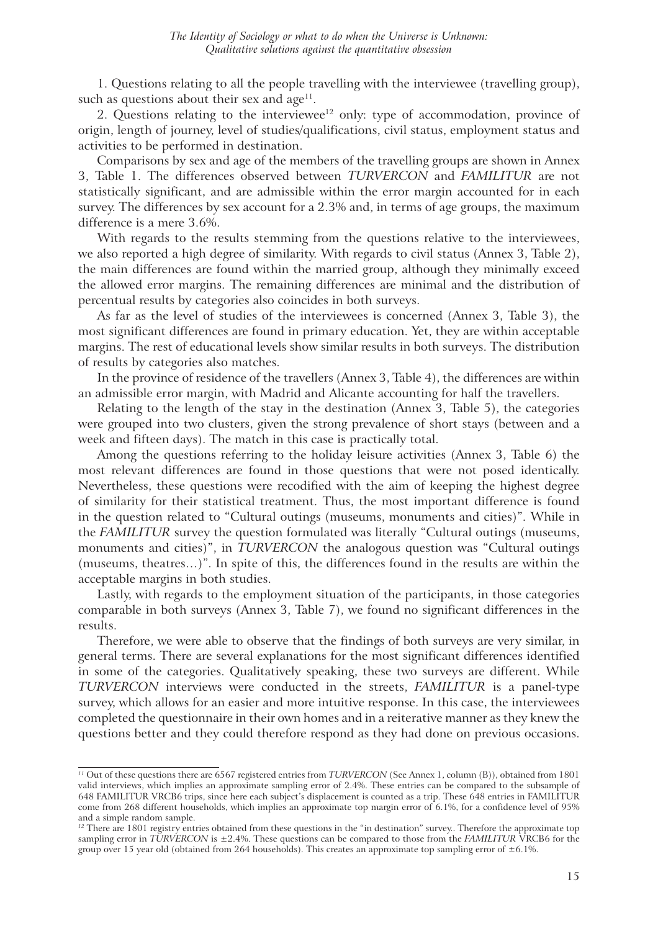1. Questions relating to all the people travelling with the interviewee (travelling group), such as questions about their sex and  $age^{11}$ .

2. Questions relating to the interviewee $12$  only: type of accommodation, province of origin, length of journey, level of studies/qualifications, civil status, employment status and activities to be performed in destination.

Comparisons by sex and age of the members of the travelling groups are shown in Annex 3, Table 1. The differences observed between *TURVERCON* and *FAMILITUR* are not statistically significant, and are admissible within the error margin accounted for in each survey. The differences by sex account for a 2.3% and, in terms of age groups, the maximum difference is a mere 3.6%.

With regards to the results stemming from the questions relative to the interviewees. we also reported a high degree of similarity. With regards to civil status (Annex 3, Table 2), the main differences are found within the married group, although they minimally exceed the allowed error margins. The remaining differences are minimal and the distribution of percentual results by categories also coincides in both surveys.

As far as the level of studies of the interviewees is concerned (Annex 3, Table 3), the most significant differences are found in primary education. Yet, they are within acceptable margins. The rest of educational levels show similar results in both surveys. The distribution of results by categories also matches.

In the province of residence of the travellers (Annex 3, Table 4), the differences are within an admissible error margin, with Madrid and Alicante accounting for half the travellers.

Relating to the length of the stay in the destination (Annex 3, Table 5), the categories were grouped into two clusters, given the strong prevalence of short stays (between and a week and fifteen days). The match in this case is practically total.

Among the questions referring to the holiday leisure activities (Annex 3, Table 6) the most relevant differences are found in those questions that were not posed identically. Nevertheless, these questions were recodified with the aim of keeping the highest degree of similarity for their statistical treatment. Thus, the most important difference is found in the question related to "Cultural outings (museums, monuments and cities)". While in the *FAMILITUR* survey the question formulated was literally "Cultural outings (museums, monuments and cities)", in *TURVERCON* the analogous question was "Cultural outings (museums, theatres…)". In spite of this, the differences found in the results are within the acceptable margins in both studies.

Lastly, with regards to the employment situation of the participants, in those categories comparable in both surveys (Annex 3, Table 7), we found no significant differences in the results.

Therefore, we were able to observe that the findings of both surveys are very similar, in general terms. There are several explanations for the most significant differences identified in some of the categories. Qualitatively speaking, these two surveys are different. While *TURVERCON* interviews were conducted in the streets, *FAMILITUR* is a panel-type survey, which allows for an easier and more intuitive response. In this case, the interviewees completed the questionnaire in their own homes and in a reiterative manner as they knew the questions better and they could therefore respond as they had done on previous occasions.

*<sup>11</sup>* Out of these questions there are 6567 registered entries from *TURVERCON* (See Annex 1, column (B)), obtained from 1801 valid interviews, which implies an approximate sampling error of 2.4%. These entries can be compared to the subsample of 648 FAMILITUR VRCB6 trips, since here each subject's displacement is counted as a trip. These 648 entries in FAMILITUR come from 268 different households, which implies an approximate top margin error of 6.1%, for a confidence level of 95% and a simple random sample.

<sup>&</sup>lt;sup>12</sup> There are 1801 registry entries obtained from these questions in the "in destination" survey.. Therefore the approximate top sampling error in *TURVERCON* is ±2.4%. These questions can be compared to those from the *FAMILITUR* VRCB6 for the group over 15 year old (obtained from 264 households). This creates an approximate top sampling error of  $\pm 6.1\%$ .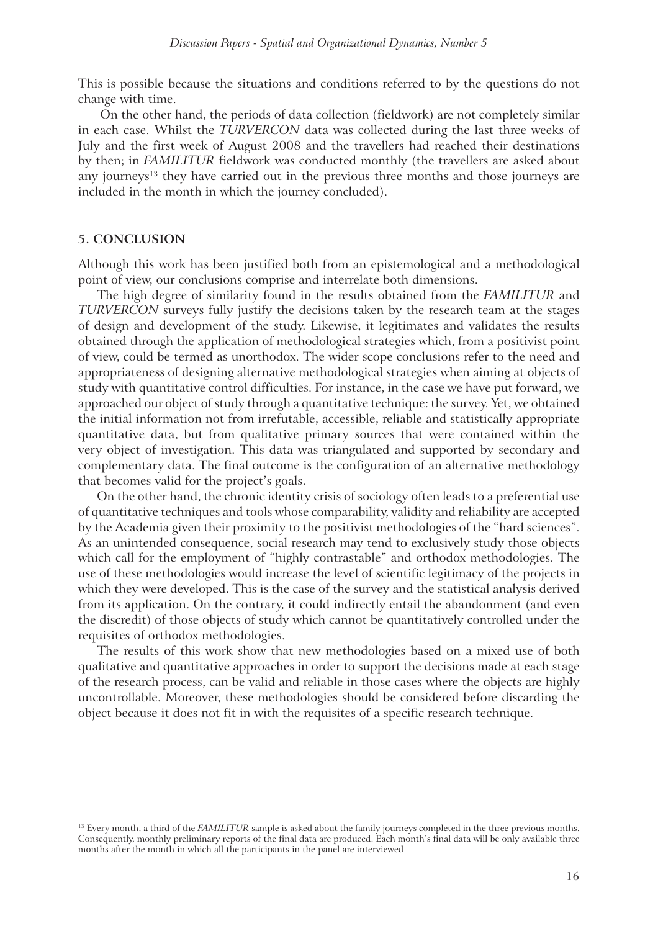This is possible because the situations and conditions referred to by the questions do not change with time.

 On the other hand, the periods of data collection (fieldwork) are not completely similar in each case. Whilst the *TURVERCON* data was collected during the last three weeks of July and the first week of August 2008 and the travellers had reached their destinations by then; in *FAMILITUR* fieldwork was conducted monthly (the travellers are asked about any journeys<sup>13</sup> they have carried out in the previous three months and those journeys are included in the month in which the journey concluded).

#### **5. CONCLUSION**

Although this work has been justified both from an epistemological and a methodological point of view, our conclusions comprise and interrelate both dimensions.

The high degree of similarity found in the results obtained from the *FAMILITUR* and *TURVERCON* surveys fully justify the decisions taken by the research team at the stages of design and development of the study. Likewise, it legitimates and validates the results obtained through the application of methodological strategies which, from a positivist point of view, could be termed as unorthodox. The wider scope conclusions refer to the need and appropriateness of designing alternative methodological strategies when aiming at objects of study with quantitative control difficulties. For instance, in the case we have put forward, we approached our object of study through a quantitative technique: the survey. Yet, we obtained the initial information not from irrefutable, accessible, reliable and statistically appropriate quantitative data, but from qualitative primary sources that were contained within the very object of investigation. This data was triangulated and supported by secondary and complementary data. The final outcome is the configuration of an alternative methodology that becomes valid for the project's goals.

On the other hand, the chronic identity crisis of sociology often leads to a preferential use of quantitative techniques and tools whose comparability, validity and reliability are accepted by the Academia given their proximity to the positivist methodologies of the "hard sciences". As an unintended consequence, social research may tend to exclusively study those objects which call for the employment of "highly contrastable" and orthodox methodologies. The use of these methodologies would increase the level of scientific legitimacy of the projects in which they were developed. This is the case of the survey and the statistical analysis derived from its application. On the contrary, it could indirectly entail the abandonment (and even the discredit) of those objects of study which cannot be quantitatively controlled under the requisites of orthodox methodologies.

The results of this work show that new methodologies based on a mixed use of both qualitative and quantitative approaches in order to support the decisions made at each stage of the research process, can be valid and reliable in those cases where the objects are highly uncontrollable. Moreover, these methodologies should be considered before discarding the object because it does not fit in with the requisites of a specific research technique.

<sup>&</sup>lt;sup>13</sup> Every month, a third of the *FAMILITUR* sample is asked about the family journeys completed in the three previous months. Consequently, monthly preliminary reports of the final data are produced. Each month's final data will be only available three months after the month in which all the participants in the panel are interviewed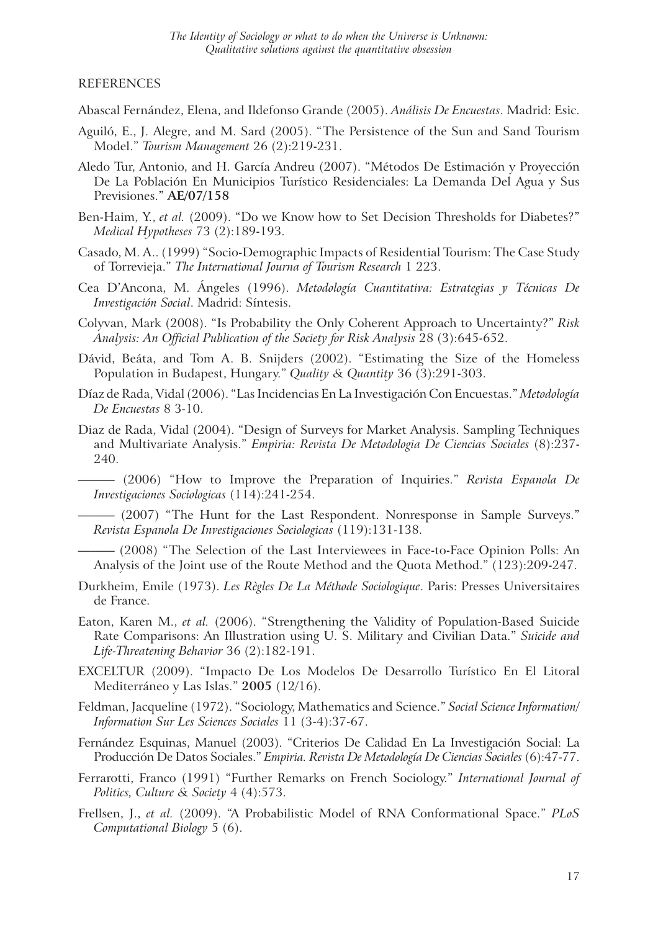#### REFERENCES

Abascal Fernández, Elena, and Ildefonso Grande (2005). *Análisis De Encuestas*. Madrid: Esic.

- Aguiló, E., J. Alegre, and M. Sard (2005). "The Persistence of the Sun and Sand Tourism Model." *Tourism Management* 26 (2):219-231.
- Aledo Tur, Antonio, and H. García Andreu (2007). "Métodos De Estimación y Proyección De La Población En Municipios Turístico Residenciales: La Demanda Del Agua y Sus Previsiones." **AE/07/158**
- Ben-Haim, Y., *et al.* (2009). "Do we Know how to Set Decision Thresholds for Diabetes?" *Medical Hypotheses* 73 (2):189-193.
- Casado, M. A.. (1999) "Socio-Demographic Impacts of Residential Tourism: The Case Study of Torrevieja." *The International Journa of Tourism Research* 1 223.
- Cea D'Ancona, M. Ángeles (1996). *Metodología Cuantitativa: Estrategias y Técnicas De Investigación Social*. Madrid: Síntesis.
- Colyvan, Mark (2008). "Is Probability the Only Coherent Approach to Uncertainty?" *Risk Analysis: An Official Publication of the Society for Risk Analysis* 28 (3):645-652.
- Dávid, Beáta, and Tom A. B. Snijders (2002). "Estimating the Size of the Homeless Population in Budapest, Hungary." *Quality & Quantity* 36 (3):291-303.
- Díaz de Rada, Vidal (2006). "Las Incidencias En La Investigación Con Encuestas." *Metodología De Encuestas* 8 3-10.
- Diaz de Rada, Vidal (2004). "Design of Surveys for Market Analysis. Sampling Techniques and Multivariate Analysis." *Empiria: Revista De Metodologia De Ciencias Sociales* (8):237- 240.
	- ——— (2006) "How to Improve the Preparation of Inquiries." *Revista Espanola De Investigaciones Sociologicas* (114):241-254.
	- (2007) "The Hunt for the Last Respondent. Nonresponse in Sample Surveys." *Revista Espanola De Investigaciones Sociologicas* (119):131-138.
	- ——— (2008) "The Selection of the Last Interviewees in Face-to-Face Opinion Polls: An Analysis of the Joint use of the Route Method and the Quota Method." (123):209-247.
- Durkheim, Emile (1973). *Les Règles De La Méthode Sociologique*. Paris: Presses Universitaires de France.
- Eaton, Karen M., *et al.* (2006). "Strengthening the Validity of Population-Based Suicide Rate Comparisons: An Illustration using U. S. Military and Civilian Data." *Suicide and Life-Threatening Behavior* 36 (2):182-191.
- EXCELTUR (2009). "Impacto De Los Modelos De Desarrollo Turístico En El Litoral Mediterráneo y Las Islas." **2005** (12/16).
- Feldman, Jacqueline (1972). "Sociology, Mathematics and Science." *Social Science Information/ Information Sur Les Sciences Sociales* 11 (3-4):37-67.
- Fernández Esquinas, Manuel (2003). "Criterios De Calidad En La Investigación Social: La Producción De Datos Sociales." *Empiria. Revista De Metodología De Ciencias Sociales* (6):47-77.
- Ferrarotti, Franco (1991) "Further Remarks on French Sociology." *International Journal of Politics, Culture & Society* 4 (4):573.
- Frellsen, J., *et al.* (2009). "A Probabilistic Model of RNA Conformational Space." *PLoS Computational Biology* 5 (6).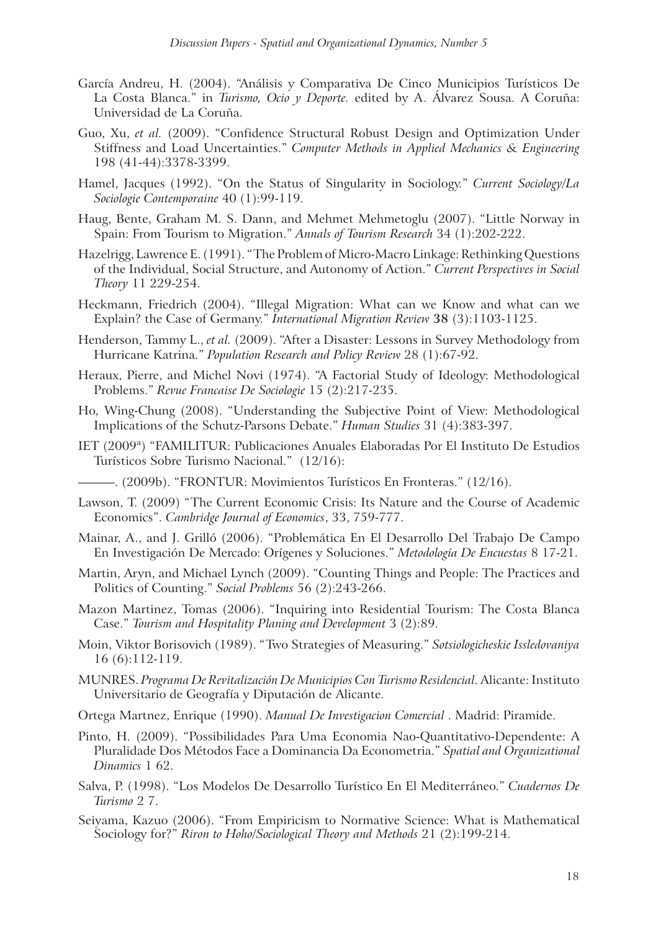- García Andreu, H. (2004). "Análisis y Comparativa De Cinco Municipios Turísticos De La Costa Blanca." in *Turismo, Ocio y Deporte.* edited by A. Álvarez Sousa. A Coruña: Universidad de La Coruña.
- Guo, Xu, *et al.* (2009). "Confidence Structural Robust Design and Optimization Under Stiffness and Load Uncertainties." *Computer Methods in Applied Mechanics & Engineering*  198 (41-44):3378-3399.
- Hamel, Jacques (1992). "On the Status of Singularity in Sociology." *Current Sociology/La Sociologie Contemporaine* 40 (1):99-119.
- Haug, Bente, Graham M. S. Dann, and Mehmet Mehmetoglu (2007). "Little Norway in Spain: From Tourism to Migration." *Annals of Tourism Research* 34 (1):202-222.
- Hazelrigg, Lawrence E. (1991). "The Problem of Micro-Macro Linkage: Rethinking Questions of the Individual, Social Structure, and Autonomy of Action." *Current Perspectives in Social Theory* 11 229-254.
- Heckmann, Friedrich (2004). "Illegal Migration: What can we Know and what can we Explain? the Case of Germany." *International Migration Review* **38** (3):1103-1125.
- Henderson, Tammy L., *et al.* (2009). "After a Disaster: Lessons in Survey Methodology from Hurricane Katrina." *Population Research and Policy Review* 28 (1):67-92.
- Heraux, Pierre, and Michel Novi (1974). "A Factorial Study of Ideology: Methodological Problems." *Revue Francaise De Sociologie* 15 (2):217-235.
- Ho, Wing-Chung (2008). "Understanding the Subjective Point of View: Methodological Implications of the Schutz-Parsons Debate." *Human Studies* 31 (4):383-397.
- IET (2009ª) "FAMILITUR: Publicaciones Anuales Elaboradas Por El Instituto De Estudios Turísticos Sobre Turismo Nacional." (12/16):
	- ———. (2009b). "FRONTUR: Movimientos Turísticos En Fronteras." (12/16).
- Lawson, T. (2009) "The Current Economic Crisis: Its Nature and the Course of Academic Economics". *Cambridge Journal of Economics*, 33, 759-777.
- Mainar, A., and J. Grilló (2006). "Problemática En El Desarrollo Del Trabajo De Campo En Investigación De Mercado: Orígenes y Soluciones." *Metodología De Encuestas* 8 17-21.
- Martin, Aryn, and Michael Lynch (2009). "Counting Things and People: The Practices and Politics of Counting." *Social Problems* 56 (2):243-266.
- Mazon Martinez, Tomas (2006). "Inquiring into Residential Tourism: The Costa Blanca Case." *Tourism and Hospitality Planing and Development* 3 (2):89.
- Moin, Viktor Borisovich (1989). "Two Strategies of Measuring." *Sotsiologicheskie Issledovaniya*  16 (6):112-119.
- MUNRES. *Programa De Revitalización De Municipios Con Turismo Residencial*. Alicante: Instituto Universitario de Geografía y Diputación de Alicante.
- Ortega Martnez, Enrique (1990). *Manual De Investigacion Comercial* . Madrid: Piramide.
- Pinto, H. (2009). "Possibilidades Para Uma Economia Nao-Quantitativo-Dependente: A Pluralidade Dos Métodos Face a Dominancia Da Econometria." *Spatial and Organizational Dinamics* 1 62.
- Salva, P. (1998). "Los Modelos De Desarrollo Turístico En El Mediterráneo." *Cuadernos De Turismo* 2 7.
- Seiyama, Kazuo (2006). "From Empiricism to Normative Science: What is Mathematical Sociology for?" *Riron to Hoho/Sociological Theory and Methods* 21 (2):199-214.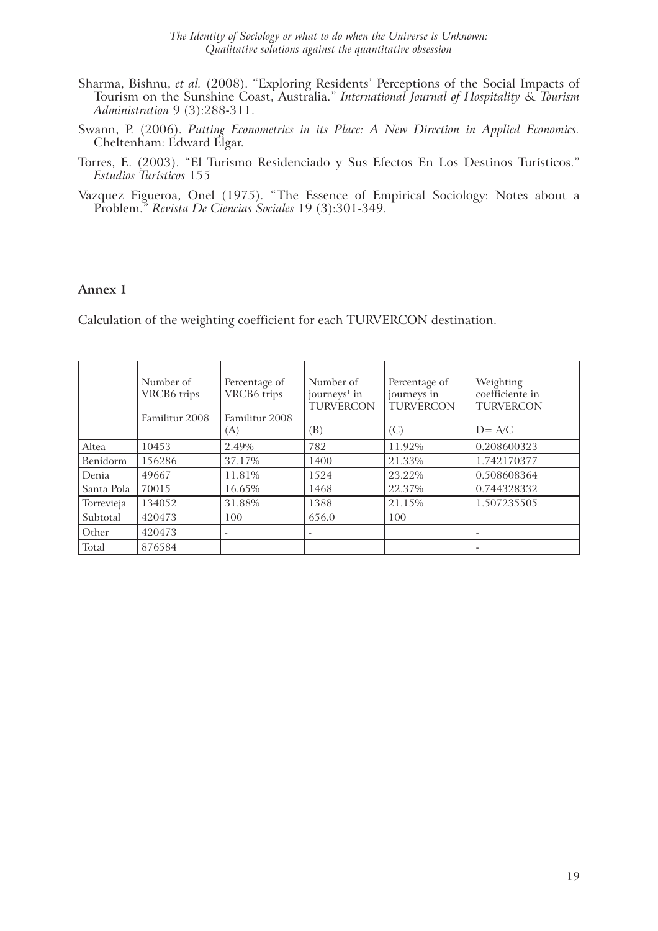- Sharma, Bishnu, *et al.* (2008). "Exploring Residents' Perceptions of the Social Impacts of Tourism on the Sunshine Coast, Australia." *International Journal of Hospitality & Tourism Administration* 9 (3):288-311.
- Swann, P. (2006). *Putting Econometrics in its Place: A New Direction in Applied Economics.* Cheltenham: Edward Elgar.
- Torres, E. (2003). "El Turismo Residenciado y Sus Efectos En Los Destinos Turísticos." *Estudios Turísticos* 155
- Vazquez Figueroa, Onel (1975). "The Essence of Empirical Sociology: Notes about a Problem." *Revista De Ciencias Sociales* 19 (3):301-349.

#### **Annex 1**

Calculation of the weighting coefficient for each TURVERCON destination.

|            | Number of<br>VRCB <sub>6</sub> trips<br>Familitur 2008 | Percentage of<br>VRCB6 trips<br>Familitur 2008<br>(A) | Number of<br>journeys <sup>1</sup> in<br>TURVERCON<br>(B) | Percentage of<br>journeys in<br><b>TURVERCON</b><br>(C) | Weighting<br>coefficiente in<br><b>TURVERCON</b><br>$D = A/C$ |
|------------|--------------------------------------------------------|-------------------------------------------------------|-----------------------------------------------------------|---------------------------------------------------------|---------------------------------------------------------------|
| Altea      | 10453                                                  | 2.49%                                                 | 782                                                       | 11.92%                                                  | 0.208600323                                                   |
| Benidorm   | 156286                                                 | 37.17%                                                | 1400                                                      | 21.33%                                                  | 1.742170377                                                   |
| Denia      | 49667                                                  | 11.81%                                                | 1524                                                      | 23.22%                                                  | 0.508608364                                                   |
| Santa Pola | 70015                                                  | 16.65%                                                | 1468                                                      | 22.37%                                                  | 0.744328332                                                   |
| Torrevieja | 134052                                                 | 31.88%                                                | 1388                                                      | 21.15%                                                  | 1.507235505                                                   |
| Subtotal   | 420473                                                 | 100                                                   | 656.0                                                     | 100                                                     |                                                               |
| Other      | 420473                                                 | $\overline{\phantom{a}}$                              | ۰                                                         |                                                         | $\overline{\phantom{a}}$                                      |
| Total      | 876584                                                 |                                                       |                                                           |                                                         |                                                               |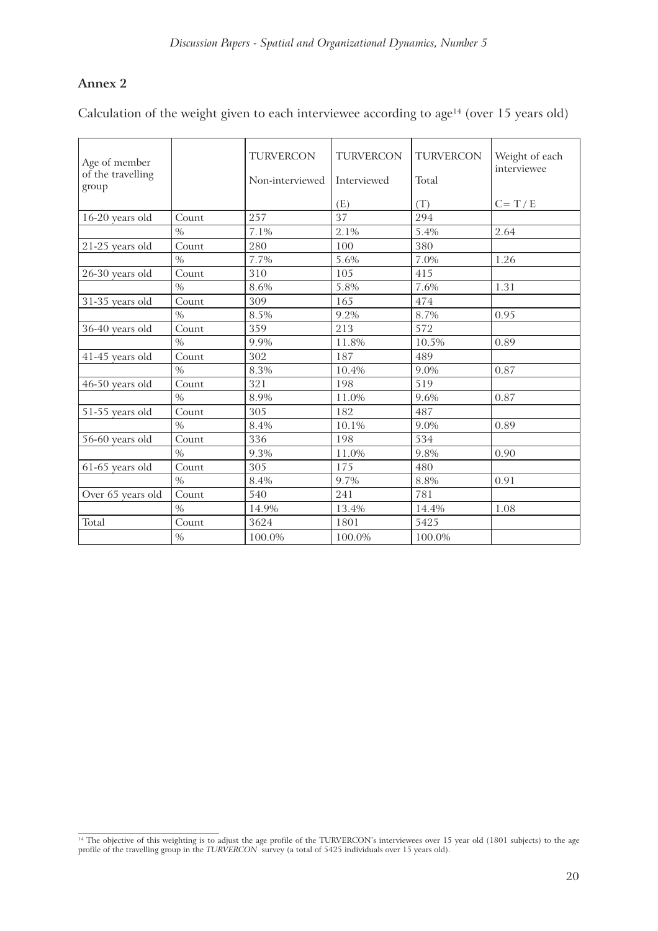#### **Annex 2**

Calculation of the weight given to each interviewee according to age<sup>14</sup> (over 15 years old)

| Age of member<br>of the travelling<br>group |               | <b>TURVERCON</b><br>Non-interviewed | <b>TURVERCON</b><br>Interviewed | <b>TURVERCON</b><br>Total | Weight of each<br>interviewee |
|---------------------------------------------|---------------|-------------------------------------|---------------------------------|---------------------------|-------------------------------|
|                                             |               |                                     | (E)                             | (T)                       | $C = T / E$                   |
| 16-20 years old                             | Count         | 257                                 | 37                              | 294                       |                               |
|                                             | $\frac{0}{0}$ | 7.1%                                | 2.1%                            | 5.4%                      | 2.64                          |
| 21-25 years old                             | Count         | 280                                 | 100                             | 380                       |                               |
|                                             | $\frac{0}{0}$ | 7.7%                                | 5.6%                            | 7.0%                      | 1.26                          |
| 26-30 years old                             | Count         | 310                                 | 105                             | 415                       |                               |
|                                             | $\frac{0}{0}$ | 8.6%                                | 5.8%                            | 7.6%                      | 1.31                          |
| 31-35 years old                             | Count         | 309                                 | 165                             | 474                       |                               |
|                                             | $\frac{0}{0}$ | 8.5%                                | 9.2%                            | 8.7%                      | 0.95                          |
| 36-40 years old                             | Count         | 359                                 | 213                             | 572                       |                               |
|                                             | $\%$          | 9.9%                                | 11.8%                           | 10.5%                     | 0.89                          |
| 41-45 years old                             | Count         | 302                                 | 187                             | 489                       |                               |
|                                             | $\frac{0}{0}$ | 8.3%                                | 10.4%                           | 9.0%                      | 0.87                          |
| 46-50 years old                             | Count         | 321                                 | 198                             | 519                       |                               |
|                                             | $\%$          | 8.9%                                | 11.0%                           | 9.6%                      | 0.87                          |
| 51-55 years old                             | Count         | 305                                 | 182                             | 487                       |                               |
|                                             | $\frac{0}{0}$ | 8.4%                                | 10.1%                           | 9.0%                      | 0.89                          |
| 56-60 years old                             | Count         | 336                                 | 198                             | 534                       |                               |
|                                             | $\%$          | 9.3%                                | 11.0%                           | 9.8%                      | 0.90                          |
| 61-65 years old                             | Count         | 305                                 | 175                             | 480                       |                               |
|                                             | $\%$          | 8.4%                                | 9.7%                            | 8.8%                      | 0.91                          |
| Over 65 years old                           | Count         | 540                                 | 241                             | 781                       |                               |
|                                             | $\%$          | 14.9%                               | 13.4%                           | 14.4%                     | 1.08                          |
| Total                                       | Count         | 3624                                | 1801                            | 5425                      |                               |
|                                             | $\%$          | 100.0%                              | 100.0%                          | 100.0%                    |                               |

<sup>&</sup>lt;sup>14</sup> The objective of this weighting is to adjust the age profile of the TURVERCON's interviewees over 15 year old (1801 subjects) to the age profile of the travelling group in the *TURVERCON* survey (a total of 5425 individuals over 15 years old).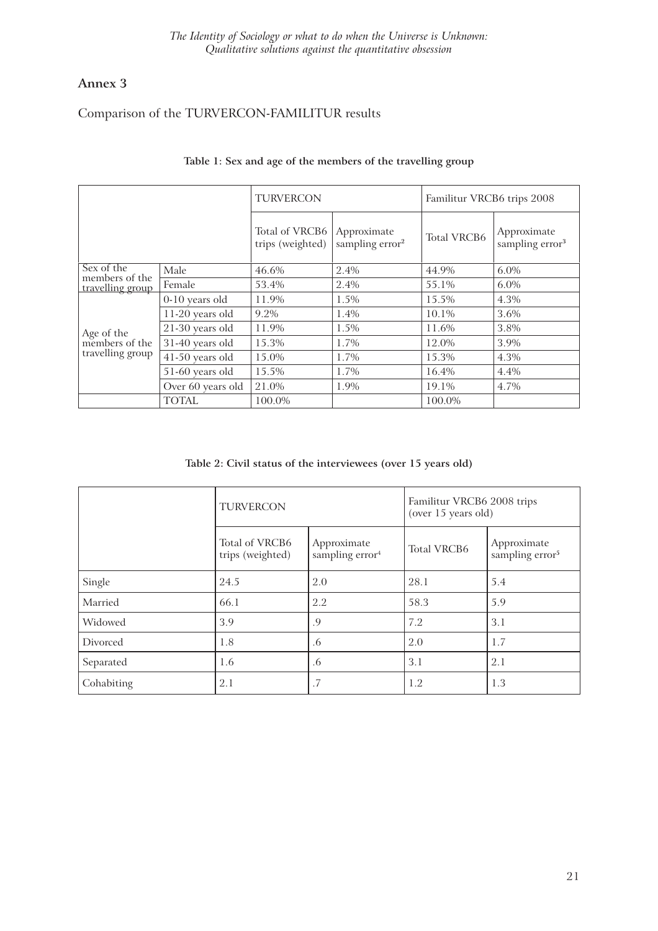#### **Annex 3**

### Comparison of the TURVERCON-FAMILITUR results

|                              |                   | <b>TURVERCON</b>                   |                                            | Familitur VRCB6 trips 2008 |                                            |
|------------------------------|-------------------|------------------------------------|--------------------------------------------|----------------------------|--------------------------------------------|
|                              |                   | Total of VRCB6<br>trips (weighted) | Approximate<br>sampling error <sup>2</sup> | <b>Total VRCB6</b>         | Approximate<br>sampling error <sup>3</sup> |
| Sex of the<br>members of the | Male              | 46.6%                              | 2.4%                                       | 44.9%                      | $6.0\%$                                    |
| travelling group             | Female            | 53.4%                              | 2.4%                                       | 55.1%                      | $6.0\%$                                    |
|                              | 0-10 years old    | 11.9%                              | 1.5%                                       | 15.5%                      | 4.3%                                       |
|                              | 11-20 years old   | 9.2%                               | 1.4%                                       | $10.1\%$                   | 3.6%                                       |
|                              | 21-30 years old   | 11.9%                              | 1.5%                                       | 11.6%                      | 3.8%                                       |
| Age of the<br>members of the | 31-40 years old   | 15.3%                              | 1.7%                                       | 12.0%                      | 3.9%                                       |
| travelling group             | 41-50 years old   | 15.0%                              | 1.7%                                       | 15.3%                      | 4.3%                                       |
|                              | 51-60 years old   | 15.5%                              | 1.7%                                       | 16.4%                      | 4.4%                                       |
|                              | Over 60 years old | 21.0%                              | 1.9%                                       | 19.1%                      | 4.7%                                       |
|                              | <b>TOTAL</b>      | 100.0%                             |                                            | 100.0%                     |                                            |

#### **Table 1: Sex and age of the members of the travelling group**

**Table 2: Civil status of the interviewees (over 15 years old)**

|            | <b>TURVERCON</b>                   |                                            | Familitur VRCB6 2008 trips<br>(over 15 years old) |                                            |
|------------|------------------------------------|--------------------------------------------|---------------------------------------------------|--------------------------------------------|
|            | Total of VRCB6<br>trips (weighted) | Approximate<br>sampling error <sup>4</sup> | <b>Total VRCB6</b>                                | Approximate<br>sampling error <sup>5</sup> |
| Single     | 24.5                               | 2.0                                        | 28.1                                              | 5.4                                        |
| Married    | 66.1                               | 2.2                                        | 58.3                                              | 5.9                                        |
| Widowed    | 3.9                                | .9                                         | 7.2                                               | 3.1                                        |
| Divorced   | 1.8                                | .6                                         | 2.0                                               | 1.7                                        |
| Separated  | 1.6                                | .6                                         | 3.1                                               | 2.1                                        |
| Cohabiting | 2.1                                | .7                                         | 1.2                                               | 1.3                                        |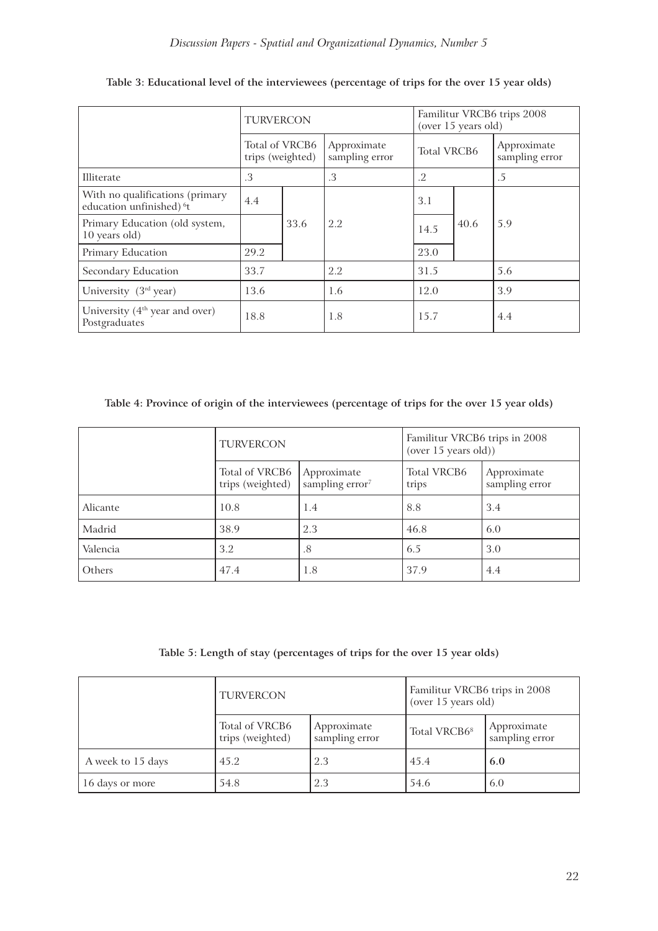|                                                                         | <b>TURVERCON</b> |                                    |                               | Familitur VRCB6 trips 2008<br>(over 15 years old) |      |                               |
|-------------------------------------------------------------------------|------------------|------------------------------------|-------------------------------|---------------------------------------------------|------|-------------------------------|
|                                                                         |                  | Total of VRCB6<br>trips (weighted) | Approximate<br>sampling error | <b>Total VRCB6</b>                                |      | Approximate<br>sampling error |
| Illiterate                                                              | .3               |                                    | .3                            | .2                                                |      | .5                            |
| With no qualifications (primary<br>education unfinished) <sup>6</sup> t | 4.4              |                                    |                               | 3.1                                               |      |                               |
| Primary Education (old system,<br>10 years old)                         |                  | 33.6                               | 2.2                           | 14.5                                              | 40.6 | 5.9                           |
| Primary Education                                                       | 29.2             |                                    |                               | 23.0                                              |      |                               |
| Secondary Education                                                     | 33.7             |                                    | 2.2                           | 31.5                                              |      | 5.6                           |
| University (3rd year)                                                   | 13.6             |                                    | 1.6                           | 12.0                                              |      | 3.9                           |
| University (4 <sup>th</sup> year and over)<br>Postgraduates             | 18.8             |                                    | 1.8                           | 15.7                                              |      | 4.4                           |

#### **Table 3: Educational level of the interviewees (percentage of trips for the over 15 year olds)**

**Table 4: Province of origin of the interviewees (percentage of trips for the over 15 year olds)**

|          | <b>TURVERCON</b>                   |                                            | Familitur VRCB6 trips in 2008<br>(over 15 years old)) |                               |
|----------|------------------------------------|--------------------------------------------|-------------------------------------------------------|-------------------------------|
|          | Total of VRCB6<br>trips (weighted) | Approximate<br>sampling error <sup>7</sup> | <b>Total VRCB6</b><br>trips                           | Approximate<br>sampling error |
| Alicante | 10.8                               | 1.4                                        | 8.8                                                   | 3.4                           |
| Madrid   | 38.9                               | 2.3                                        | 46.8                                                  | 6.0                           |
| Valencia | 3.2                                | .8                                         | 6.5                                                   | 3.0                           |
| Others   | 47.4                               | 1.8                                        | 37.9                                                  | 4.4                           |

**Table 5: Length of stay (percentages of trips for the over 15 year olds)**

|                   | <b>TURVERCON</b>                   |                               | Familitur VRCB6 trips in 2008<br>(over 15 years old) |                               |
|-------------------|------------------------------------|-------------------------------|------------------------------------------------------|-------------------------------|
|                   | Total of VRCB6<br>trips (weighted) | Approximate<br>sampling error | Total VRCB68                                         | Approximate<br>sampling error |
| A week to 15 days | 45.2                               | 2.3                           | 45.4                                                 | 6.0                           |
| 16 days or more   | 54.8                               | 2.3                           | 54.6                                                 | 6.0                           |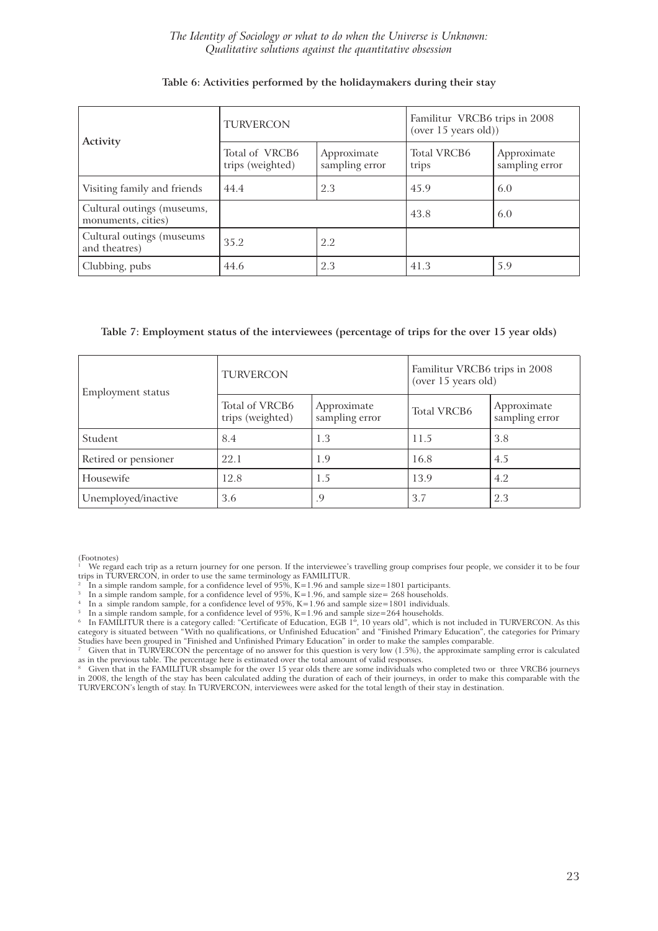*The Identity of Sociology or what to do when the Universe is Unknown: Qualitative solutions against the quantitative obsession*

|                                                  | <b>TURVERCON</b>                   |                               | Familitur VRCB6 trips in 2008<br>(over 15 years old)) |                               |
|--------------------------------------------------|------------------------------------|-------------------------------|-------------------------------------------------------|-------------------------------|
| Activity                                         | Total of VRCB6<br>trips (weighted) | Approximate<br>sampling error | <b>Total VRCB6</b><br>trips                           | Approximate<br>sampling error |
| Visiting family and friends                      | 44.4                               | 2.3                           | 45.9                                                  | 6.0                           |
| Cultural outings (museums,<br>monuments, cities) |                                    |                               | 43.8                                                  | 6.0                           |
| Cultural outings (museums<br>and theatres)       | 35.2                               | 2.2                           |                                                       |                               |
| Clubbing, pubs                                   | 44.6                               | 2.3                           | 41.3                                                  | 5.9                           |

#### **Table 6: Activities performed by the holidaymakers during their stay**

#### **Table 7: Employment status of the interviewees (percentage of trips for the over 15 year olds)**

| Employment status    | <b>TURVERCON</b>                   |                               | Familitur VRCB6 trips in 2008<br>(over 15 years old) |                               |
|----------------------|------------------------------------|-------------------------------|------------------------------------------------------|-------------------------------|
|                      | Total of VRCB6<br>trips (weighted) | Approximate<br>sampling error | <b>Total VRCB6</b>                                   | Approximate<br>sampling error |
| Student              | 8.4                                | 1.3                           | 11.5                                                 | 3.8                           |
| Retired or pensioner | 22.1                               | 1.9                           | 16.8                                                 | 4.5                           |
| Housewife            | 12.8                               | 1.5                           | 13.9                                                 | 4.2                           |
| Unemployed/inactive  | 3.6                                | .9                            | 3.7                                                  | 2.3                           |

(Footnotes)

<sup>3</sup> In a simple random sample, for a confidence level of 95%, K=1.96, and sample size= 268 households.<br><sup>4</sup> In a simple random sample, for a confidence level of 95%, K=1.96 and sample size=1801 individuals.<br><sup>5</sup> In a simple category is situated between "With no qualifications, or Unfinished Education" and "Finished Primary Education", the categories for Primary Studies have been grouped in "Finished and Unfinished Primary Education" in order to make the samples comparable.

7 Given that in TURVERCON the percentage of no answer for this question is very low (1.5%), the approximate sampling error is calculated

as in the previous table. The percentage here is estimated over the total amount of valid responses.<br><sup>8</sup> Given that in the FAMILITUR sbsample for the over 15 year olds there are some individuals who completed two or three in 2008, the length of the stay has been calculated adding the duration of each of their journeys, in order to make this comparable with the TURVERCON's length of stay. In TURVERCON, interviewees were asked for the total length of their stay in destination.

<sup>1</sup> We regard each trip as a return journey for one person. If the interviewee's travelling group comprises four people, we consider it to be four trips in TURVERCON, in order to use the same terminology as FAMILITUR.

<sup>2</sup> In a simple random sample, for a confidence level of  $95\%$ , K=1.96 and sample size=1801 participants.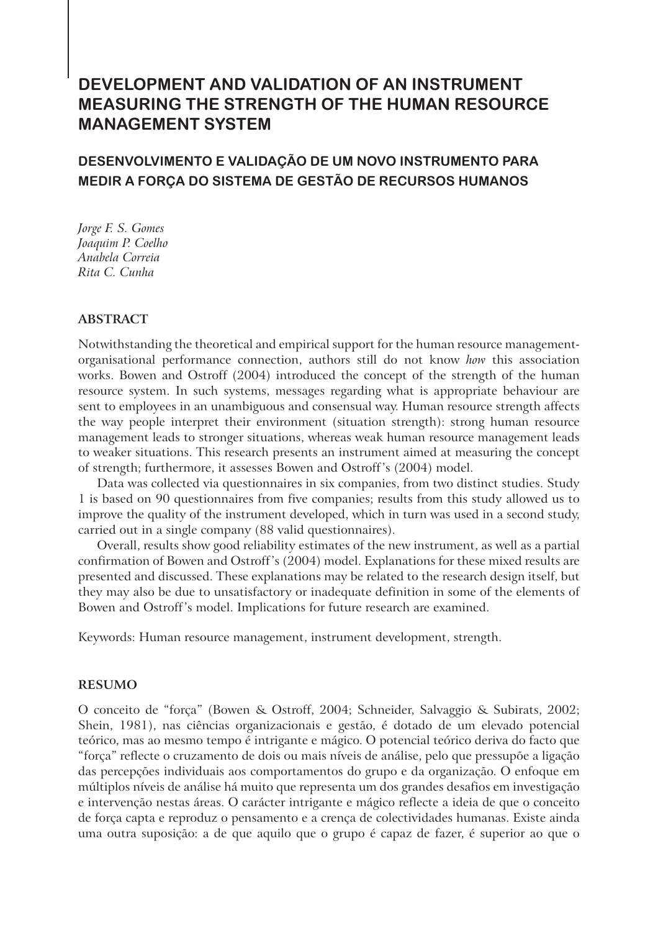#### **DEVELOPMENT AND VALIDATION OF AN INSTRUMENT MEASURING THE STRENGTH OF THE HUMAN RESOURCE MANAGEMENT SYSTEM**

#### **DESENVOLVIMENTO E VALIDAÇÃO DE UM NOVO INSTRUMENTO PARA MEDIR A FORÇA DO SISTEMA DE GESTÃO DE RECURSOS HUMANOS**

*Jorge F. S. Gomes Joaquim P. Coelho Anabela Correia Rita C. Cunha*

#### **ABSTRACT**

Notwithstanding the theoretical and empirical support for the human resource managementorganisational performance connection, authors still do not know *how* this association works. Bowen and Ostroff (2004) introduced the concept of the strength of the human resource system. In such systems, messages regarding what is appropriate behaviour are sent to employees in an unambiguous and consensual way. Human resource strength affects the way people interpret their environment (situation strength): strong human resource management leads to stronger situations, whereas weak human resource management leads to weaker situations. This research presents an instrument aimed at measuring the concept of strength; furthermore, it assesses Bowen and Ostroff's (2004) model.

Data was collected via questionnaires in six companies, from two distinct studies. Study 1 is based on 90 questionnaires from five companies; results from this study allowed us to improve the quality of the instrument developed, which in turn was used in a second study, carried out in a single company (88 valid questionnaires).

Overall, results show good reliability estimates of the new instrument, as well as a partial confirmation of Bowen and Ostroff's (2004) model. Explanations for these mixed results are presented and discussed. These explanations may be related to the research design itself, but they may also be due to unsatisfactory or inadequate definition in some of the elements of Bowen and Ostroff's model. Implications for future research are examined.

Keywords: Human resource management, instrument development, strength.

#### **RESUMO**

O conceito de "força" (Bowen & Ostroff, 2004; Schneider, Salvaggio & Subirats, 2002; Shein, 1981), nas ciências organizacionais e gestão, é dotado de um elevado potencial teórico, mas ao mesmo tempo é intrigante e mágico. O potencial teórico deriva do facto que "força" reflecte o cruzamento de dois ou mais níveis de análise, pelo que pressupõe a ligação das percepções individuais aos comportamentos do grupo e da organização. O enfoque em múltiplos níveis de análise há muito que representa um dos grandes desafios em investigação e intervenção nestas áreas. O carácter intrigante e mágico reflecte a ideia de que o conceito de força capta e reproduz o pensamento e a crença de colectividades humanas. Existe ainda uma outra suposição: a de que aquilo que o grupo é capaz de fazer, é superior ao que o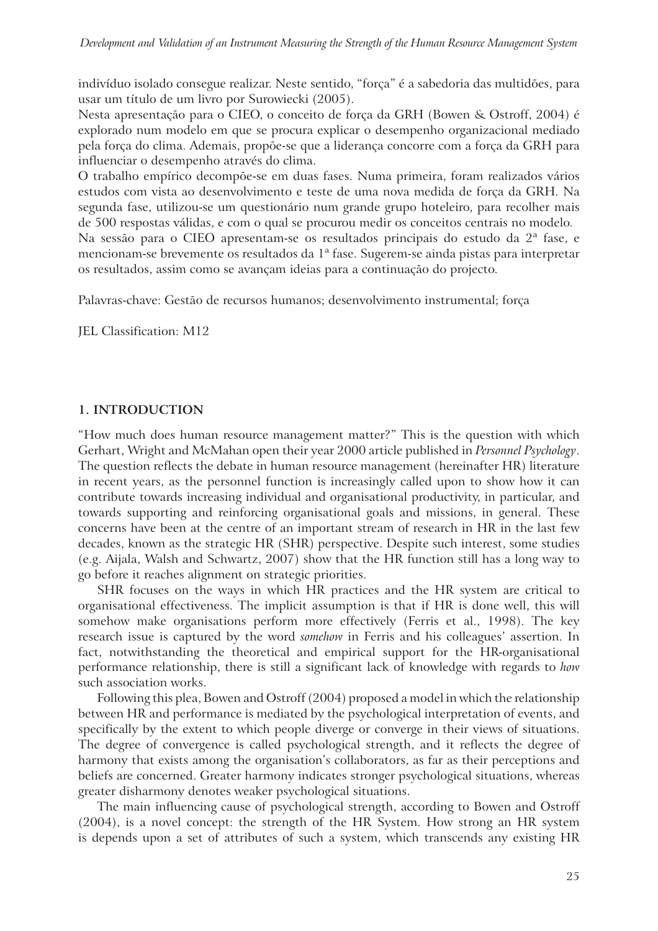indivíduo isolado consegue realizar. Neste sentido, "força" é a sabedoria das multidões, para usar um título de um livro por Surowiecki (2005).

Nesta apresentação para o CIEO, o conceito de força da GRH (Bowen & Ostroff, 2004) é explorado num modelo em que se procura explicar o desempenho organizacional mediado pela força do clima. Ademais, propõe-se que a liderança concorre com a força da GRH para influenciar o desempenho através do clima.

O trabalho empírico decompõe-se em duas fases. Numa primeira, foram realizados vários estudos com vista ao desenvolvimento e teste de uma nova medida de força da GRH. Na segunda fase, utilizou-se um questionário num grande grupo hoteleiro, para recolher mais de 500 respostas válidas, e com o qual se procurou medir os conceitos centrais no modelo. Na sessão para o CIEO apresentam-se os resultados principais do estudo da 2ª fase, e mencionam-se brevemente os resultados da 1ª fase. Sugerem-se ainda pistas para interpretar

Palavras-chave: Gestão de recursos humanos; desenvolvimento instrumental; força

os resultados, assim como se avançam ideias para a continuação do projecto.

JEL Classification: M12

#### **1. INTRODUCTION**

"How much does human resource management matter?" This is the question with which Gerhart, Wright and McMahan open their year 2000 article published in *Personnel Psychology*. The question reflects the debate in human resource management (hereinafter HR) literature in recent years, as the personnel function is increasingly called upon to show how it can contribute towards increasing individual and organisational productivity, in particular, and towards supporting and reinforcing organisational goals and missions, in general. These concerns have been at the centre of an important stream of research in HR in the last few decades, known as the strategic HR (SHR) perspective. Despite such interest, some studies (e.g. Aijala, Walsh and Schwartz, 2007) show that the HR function still has a long way to go before it reaches alignment on strategic priorities.

SHR focuses on the ways in which HR practices and the HR system are critical to organisational effectiveness. The implicit assumption is that if HR is done well, this will somehow make organisations perform more effectively (Ferris et al., 1998). The key research issue is captured by the word *somehow* in Ferris and his colleagues' assertion. In fact, notwithstanding the theoretical and empirical support for the HR-organisational performance relationship, there is still a significant lack of knowledge with regards to *how*  such association works.

Following this plea, Bowen and Ostroff (2004) proposed a model in which the relationship between HR and performance is mediated by the psychological interpretation of events, and specifically by the extent to which people diverge or converge in their views of situations. The degree of convergence is called psychological strength, and it reflects the degree of harmony that exists among the organisation's collaborators, as far as their perceptions and beliefs are concerned. Greater harmony indicates stronger psychological situations, whereas greater disharmony denotes weaker psychological situations.

The main influencing cause of psychological strength, according to Bowen and Ostroff (2004), is a novel concept: the strength of the HR System. How strong an HR system is depends upon a set of attributes of such a system, which transcends any existing HR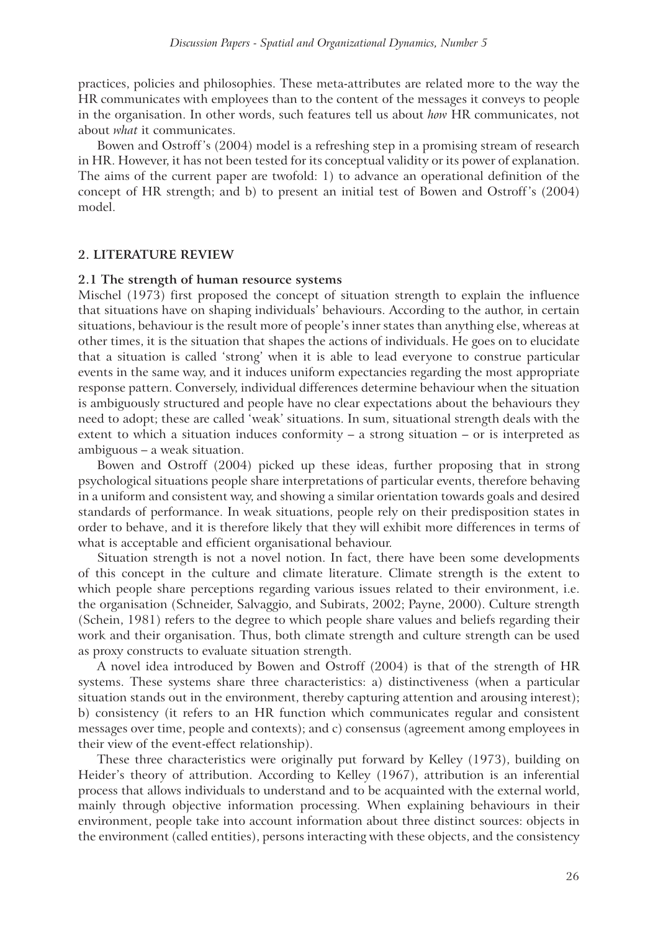practices, policies and philosophies. These meta-attributes are related more to the way the HR communicates with employees than to the content of the messages it conveys to people in the organisation. In other words, such features tell us about *how* HR communicates, not about *what* it communicates.

Bowen and Ostroff's (2004) model is a refreshing step in a promising stream of research in HR. However, it has not been tested for its conceptual validity or its power of explanation. The aims of the current paper are twofold: 1) to advance an operational definition of the concept of HR strength; and b) to present an initial test of Bowen and Ostroff's (2004) model.

#### **2. LITERATURE REVIEW**

#### **2.1 The strength of human resource systems**

Mischel (1973) first proposed the concept of situation strength to explain the influence that situations have on shaping individuals' behaviours. According to the author, in certain situations, behaviour is the result more of people's inner states than anything else, whereas at other times, it is the situation that shapes the actions of individuals. He goes on to elucidate that a situation is called 'strong' when it is able to lead everyone to construe particular events in the same way, and it induces uniform expectancies regarding the most appropriate response pattern. Conversely, individual differences determine behaviour when the situation is ambiguously structured and people have no clear expectations about the behaviours they need to adopt; these are called 'weak' situations. In sum, situational strength deals with the extent to which a situation induces conformity – a strong situation – or is interpreted as ambiguous – a weak situation.

Bowen and Ostroff (2004) picked up these ideas, further proposing that in strong psychological situations people share interpretations of particular events, therefore behaving in a uniform and consistent way, and showing a similar orientation towards goals and desired standards of performance. In weak situations, people rely on their predisposition states in order to behave, and it is therefore likely that they will exhibit more differences in terms of what is acceptable and efficient organisational behaviour.

Situation strength is not a novel notion. In fact, there have been some developments of this concept in the culture and climate literature. Climate strength is the extent to which people share perceptions regarding various issues related to their environment, i.e. the organisation (Schneider, Salvaggio, and Subirats, 2002; Payne, 2000). Culture strength (Schein, 1981) refers to the degree to which people share values and beliefs regarding their work and their organisation. Thus, both climate strength and culture strength can be used as proxy constructs to evaluate situation strength.

A novel idea introduced by Bowen and Ostroff (2004) is that of the strength of HR systems. These systems share three characteristics: a) distinctiveness (when a particular situation stands out in the environment, thereby capturing attention and arousing interest); b) consistency (it refers to an HR function which communicates regular and consistent messages over time, people and contexts); and c) consensus (agreement among employees in their view of the event-effect relationship).

These three characteristics were originally put forward by Kelley (1973), building on Heider's theory of attribution. According to Kelley (1967), attribution is an inferential process that allows individuals to understand and to be acquainted with the external world, mainly through objective information processing. When explaining behaviours in their environment, people take into account information about three distinct sources: objects in the environment (called entities), persons interacting with these objects, and the consistency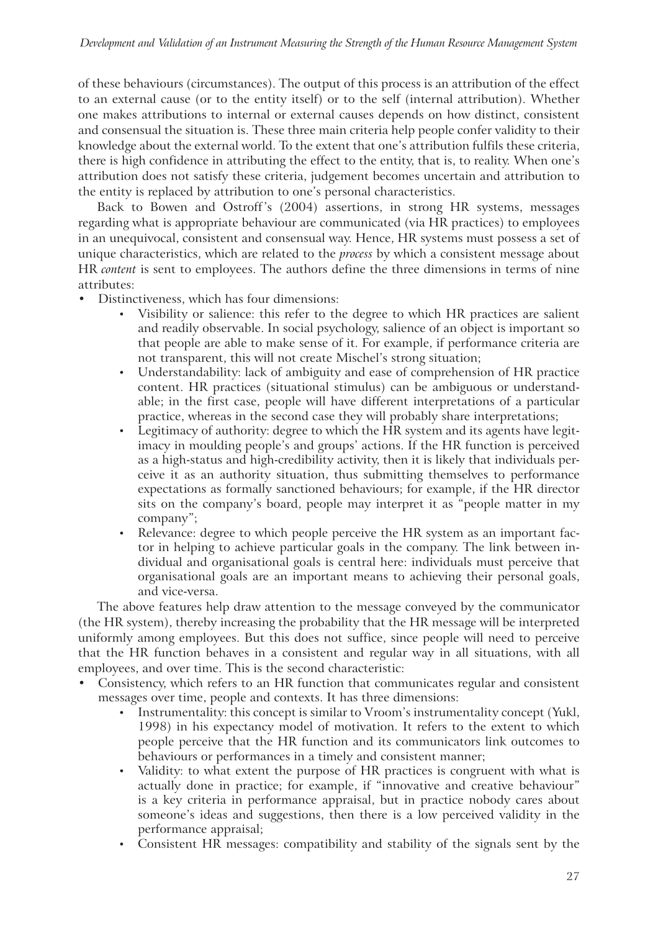of these behaviours (circumstances). The output of this process is an attribution of the effect to an external cause (or to the entity itself) or to the self (internal attribution). Whether one makes attributions to internal or external causes depends on how distinct, consistent and consensual the situation is. These three main criteria help people confer validity to their knowledge about the external world. To the extent that one's attribution fulfils these criteria, there is high confidence in attributing the effect to the entity, that is, to reality. When one's attribution does not satisfy these criteria, judgement becomes uncertain and attribution to the entity is replaced by attribution to one's personal characteristics.

Back to Bowen and Ostroff's (2004) assertions, in strong HR systems, messages regarding what is appropriate behaviour are communicated (via HR practices) to employees in an unequivocal, consistent and consensual way. Hence, HR systems must possess a set of unique characteristics, which are related to the *process* by which a consistent message about HR *content* is sent to employees. The authors define the three dimensions in terms of nine attributes:

- ! Distinctiveness, which has four dimensions:
	- ! Visibility or salience: this refer to the degree to which HR practices are salient and readily observable. In social psychology, salience of an object is important so that people are able to make sense of it. For example, if performance criteria are not transparent, this will not create Mischel's strong situation;
	- ! Understandability: lack of ambiguity and ease of comprehension of HR practice content. HR practices (situational stimulus) can be ambiguous or understandable; in the first case, people will have different interpretations of a particular practice, whereas in the second case they will probably share interpretations;
	- ! Legitimacy of authority: degree to which the HR system and its agents have legitimacy in moulding people's and groups' actions. If the HR function is perceived as a high-status and high-credibility activity, then it is likely that individuals perceive it as an authority situation, thus submitting themselves to performance expectations as formally sanctioned behaviours; for example, if the HR director sits on the company's board, people may interpret it as "people matter in my company";
	- Relevance: degree to which people perceive the HR system as an important factor in helping to achieve particular goals in the company. The link between individual and organisational goals is central here: individuals must perceive that organisational goals are an important means to achieving their personal goals, and vice-versa.

The above features help draw attention to the message conveyed by the communicator (the HR system), thereby increasing the probability that the HR message will be interpreted uniformly among employees. But this does not suffice, since people will need to perceive that the HR function behaves in a consistent and regular way in all situations, with all employees, and over time. This is the second characteristic:

- Consistency, which refers to an HR function that communicates regular and consistent messages over time, people and contexts. It has three dimensions:
	- ! Instrumentality: this concept is similar to Vroom's instrumentality concept (Yukl, 1998) in his expectancy model of motivation. It refers to the extent to which people perceive that the HR function and its communicators link outcomes to behaviours or performances in a timely and consistent manner;
	- ! Validity: to what extent the purpose of HR practices is congruent with what is actually done in practice; for example, if "innovative and creative behaviour" is a key criteria in performance appraisal, but in practice nobody cares about someone's ideas and suggestions, then there is a low perceived validity in the performance appraisal;
	- ! Consistent HR messages: compatibility and stability of the signals sent by the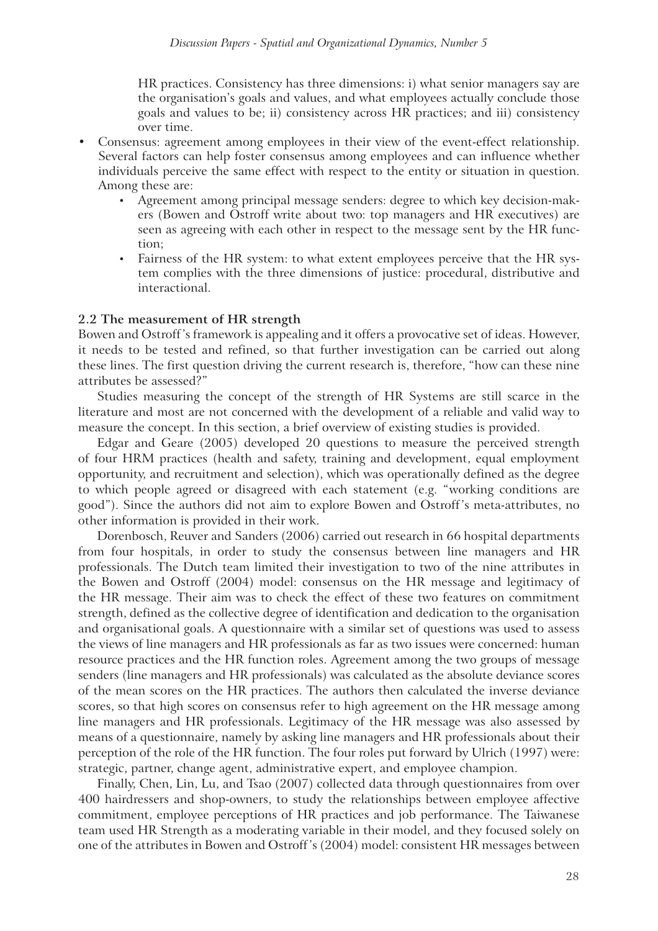HR practices. Consistency has three dimensions: i) what senior managers say are the organisation's goals and values, and what employees actually conclude those goals and values to be; ii) consistency across HR practices; and iii) consistency over time.

- ! Consensus: agreement among employees in their view of the event-effect relationship. Several factors can help foster consensus among employees and can influence whether individuals perceive the same effect with respect to the entity or situation in question. Among these are:
	- ! Agreement among principal message senders: degree to which key decision-makers (Bowen and Ostroff write about two: top managers and HR executives) are seen as agreeing with each other in respect to the message sent by the HR function;
	- ! Fairness of the HR system: to what extent employees perceive that the HR system complies with the three dimensions of justice: procedural, distributive and interactional.

#### **2.2 The measurement of HR strength**

Bowen and Ostroff's framework is appealing and it offers a provocative set of ideas. However, it needs to be tested and refined, so that further investigation can be carried out along these lines. The first question driving the current research is, therefore, "how can these nine attributes be assessed?"

Studies measuring the concept of the strength of HR Systems are still scarce in the literature and most are not concerned with the development of a reliable and valid way to measure the concept. In this section, a brief overview of existing studies is provided.

Edgar and Geare (2005) developed 20 questions to measure the perceived strength of four HRM practices (health and safety, training and development, equal employment opportunity, and recruitment and selection), which was operationally defined as the degree to which people agreed or disagreed with each statement (e.g. "working conditions are good"). Since the authors did not aim to explore Bowen and Ostroff's meta-attributes, no other information is provided in their work.

Dorenbosch, Reuver and Sanders (2006) carried out research in 66 hospital departments from four hospitals, in order to study the consensus between line managers and HR professionals. The Dutch team limited their investigation to two of the nine attributes in the Bowen and Ostroff (2004) model: consensus on the HR message and legitimacy of the HR message. Their aim was to check the effect of these two features on commitment strength, defined as the collective degree of identification and dedication to the organisation and organisational goals. A questionnaire with a similar set of questions was used to assess the views of line managers and HR professionals as far as two issues were concerned: human resource practices and the HR function roles. Agreement among the two groups of message senders (line managers and HR professionals) was calculated as the absolute deviance scores of the mean scores on the HR practices. The authors then calculated the inverse deviance scores, so that high scores on consensus refer to high agreement on the HR message among line managers and HR professionals. Legitimacy of the HR message was also assessed by means of a questionnaire, namely by asking line managers and HR professionals about their perception of the role of the HR function. The four roles put forward by Ulrich (1997) were: strategic, partner, change agent, administrative expert, and employee champion.

Finally, Chen, Lin, Lu, and Tsao (2007) collected data through questionnaires from over 400 hairdressers and shop-owners, to study the relationships between employee affective commitment, employee perceptions of HR practices and job performance. The Taiwanese team used HR Strength as a moderating variable in their model, and they focused solely on one of the attributes in Bowen and Ostroff's (2004) model: consistent HR messages between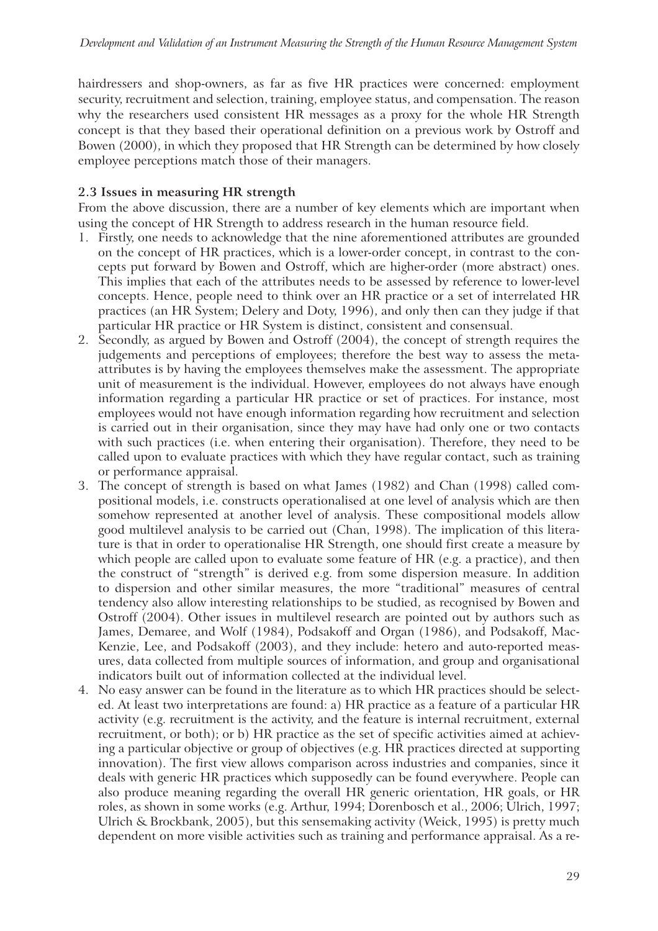hairdressers and shop-owners, as far as five HR practices were concerned: employment security, recruitment and selection, training, employee status, and compensation. The reason why the researchers used consistent HR messages as a proxy for the whole HR Strength concept is that they based their operational definition on a previous work by Ostroff and Bowen (2000), in which they proposed that HR Strength can be determined by how closely employee perceptions match those of their managers.

#### **2.3 Issues in measuring HR strength**

From the above discussion, there are a number of key elements which are important when using the concept of HR Strength to address research in the human resource field.

- 1. Firstly, one needs to acknowledge that the nine aforementioned attributes are grounded on the concept of HR practices, which is a lower-order concept, in contrast to the concepts put forward by Bowen and Ostroff, which are higher-order (more abstract) ones. This implies that each of the attributes needs to be assessed by reference to lower-level concepts. Hence, people need to think over an HR practice or a set of interrelated HR practices (an HR System; Delery and Doty, 1996), and only then can they judge if that particular HR practice or HR System is distinct, consistent and consensual.
- 2. Secondly, as argued by Bowen and Ostroff (2004), the concept of strength requires the judgements and perceptions of employees; therefore the best way to assess the metaattributes is by having the employees themselves make the assessment. The appropriate unit of measurement is the individual. However, employees do not always have enough information regarding a particular HR practice or set of practices. For instance, most employees would not have enough information regarding how recruitment and selection is carried out in their organisation, since they may have had only one or two contacts with such practices (i.e. when entering their organisation). Therefore, they need to be called upon to evaluate practices with which they have regular contact, such as training or performance appraisal.
- 3. The concept of strength is based on what James (1982) and Chan (1998) called compositional models, i.e. constructs operationalised at one level of analysis which are then somehow represented at another level of analysis. These compositional models allow good multilevel analysis to be carried out (Chan, 1998). The implication of this literature is that in order to operationalise HR Strength, one should first create a measure by which people are called upon to evaluate some feature of HR (e.g. a practice), and then the construct of "strength" is derived e.g. from some dispersion measure. In addition to dispersion and other similar measures, the more "traditional" measures of central tendency also allow interesting relationships to be studied, as recognised by Bowen and Ostroff (2004). Other issues in multilevel research are pointed out by authors such as James, Demaree, and Wolf (1984), Podsakoff and Organ (1986), and Podsakoff, Mac-Kenzie, Lee, and Podsakoff (2003), and they include: hetero and auto-reported measures, data collected from multiple sources of information, and group and organisational indicators built out of information collected at the individual level.
- 4. No easy answer can be found in the literature as to which HR practices should be selected. At least two interpretations are found: a) HR practice as a feature of a particular HR activity (e.g. recruitment is the activity, and the feature is internal recruitment, external recruitment, or both); or b) HR practice as the set of specific activities aimed at achieving a particular objective or group of objectives (e.g. HR practices directed at supporting innovation). The first view allows comparison across industries and companies, since it deals with generic HR practices which supposedly can be found everywhere. People can also produce meaning regarding the overall HR generic orientation, HR goals, or HR roles, as shown in some works (e.g. Arthur, 1994; Dorenbosch et al., 2006; Ulrich, 1997; Ulrich & Brockbank, 2005), but this sensemaking activity (Weick, 1995) is pretty much dependent on more visible activities such as training and performance appraisal. As a re-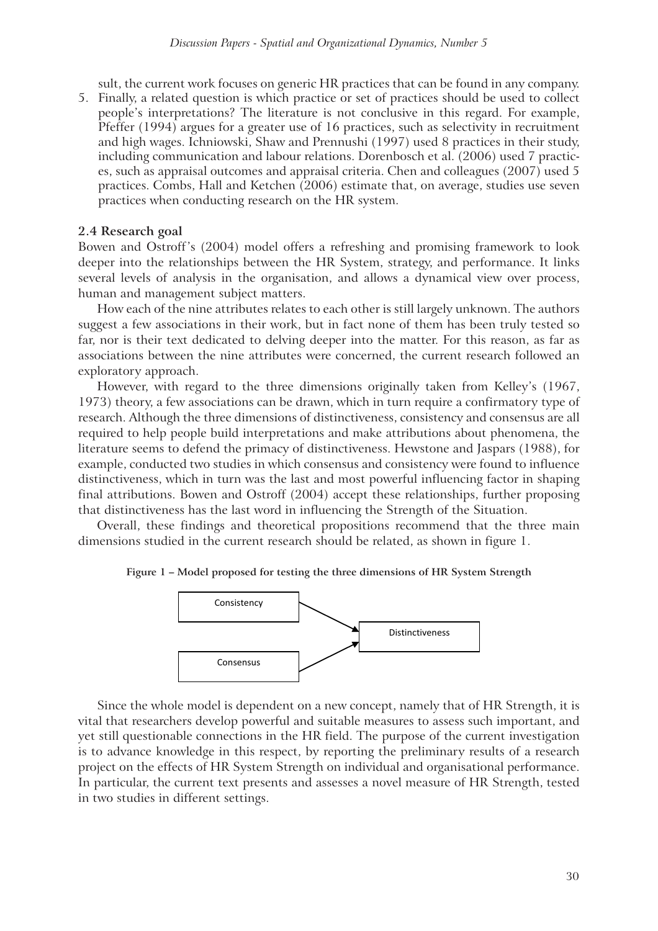sult, the current work focuses on generic HR practices that can be found in any company.

5. Finally, a related question is which practice or set of practices should be used to collect people's interpretations? The literature is not conclusive in this regard. For example, Pfeffer (1994) argues for a greater use of 16 practices, such as selectivity in recruitment and high wages. Ichniowski, Shaw and Prennushi (1997) used 8 practices in their study, including communication and labour relations. Dorenbosch et al. (2006) used 7 practices, such as appraisal outcomes and appraisal criteria. Chen and colleagues (2007) used 5 practices. Combs, Hall and Ketchen (2006) estimate that, on average, studies use seven practices when conducting research on the HR system.

#### **2.4 Research goal**

Bowen and Ostroff's (2004) model offers a refreshing and promising framework to look deeper into the relationships between the HR System, strategy, and performance. It links several levels of analysis in the organisation, and allows a dynamical view over process, human and management subject matters.

How each of the nine attributes relates to each other is still largely unknown. The authors suggest a few associations in their work, but in fact none of them has been truly tested so far, nor is their text dedicated to delving deeper into the matter. For this reason, as far as associations between the nine attributes were concerned, the current research followed an exploratory approach.

However, with regard to the three dimensions originally taken from Kelley's (1967, 1973) theory, a few associations can be drawn, which in turn require a confirmatory type of research. Although the three dimensions of distinctiveness, consistency and consensus are all required to help people build interpretations and make attributions about phenomena, the literature seems to defend the primacy of distinctiveness. Hewstone and Jaspars (1988), for example, conducted two studies in which consensus and consistency were found to influence distinctiveness, which in turn was the last and most powerful influencing factor in shaping final attributions. Bowen and Ostroff (2004) accept these relationships, further proposing that distinctiveness has the last word in influencing the Strength of the Situation.

Overall, these findings and theoretical propositions recommend that the three main dimensions studied in the current research should be related, as shown in figure 1.





Since the whole model is dependent on a new concept, namely that of HR Strength, it is vital that researchers develop powerful and suitable measures to assess such important, and yet still questionable connections in the HR field. The purpose of the current investigation is to advance knowledge in this respect, by reporting the preliminary results of a research project on the effects of HR System Strength on individual and organisational performance. In particular, the current text presents and assesses a novel measure of HR Strength, tested in two studies in different settings.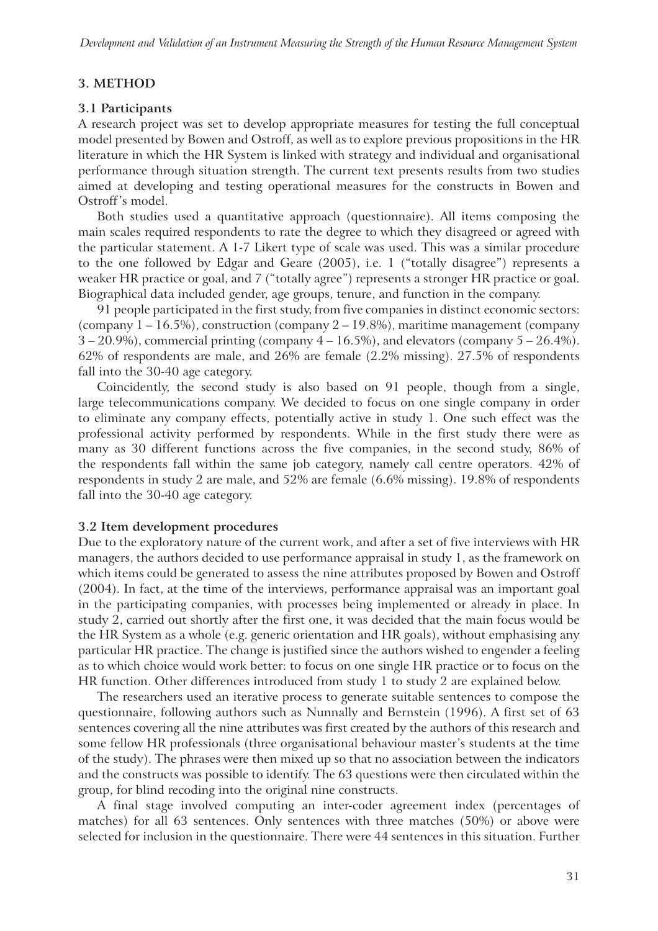#### **3. METHOD**

#### **3.1 Participants**

A research project was set to develop appropriate measures for testing the full conceptual model presented by Bowen and Ostroff, as well as to explore previous propositions in the HR literature in which the HR System is linked with strategy and individual and organisational performance through situation strength. The current text presents results from two studies aimed at developing and testing operational measures for the constructs in Bowen and Ostroff's model.

Both studies used a quantitative approach (questionnaire). All items composing the main scales required respondents to rate the degree to which they disagreed or agreed with the particular statement. A 1-7 Likert type of scale was used. This was a similar procedure to the one followed by Edgar and Geare (2005), i.e. 1 ("totally disagree") represents a weaker HR practice or goal, and 7 ("totally agree") represents a stronger HR practice or goal. Biographical data included gender, age groups, tenure, and function in the company.

91 people participated in the first study, from five companies in distinct economic sectors: (company  $1 - 16.5\%$ ), construction (company  $2 - 19.8\%$ ), maritime management (company  $3 - 20.9\%$ ), commercial printing (company  $4 - 16.5\%$ ), and elevators (company  $5 - 26.4\%$ ). 62% of respondents are male, and 26% are female (2.2% missing). 27.5% of respondents fall into the 30-40 age category.

Coincidently, the second study is also based on 91 people, though from a single, large telecommunications company. We decided to focus on one single company in order to eliminate any company effects, potentially active in study 1. One such effect was the professional activity performed by respondents. While in the first study there were as many as 30 different functions across the five companies, in the second study, 86% of the respondents fall within the same job category, namely call centre operators. 42% of respondents in study 2 are male, and 52% are female (6.6% missing). 19.8% of respondents fall into the 30-40 age category.

#### **3.2 Item development procedures**

Due to the exploratory nature of the current work, and after a set of five interviews with HR managers, the authors decided to use performance appraisal in study 1, as the framework on which items could be generated to assess the nine attributes proposed by Bowen and Ostroff (2004). In fact, at the time of the interviews, performance appraisal was an important goal in the participating companies, with processes being implemented or already in place. In study 2, carried out shortly after the first one, it was decided that the main focus would be the HR System as a whole (e.g. generic orientation and HR goals), without emphasising any particular HR practice. The change is justified since the authors wished to engender a feeling as to which choice would work better: to focus on one single HR practice or to focus on the HR function. Other differences introduced from study 1 to study 2 are explained below.

The researchers used an iterative process to generate suitable sentences to compose the questionnaire, following authors such as Nunnally and Bernstein (1996). A first set of 63 sentences covering all the nine attributes was first created by the authors of this research and some fellow HR professionals (three organisational behaviour master's students at the time of the study). The phrases were then mixed up so that no association between the indicators and the constructs was possible to identify. The 63 questions were then circulated within the group, for blind recoding into the original nine constructs.

A final stage involved computing an inter-coder agreement index (percentages of matches) for all 63 sentences. Only sentences with three matches (50%) or above were selected for inclusion in the questionnaire. There were 44 sentences in this situation. Further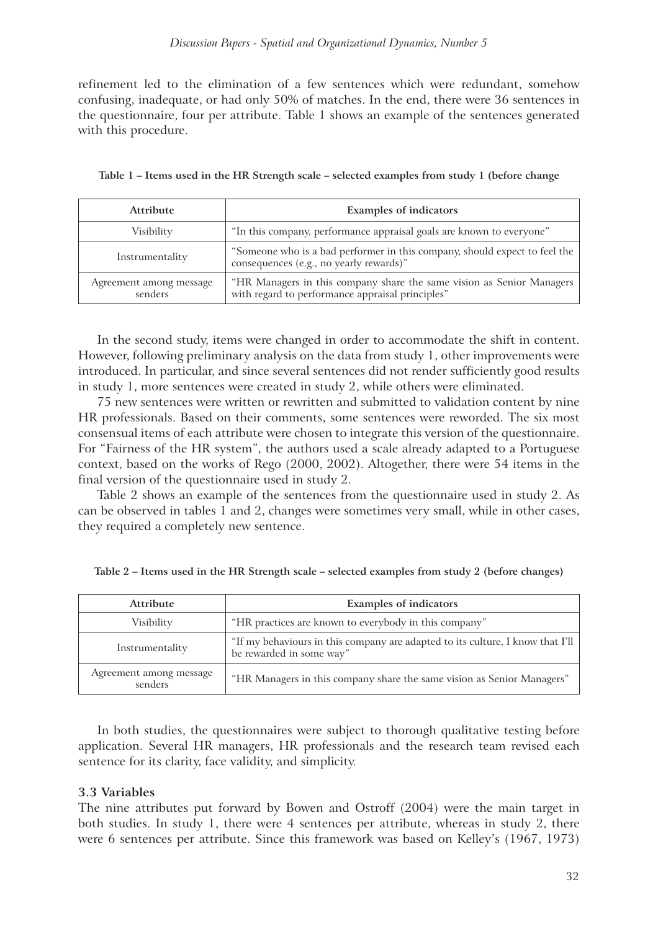refinement led to the elimination of a few sentences which were redundant, somehow confusing, inadequate, or had only 50% of matches. In the end, there were 36 sentences in the questionnaire, four per attribute. Table 1 shows an example of the sentences generated with this procedure.

| Attribute                          | <b>Examples of indicators</b>                                                                                             |
|------------------------------------|---------------------------------------------------------------------------------------------------------------------------|
| Visibility                         | "In this company, performance appraisal goals are known to everyone"                                                      |
| Instrumentality                    | "Someone who is a bad performer in this company, should expect to feel the<br>consequences (e.g., no yearly rewards)"     |
| Agreement among message<br>senders | "HR Managers in this company share the same vision as Senior Managers<br>with regard to performance appraisal principles" |

|  |  |  |  | Table 1 – Items used in the HR Strength scale – selected examples from study 1 (before change |  |  |  |
|--|--|--|--|-----------------------------------------------------------------------------------------------|--|--|--|
|  |  |  |  |                                                                                               |  |  |  |
|  |  |  |  |                                                                                               |  |  |  |

In the second study, items were changed in order to accommodate the shift in content. However, following preliminary analysis on the data from study 1, other improvements were introduced. In particular, and since several sentences did not render sufficiently good results in study 1, more sentences were created in study 2, while others were eliminated.

75 new sentences were written or rewritten and submitted to validation content by nine HR professionals. Based on their comments, some sentences were reworded. The six most consensual items of each attribute were chosen to integrate this version of the questionnaire. For "Fairness of the HR system", the authors used a scale already adapted to a Portuguese context, based on the works of Rego (2000, 2002). Altogether, there were 54 items in the final version of the questionnaire used in study 2.

Table 2 shows an example of the sentences from the questionnaire used in study 2. As can be observed in tables 1 and 2, changes were sometimes very small, while in other cases, they required a completely new sentence.

| <b>Attribute</b>                   | <b>Examples of indicators</b>                                                                              |  |  |
|------------------------------------|------------------------------------------------------------------------------------------------------------|--|--|
| Visibility                         | "HR practices are known to everybody in this company"                                                      |  |  |
| Instrumentality                    | "If my behaviours in this company are adapted to its culture, I know that I'll<br>be rewarded in some way" |  |  |
| Agreement among message<br>senders | "HR Managers in this company share the same vision as Senior Managers"                                     |  |  |

**Table 2 – Items used in the HR Strength scale – selected examples from study 2 (before changes)**

In both studies, the questionnaires were subject to thorough qualitative testing before application. Several HR managers, HR professionals and the research team revised each sentence for its clarity, face validity, and simplicity.

#### **3.3 Variables**

The nine attributes put forward by Bowen and Ostroff (2004) were the main target in both studies. In study 1, there were 4 sentences per attribute, whereas in study 2, there were 6 sentences per attribute. Since this framework was based on Kelley's (1967, 1973)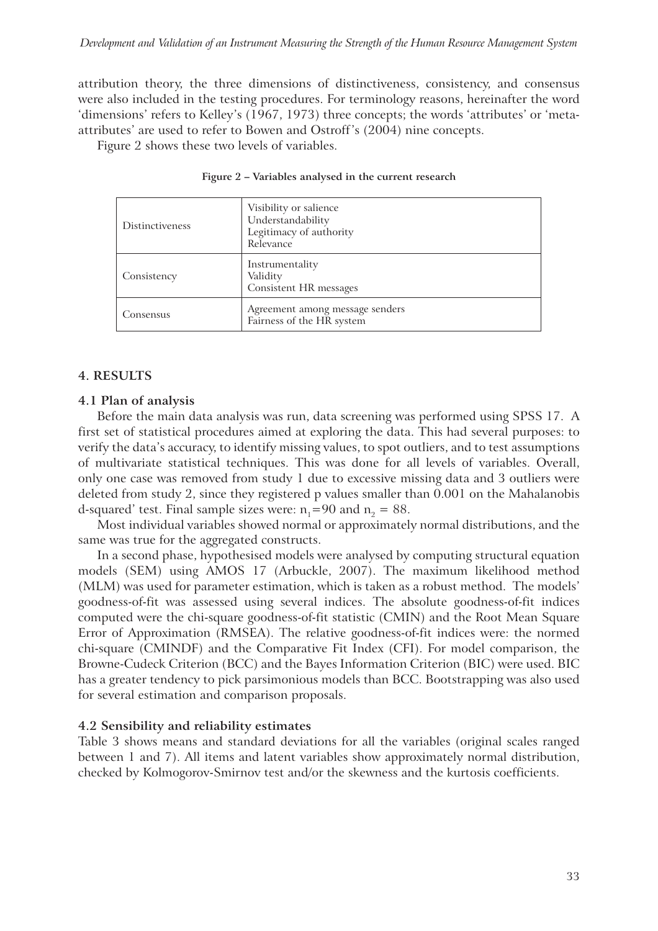attribution theory, the three dimensions of distinctiveness, consistency, and consensus were also included in the testing procedures. For terminology reasons, hereinafter the word 'dimensions' refers to Kelley's (1967, 1973) three concepts; the words 'attributes' or 'metaattributes' are used to refer to Bowen and Ostroff's (2004) nine concepts.

Figure 2 shows these two levels of variables.

| <b>Distinctiveness</b> | Visibility or salience<br>Understandability<br>Legitimacy of authority<br>Relevance |
|------------------------|-------------------------------------------------------------------------------------|
| Consistency            | Instrumentality<br>Validity<br>Consistent HR messages                               |
| Consensus              | Agreement among message senders<br>Fairness of the HR system                        |

**Figure 2 – Variables analysed in the current research**

#### **4. RESULTS**

#### **4.1 Plan of analysis**

Before the main data analysis was run, data screening was performed using SPSS 17. A first set of statistical procedures aimed at exploring the data. This had several purposes: to verify the data's accuracy, to identify missing values, to spot outliers, and to test assumptions of multivariate statistical techniques. This was done for all levels of variables. Overall, only one case was removed from study 1 due to excessive missing data and 3 outliers were deleted from study 2, since they registered p values smaller than 0.001 on the Mahalanobis d-squared' test. Final sample sizes were:  $n_1=90$  and  $n_2=88$ .

Most individual variables showed normal or approximately normal distributions, and the same was true for the aggregated constructs.

In a second phase, hypothesised models were analysed by computing structural equation models (SEM) using AMOS 17 (Arbuckle, 2007). The maximum likelihood method (MLM) was used for parameter estimation, which is taken as a robust method. The models' goodness-of-fit was assessed using several indices. The absolute goodness-of-fit indices computed were the chi-square goodness-of-fit statistic (CMIN) and the Root Mean Square Error of Approximation (RMSEA). The relative goodness-of-fit indices were: the normed chi-square (CMINDF) and the Comparative Fit Index (CFI). For model comparison, the Browne-Cudeck Criterion (BCC) and the Bayes Information Criterion (BIC) were used. BIC has a greater tendency to pick parsimonious models than BCC. Bootstrapping was also used for several estimation and comparison proposals.

#### **4.2 Sensibility and reliability estimates**

Table 3 shows means and standard deviations for all the variables (original scales ranged between 1 and 7). All items and latent variables show approximately normal distribution, checked by Kolmogorov-Smirnov test and/or the skewness and the kurtosis coefficients.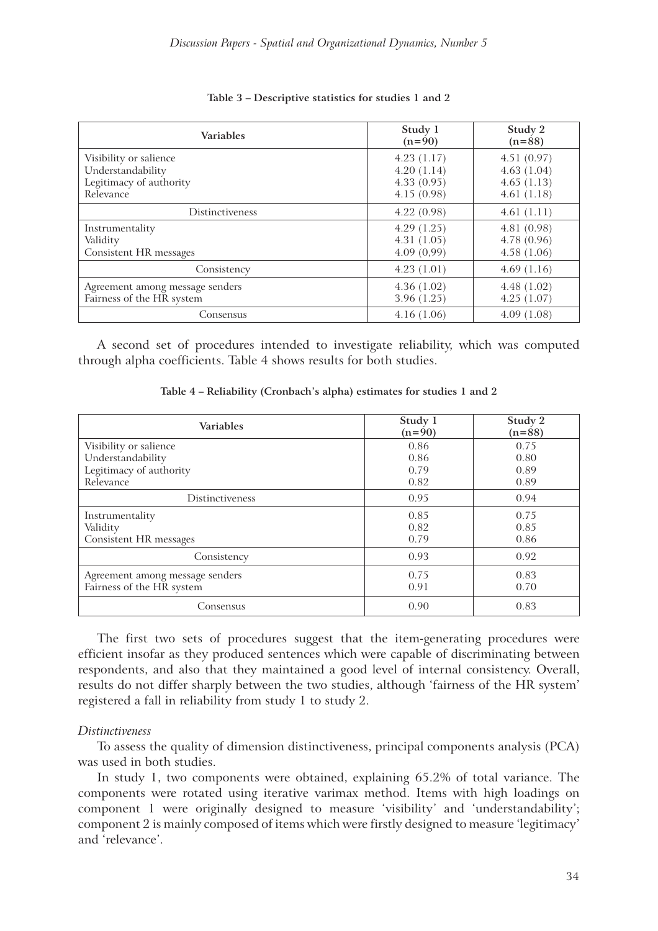| <b>Variables</b>                                                                    | Study 1<br>$(n=90)$                                  | Study 2<br>$(n=88)$                                  |  |  |
|-------------------------------------------------------------------------------------|------------------------------------------------------|------------------------------------------------------|--|--|
| Visibility or salience<br>Understandability<br>Legitimacy of authority<br>Relevance | 4.23(1.17)<br>4.20(1.14)<br>4.33(0.95)<br>4.15(0.98) | 4.51(0.97)<br>4.63(1.04)<br>4.65(1.13)<br>4.61(1.18) |  |  |
| Distinctiveness                                                                     | 4.22(0.98)                                           | 4.61(1.11)                                           |  |  |
| Instrumentality<br>Validity<br>Consistent HR messages                               | 4.29(1.25)<br>4.31(1.05)<br>4.09(0,99)               | 4.81(0.98)<br>4.78(0.96)<br>4.58(1.06)               |  |  |
| Consistency                                                                         | 4.23(1.01)                                           | 4.69(1.16)                                           |  |  |
| Agreement among message senders<br>Fairness of the HR system                        | 4.36(1.02)<br>3.96(1.25)                             | 4.48(1.02)<br>4.25(1.07)                             |  |  |
| Consensus                                                                           | 4.16(1.06)                                           | 4.09(1.08)                                           |  |  |

#### **Table 3 – Descriptive statistics for studies 1 and 2**

A second set of procedures intended to investigate reliability, which was computed through alpha coefficients. Table 4 shows results for both studies.

**Table 4 – Reliability (Cronbach's alpha) estimates for studies 1 and 2**

| <b>Variables</b>                | Study 1<br>$(n=90)$ | Study 2<br>$(n=88)$ |  |
|---------------------------------|---------------------|---------------------|--|
| Visibility or salience          | 0.86                | 0.75                |  |
| Understandability               | 0.86                | 0.80                |  |
| Legitimacy of authority         | 0.79                | 0.89                |  |
| Relevance                       | 0.82                | 0.89                |  |
| <b>Distinctiveness</b>          | 0.95                | 0.94                |  |
| Instrumentality                 | 0.85                | 0.75                |  |
| Validity                        | 0.82                | 0.85                |  |
| Consistent HR messages          | 0.79                | 0.86                |  |
| Consistency                     | 0.93                | 0.92                |  |
| Agreement among message senders | 0.75                | 0.83                |  |
| Fairness of the HR system       | 0.91                | 0.70                |  |
| Consensus                       | 0.90                | 0.83                |  |

The first two sets of procedures suggest that the item-generating procedures were efficient insofar as they produced sentences which were capable of discriminating between respondents, and also that they maintained a good level of internal consistency. Overall, results do not differ sharply between the two studies, although 'fairness of the HR system' registered a fall in reliability from study 1 to study 2.

#### *Distinctiveness*

To assess the quality of dimension distinctiveness, principal components analysis (PCA) was used in both studies.

In study 1, two components were obtained, explaining 65.2% of total variance. The components were rotated using iterative varimax method. Items with high loadings on component 1 were originally designed to measure 'visibility' and 'understandability'; component 2 is mainly composed of items which were firstly designed to measure 'legitimacy' and 'relevance'.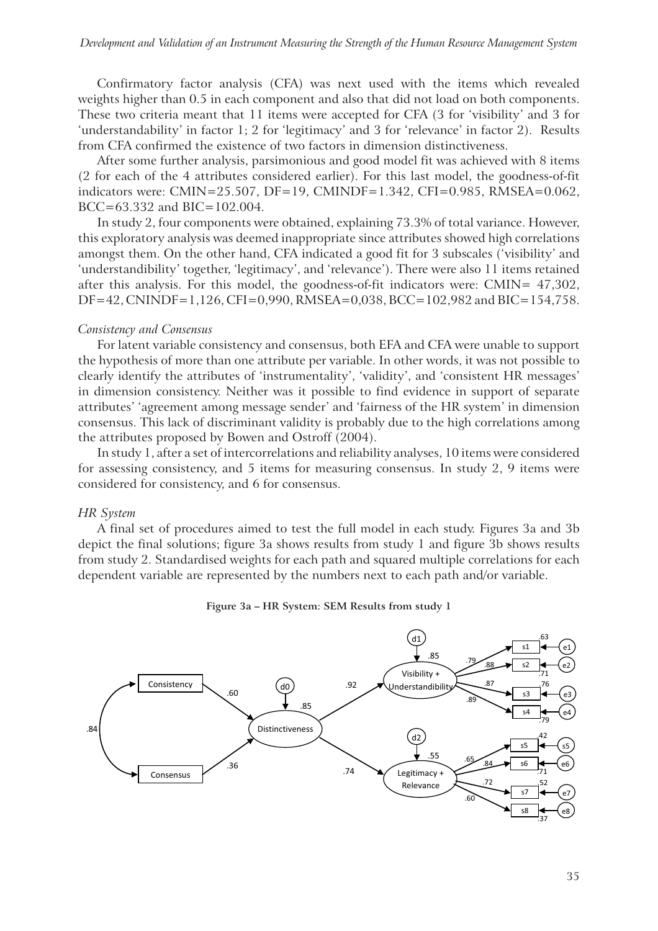Confirmatory factor analysis (CFA) was next used with the items which revealed weights higher than 0.5 in each component and also that did not load on both components. These two criteria meant that 11 items were accepted for CFA (3 for 'visibility' and 3 for 'understandability' in factor 1; 2 for 'legitimacy' and 3 for 'relevance' in factor 2). Results from CFA confirmed the existence of two factors in dimension distinctiveness.

After some further analysis, parsimonious and good model fit was achieved with 8 items (2 for each of the 4 attributes considered earlier). For this last model, the goodness-of-fit indicators were: CMIN=25.507, DF=19, CMINDF=1.342, CFI=0.985, RMSEA=0.062, BCC=63.332 and BIC=102.004.

In study 2, four components were obtained, explaining 73.3% of total variance. However, this exploratory analysis was deemed inappropriate since attributes showed high correlations amongst them. On the other hand, CFA indicated a good fit for 3 subscales ('visibility' and 'understandibility' together, 'legitimacy', and 'relevance'). There were also 11 items retained after this analysis. For this model, the goodness-of-fit indicators were: CMIN= 47,302, DF=42, CNINDF=1,126, CFI=0,990, RMSEA=0,038, BCC=102,982 and BIC=154,758.

#### *Consistency and Consensus*

For latent variable consistency and consensus, both EFA and CFA were unable to support the hypothesis of more than one attribute per variable. In other words, it was not possible to clearly identify the attributes of 'instrumentality', 'validity', and 'consistent HR messages' in dimension consistency. Neither was it possible to find evidence in support of separate attributes' 'agreement among message sender' and 'fairness of the HR system' in dimension consensus. This lack of discriminant validity is probably due to the high correlations among the attributes proposed by Bowen and Ostroff (2004).

In study 1, after a set of intercorrelations and reliability analyses, 10 items were considered for assessing consistency, and 5 items for measuring consensus. In study 2, 9 items were considered for consistency, and 6 for consensus.

#### *HR System*

A final set of procedures aimed to test the full model in each study. Figures 3a and 3b depict the final solutions; figure 3a shows results from study 1 and figure 3b shows results from study 2. Standardised weights for each path and squared multiple correlations for each dependent variable are represented by the numbers next to each path and/or variable.



**Figure 3a – HR System: SEM Results from study 1**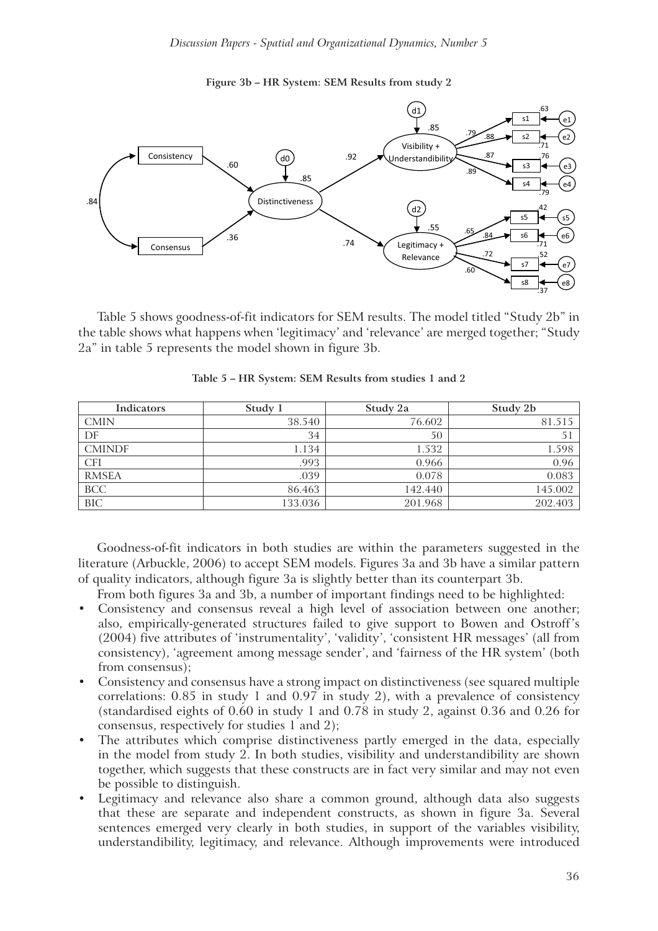**Figure 3b – HR System: SEM Results from study 2**



Table 5 shows goodness-of-fit indicators for SEM results. The model titled "Study 2b" in the table shows what happens when 'legitimacy' and 'relevance' are merged together; "Study 2a" in table 5 represents the model shown in figure 3b.

| Indicators    | Study 1 | Study 2a | Study 2b |
|---------------|---------|----------|----------|
| <b>CMIN</b>   | 38.540  | 76.602   | 81.515   |
| DF            | 34      | 50       | 51       |
| <b>CMINDF</b> | 1.134   | 1.532    | 1.598    |
| <b>CFI</b>    | .993    | 0.966    | 0.96     |
| <b>RMSEA</b>  | .039    | 0.078    | 0.083    |
| <b>BCC</b>    | 86.463  | 142.440  | 145.002  |
| <b>BIC</b>    | 133.036 | 201.968  | 202.403  |

**Table 5 – HR System: SEM Results from studies 1 and 2**

Goodness-of-fit indicators in both studies are within the parameters suggested in the literature (Arbuckle, 2006) to accept SEM models. Figures 3a and 3b have a similar pattern of quality indicators, although figure 3a is slightly better than its counterpart 3b.

From both figures 3a and 3b, a number of important findings need to be highlighted:

- Consistency and consensus reveal a high level of association between one another; also, empirically-generated structures failed to give support to Bowen and Ostroff's (2004) five attributes of 'instrumentality', 'validity', 'consistent HR messages' (all from consistency), 'agreement among message sender', and 'fairness of the HR system' (both from consensus);
- ! Consistency and consensus have a strong impact on distinctiveness (see squared multiple correlations: 0.85 in study 1 and 0.97 in study 2), with a prevalence of consistency (standardised eights of 0.60 in study 1 and 0.78 in study 2, against 0.36 and 0.26 for consensus, respectively for studies 1 and 2);
- The attributes which comprise distinctiveness partly emerged in the data, especially in the model from study 2. In both studies, visibility and understandibility are shown together, which suggests that these constructs are in fact very similar and may not even be possible to distinguish.
- ! Legitimacy and relevance also share a common ground, although data also suggests that these are separate and independent constructs, as shown in figure 3a. Several sentences emerged very clearly in both studies, in support of the variables visibility, understandibility, legitimacy, and relevance. Although improvements were introduced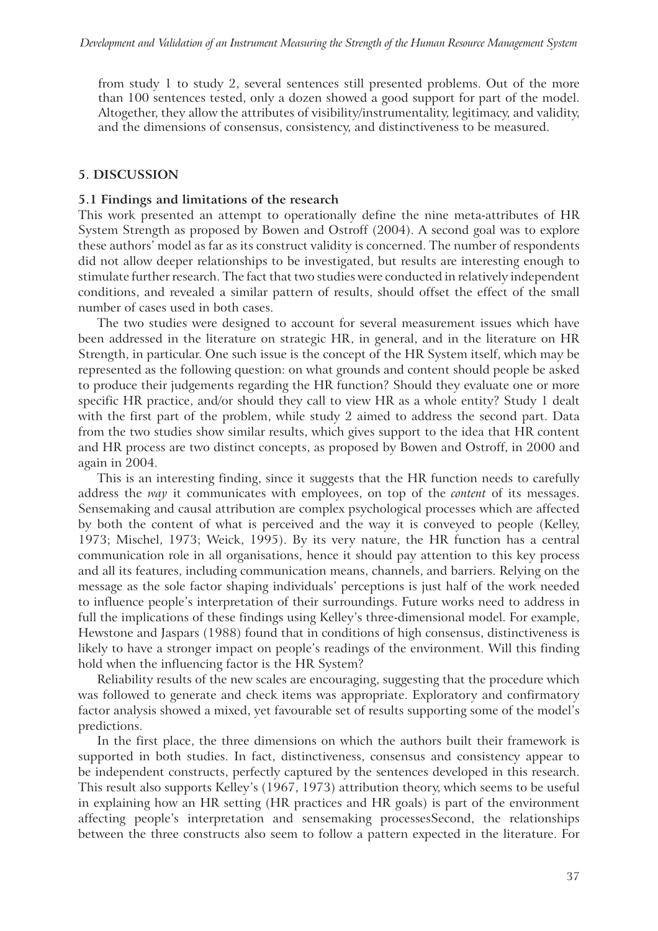from study 1 to study 2, several sentences still presented problems. Out of the more than 100 sentences tested, only a dozen showed a good support for part of the model. Altogether, they allow the attributes of visibility/instrumentality, legitimacy, and validity, and the dimensions of consensus, consistency, and distinctiveness to be measured.

## **5. DISCUSSION**

## **5.1 Findings and limitations of the research**

This work presented an attempt to operationally define the nine meta-attributes of HR System Strength as proposed by Bowen and Ostroff (2004). A second goal was to explore these authors' model as far as its construct validity is concerned. The number of respondents did not allow deeper relationships to be investigated, but results are interesting enough to stimulate further research. The fact that two studies were conducted in relatively independent conditions, and revealed a similar pattern of results, should offset the effect of the small number of cases used in both cases.

The two studies were designed to account for several measurement issues which have been addressed in the literature on strategic HR, in general, and in the literature on HR Strength, in particular. One such issue is the concept of the HR System itself, which may be represented as the following question: on what grounds and content should people be asked to produce their judgements regarding the HR function? Should they evaluate one or more specific HR practice, and/or should they call to view HR as a whole entity? Study 1 dealt with the first part of the problem, while study 2 aimed to address the second part. Data from the two studies show similar results, which gives support to the idea that HR content and HR process are two distinct concepts, as proposed by Bowen and Ostroff, in 2000 and again in 2004.

This is an interesting finding, since it suggests that the HR function needs to carefully address the *way* it communicates with employees, on top of the *content* of its messages. Sensemaking and causal attribution are complex psychological processes which are affected by both the content of what is perceived and the way it is conveyed to people (Kelley, 1973; Mischel, 1973; Weick, 1995). By its very nature, the HR function has a central communication role in all organisations, hence it should pay attention to this key process and all its features, including communication means, channels, and barriers. Relying on the message as the sole factor shaping individuals' perceptions is just half of the work needed to influence people's interpretation of their surroundings. Future works need to address in full the implications of these findings using Kelley's three-dimensional model. For example, Hewstone and Jaspars (1988) found that in conditions of high consensus, distinctiveness is likely to have a stronger impact on people's readings of the environment. Will this finding hold when the influencing factor is the HR System?

Reliability results of the new scales are encouraging, suggesting that the procedure which was followed to generate and check items was appropriate. Exploratory and confirmatory factor analysis showed a mixed, yet favourable set of results supporting some of the model's predictions.

In the first place, the three dimensions on which the authors built their framework is supported in both studies. In fact, distinctiveness, consensus and consistency appear to be independent constructs, perfectly captured by the sentences developed in this research. This result also supports Kelley's (1967, 1973) attribution theory, which seems to be useful in explaining how an HR setting (HR practices and HR goals) is part of the environment affecting people's interpretation and sensemaking processesSecond, the relationships between the three constructs also seem to follow a pattern expected in the literature. For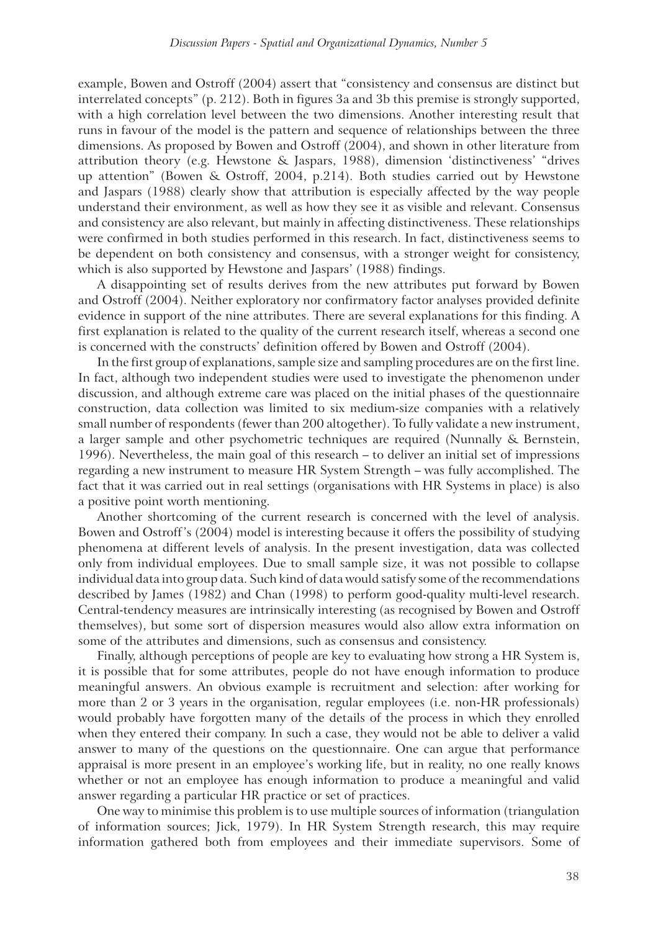example, Bowen and Ostroff (2004) assert that "consistency and consensus are distinct but interrelated concepts" (p. 212). Both in figures 3a and 3b this premise is strongly supported, with a high correlation level between the two dimensions. Another interesting result that runs in favour of the model is the pattern and sequence of relationships between the three dimensions. As proposed by Bowen and Ostroff (2004), and shown in other literature from attribution theory (e.g. Hewstone & Jaspars, 1988), dimension 'distinctiveness' "drives up attention" (Bowen & Ostroff, 2004, p.214). Both studies carried out by Hewstone and Jaspars (1988) clearly show that attribution is especially affected by the way people understand their environment, as well as how they see it as visible and relevant. Consensus and consistency are also relevant, but mainly in affecting distinctiveness. These relationships were confirmed in both studies performed in this research. In fact, distinctiveness seems to be dependent on both consistency and consensus, with a stronger weight for consistency, which is also supported by Hewstone and Jaspars' (1988) findings.

A disappointing set of results derives from the new attributes put forward by Bowen and Ostroff (2004). Neither exploratory nor confirmatory factor analyses provided definite evidence in support of the nine attributes. There are several explanations for this finding. A first explanation is related to the quality of the current research itself, whereas a second one is concerned with the constructs' definition offered by Bowen and Ostroff (2004).

In the first group of explanations, sample size and sampling procedures are on the first line. In fact, although two independent studies were used to investigate the phenomenon under discussion, and although extreme care was placed on the initial phases of the questionnaire construction, data collection was limited to six medium-size companies with a relatively small number of respondents (fewer than 200 altogether). To fully validate a new instrument, a larger sample and other psychometric techniques are required (Nunnally & Bernstein, 1996). Nevertheless, the main goal of this research – to deliver an initial set of impressions regarding a new instrument to measure HR System Strength – was fully accomplished. The fact that it was carried out in real settings (organisations with HR Systems in place) is also a positive point worth mentioning.

Another shortcoming of the current research is concerned with the level of analysis. Bowen and Ostroff's (2004) model is interesting because it offers the possibility of studying phenomena at different levels of analysis. In the present investigation, data was collected only from individual employees. Due to small sample size, it was not possible to collapse individual data into group data. Such kind of data would satisfy some of the recommendations described by James (1982) and Chan (1998) to perform good-quality multi-level research. Central-tendency measures are intrinsically interesting (as recognised by Bowen and Ostroff themselves), but some sort of dispersion measures would also allow extra information on some of the attributes and dimensions, such as consensus and consistency.

Finally, although perceptions of people are key to evaluating how strong a HR System is, it is possible that for some attributes, people do not have enough information to produce meaningful answers. An obvious example is recruitment and selection: after working for more than 2 or 3 years in the organisation, regular employees (i.e. non-HR professionals) would probably have forgotten many of the details of the process in which they enrolled when they entered their company. In such a case, they would not be able to deliver a valid answer to many of the questions on the questionnaire. One can argue that performance appraisal is more present in an employee's working life, but in reality, no one really knows whether or not an employee has enough information to produce a meaningful and valid answer regarding a particular HR practice or set of practices.

One way to minimise this problem is to use multiple sources of information (triangulation of information sources; Jick, 1979). In HR System Strength research, this may require information gathered both from employees and their immediate supervisors. Some of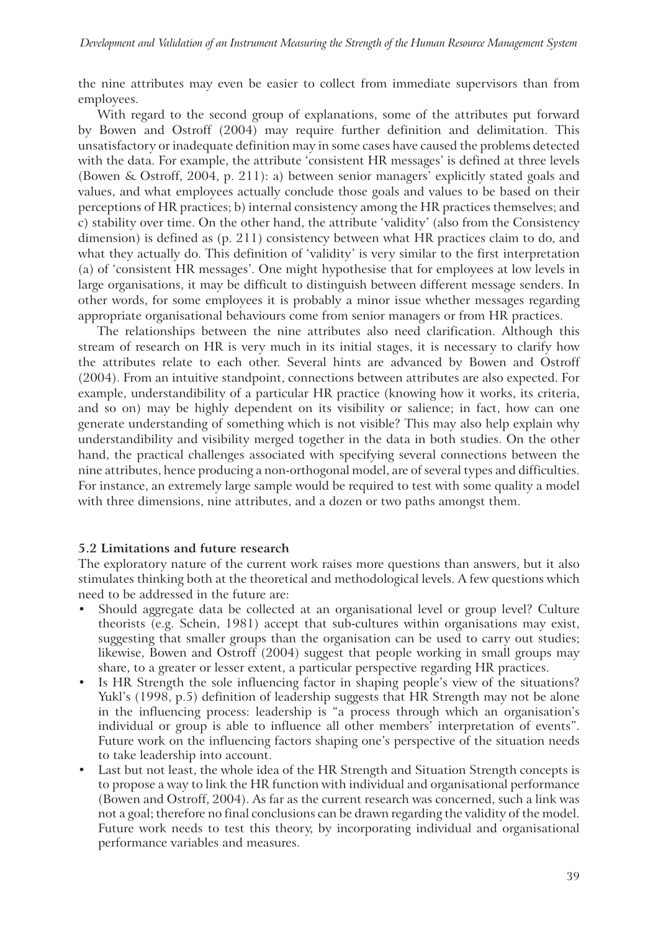the nine attributes may even be easier to collect from immediate supervisors than from employees.

With regard to the second group of explanations, some of the attributes put forward by Bowen and Ostroff (2004) may require further definition and delimitation. This unsatisfactory or inadequate definition may in some cases have caused the problems detected with the data. For example, the attribute 'consistent HR messages' is defined at three levels (Bowen & Ostroff, 2004, p. 211): a) between senior managers' explicitly stated goals and values, and what employees actually conclude those goals and values to be based on their perceptions of HR practices; b) internal consistency among the HR practices themselves; and c) stability over time. On the other hand, the attribute 'validity' (also from the Consistency dimension) is defined as (p. 211) consistency between what HR practices claim to do, and what they actually do. This definition of 'validity' is very similar to the first interpretation (a) of 'consistent HR messages'. One might hypothesise that for employees at low levels in large organisations, it may be difficult to distinguish between different message senders. In other words, for some employees it is probably a minor issue whether messages regarding appropriate organisational behaviours come from senior managers or from HR practices.

The relationships between the nine attributes also need clarification. Although this stream of research on HR is very much in its initial stages, it is necessary to clarify how the attributes relate to each other. Several hints are advanced by Bowen and Ostroff (2004). From an intuitive standpoint, connections between attributes are also expected. For example, understandibility of a particular HR practice (knowing how it works, its criteria, and so on) may be highly dependent on its visibility or salience; in fact, how can one generate understanding of something which is not visible? This may also help explain why understandibility and visibility merged together in the data in both studies. On the other hand, the practical challenges associated with specifying several connections between the nine attributes, hence producing a non-orthogonal model, are of several types and difficulties. For instance, an extremely large sample would be required to test with some quality a model with three dimensions, nine attributes, and a dozen or two paths amongst them.

#### **5.2 Limitations and future research**

The exploratory nature of the current work raises more questions than answers, but it also stimulates thinking both at the theoretical and methodological levels. A few questions which need to be addressed in the future are:

- Should aggregate data be collected at an organisational level or group level? Culture theorists (e.g. Schein, 1981) accept that sub-cultures within organisations may exist, suggesting that smaller groups than the organisation can be used to carry out studies; likewise, Bowen and Ostroff (2004) suggest that people working in small groups may share, to a greater or lesser extent, a particular perspective regarding HR practices.
- ! Is HR Strength the sole influencing factor in shaping people's view of the situations? Yukl's (1998, p.5) definition of leadership suggests that HR Strength may not be alone in the influencing process: leadership is "a process through which an organisation's individual or group is able to influence all other members' interpretation of events". Future work on the influencing factors shaping one's perspective of the situation needs to take leadership into account.
- Last but not least, the whole idea of the HR Strength and Situation Strength concepts is to propose a way to link the HR function with individual and organisational performance (Bowen and Ostroff, 2004). As far as the current research was concerned, such a link was not a goal; therefore no final conclusions can be drawn regarding the validity of the model. Future work needs to test this theory, by incorporating individual and organisational performance variables and measures.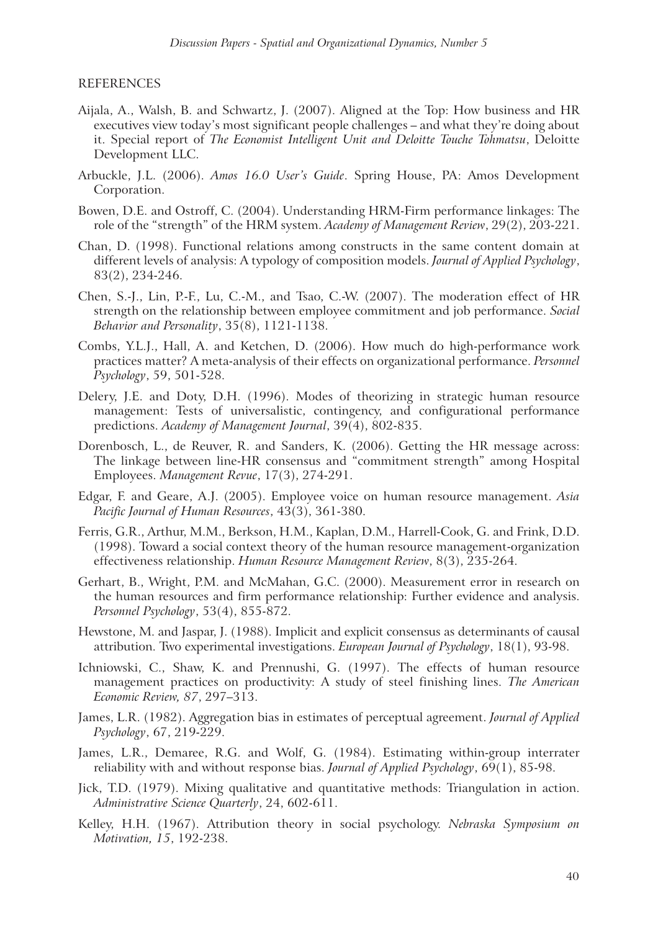#### REFERENCES

- Aijala, A., Walsh, B. and Schwartz, J. (2007). Aligned at the Top: How business and HR executives view today's most significant people challenges – and what they're doing about it. Special report of *The Economist Intelligent Unit and Deloitte Touche Tohmatsu*, Deloitte Development LLC.
- Arbuckle, J.L. (2006). *Amos 16.0 User's Guide*. Spring House, PA: Amos Development Corporation.
- Bowen, D.E. and Ostroff, C. (2004). Understanding HRM-Firm performance linkages: The role of the "strength" of the HRM system. *Academy of Management Review*, 29(2), 203-221.
- Chan, D. (1998). Functional relations among constructs in the same content domain at different levels of analysis: A typology of composition models. *Journal of Applied Psychology*, 83(2), 234-246.
- Chen, S.-J., Lin, P.-F., Lu, C.-M., and Tsao, C.-W. (2007). The moderation effect of HR strength on the relationship between employee commitment and job performance. *Social Behavior and Personality*, 35(8), 1121-1138.
- Combs, Y.L.J., Hall, A. and Ketchen, D. (2006). How much do high-performance work practices matter? A meta-analysis of their effects on organizational performance. *Personnel Psychology*, 59, 501-528.
- Delery, J.E. and Doty, D.H. (1996). Modes of theorizing in strategic human resource management: Tests of universalistic, contingency, and configurational performance predictions. *Academy of Management Journal*, 39(4), 802-835.
- Dorenbosch, L., de Reuver, R. and Sanders, K. (2006). Getting the HR message across: The linkage between line-HR consensus and "commitment strength" among Hospital Employees. *Management Revue*, 17(3), 274-291.
- Edgar, F. and Geare, A.J. (2005). Employee voice on human resource management. *Asia Pacific Journal of Human Resources*, 43(3), 361-380.
- Ferris, G.R., Arthur, M.M., Berkson, H.M., Kaplan, D.M., Harrell-Cook, G. and Frink, D.D. (1998). Toward a social context theory of the human resource management-organization effectiveness relationship. *Human Resource Management Review*, 8(3), 235-264.
- Gerhart, B., Wright, P.M. and McMahan, G.C. (2000). Measurement error in research on the human resources and firm performance relationship: Further evidence and analysis. *Personnel Psychology*, 53(4), 855-872.
- Hewstone, M. and Jaspar, J. (1988). Implicit and explicit consensus as determinants of causal attribution. Two experimental investigations. *European Journal of Psychology*, 18(1), 93-98.
- Ichniowski, C., Shaw, K. and Prennushi, G. (1997). The effects of human resource management practices on productivity: A study of steel finishing lines. *The American Economic Review, 87*, 297–313.
- James, L.R. (1982). Aggregation bias in estimates of perceptual agreement. *Journal of Applied Psychology*, 67, 219-229.
- James, L.R., Demaree, R.G. and Wolf, G. (1984). Estimating within-group interrater reliability with and without response bias. *Journal of Applied Psychology*,  $69(1)$ , 85-98.
- Jick, T.D. (1979). Mixing qualitative and quantitative methods: Triangulation in action. *Administrative Science Quarterly*, 24, 602-611.
- Kelley, H.H. (1967). Attribution theory in social psychology. *Nebraska Symposium on Motivation, 15*, 192-238.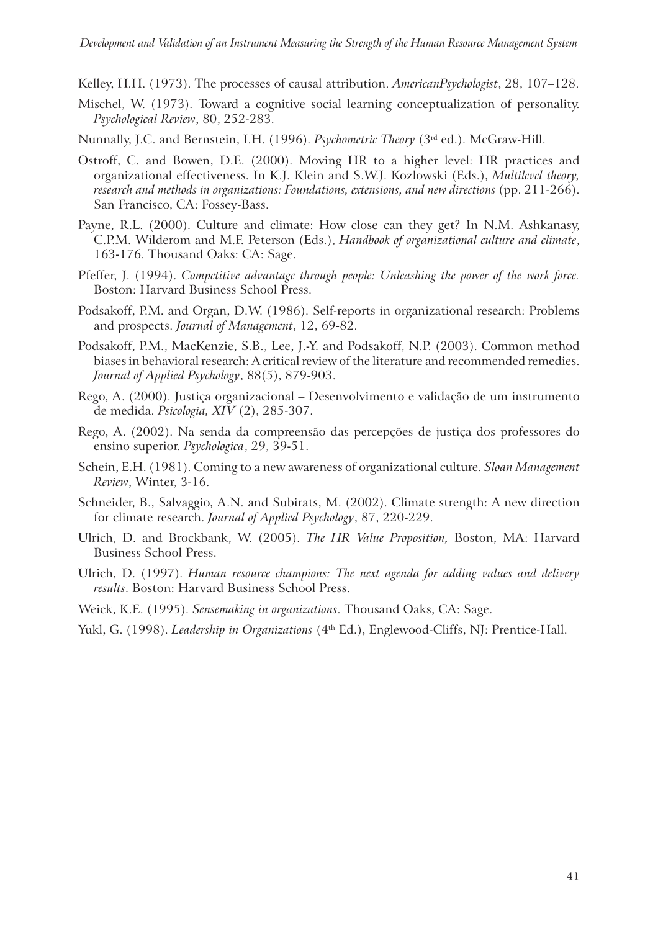Kelley, H.H. (1973). The processes of causal attribution. *AmericanPsychologist*, 28, 107–128.

- Mischel, W. (1973). Toward a cognitive social learning conceptualization of personality. *Psychological Review*, 80, 252-283.
- Nunnally, J.C. and Bernstein, I.H. (1996). *Psychometric Theory* (3rd ed.). McGraw-Hill.
- Ostroff, C. and Bowen, D.E. (2000). Moving HR to a higher level: HR practices and organizational effectiveness. In K.J. Klein and S.W.J. Kozlowski (Eds.), *Multilevel theory, research and methods in organizations: Foundations, extensions, and new directions* (pp. 211-266). San Francisco, CA: Fossey-Bass.
- Payne, R.L. (2000). Culture and climate: How close can they get? In N.M. Ashkanasy, C.P.M. Wilderom and M.F. Peterson (Eds.), *Handbook of organizational culture and climate*, 163-176. Thousand Oaks: CA: Sage.
- Pfeffer, J. (1994). *Competitive advantage through people: Unleashing the power of the work force.*  Boston: Harvard Business School Press.
- Podsakoff, P.M. and Organ, D.W. (1986). Self-reports in organizational research: Problems and prospects. *Journal of Management*, 12, 69-82.
- Podsakoff, P.M., MacKenzie, S.B., Lee, J.-Y. and Podsakoff, N.P. (2003). Common method biases in behavioral research: A critical review of the literature and recommended remedies. *Journal of Applied Psychology*, 88(5), 879-903.
- Rego, A. (2000). Justiça organizacional Desenvolvimento e validação de um instrumento de medida. *Psicologia, XIV* (2), 285-307.
- Rego, A. (2002). Na senda da compreensão das percepções de justiça dos professores do ensino superior. *Psychologica*, 29, 39-51.
- Schein, E.H. (1981). Coming to a new awareness of organizational culture. *Sloan Management Review*, Winter, 3-16.
- Schneider, B., Salvaggio, A.N. and Subirats, M. (2002). Climate strength: A new direction for climate research. *Journal of Applied Psychology*, 87, 220-229.
- Ulrich, D. and Brockbank, W. (2005). *The HR Value Proposition,* Boston, MA: Harvard Business School Press.
- Ulrich, D. (1997). *Human resource champions: The next agenda for adding values and delivery results*. Boston: Harvard Business School Press.
- Weick, K.E. (1995). *Sensemaking in organizations*. Thousand Oaks, CA: Sage.
- Yukl, G. (1998). *Leadership in Organizations* (4<sup>th</sup> Ed.), Englewood-Cliffs, NJ: Prentice-Hall.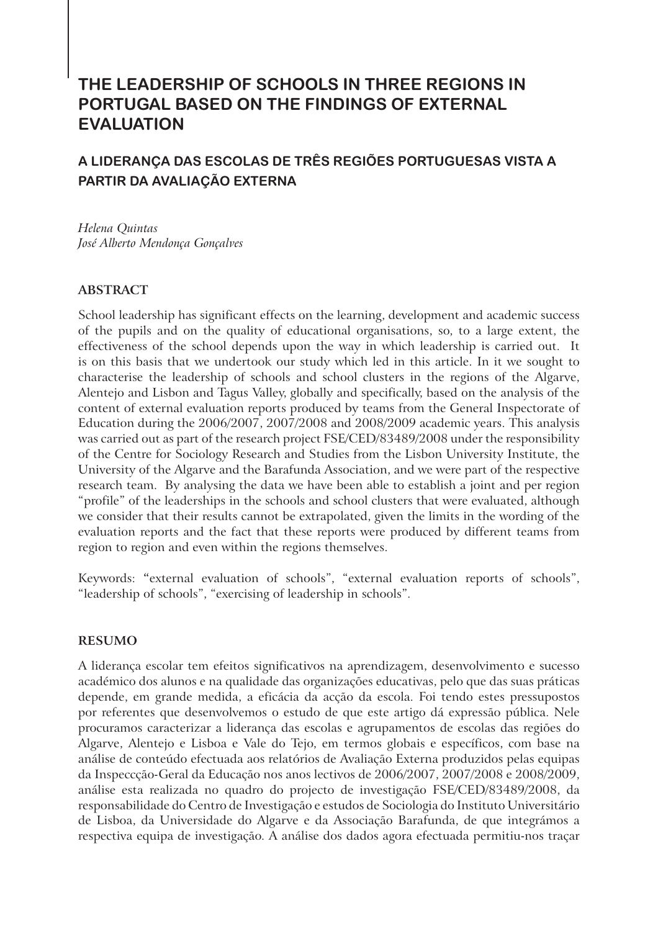# **THE LEADERSHIP OF SCHOOLS IN THREE REGIONS IN PORTUGAL BASED ON THE FINDINGS OF EXTERNAL EVALUATION**

# **A LIDERANÇA DAS ESCOLAS DE TRÊS REGIÕES PORTUGUESAS VISTA A PARTIR DA AVALIAÇÃO EXTERNA**

*Helena Quintas José Alberto Mendonça Gonçalves* 

# **ABSTRACT**

School leadership has significant effects on the learning, development and academic success of the pupils and on the quality of educational organisations, so, to a large extent, the effectiveness of the school depends upon the way in which leadership is carried out. It is on this basis that we undertook our study which led in this article. In it we sought to characterise the leadership of schools and school clusters in the regions of the Algarve, Alentejo and Lisbon and Tagus Valley, globally and specifically, based on the analysis of the content of external evaluation reports produced by teams from the General Inspectorate of Education during the 2006/2007, 2007/2008 and 2008/2009 academic years. This analysis was carried out as part of the research project FSE/CED/83489/2008 under the responsibility of the Centre for Sociology Research and Studies from the Lisbon University Institute, the University of the Algarve and the Barafunda Association, and we were part of the respective research team. By analysing the data we have been able to establish a joint and per region "profile" of the leaderships in the schools and school clusters that were evaluated, although we consider that their results cannot be extrapolated, given the limits in the wording of the evaluation reports and the fact that these reports were produced by different teams from region to region and even within the regions themselves.

Keywords: **"**external evaluation of schools", "external evaluation reports of schools", "leadership of schools", "exercising of leadership in schools".

## **RESUMO**

A liderança escolar tem efeitos significativos na aprendizagem, desenvolvimento e sucesso académico dos alunos e na qualidade das organizações educativas, pelo que das suas práticas depende, em grande medida, a eficácia da acção da escola. Foi tendo estes pressupostos por referentes que desenvolvemos o estudo de que este artigo dá expressão pública. Nele procuramos caracterizar a liderança das escolas e agrupamentos de escolas das regiões do Algarve, Alentejo e Lisboa e Vale do Tejo, em termos globais e específicos, com base na análise de conteúdo efectuada aos relatórios de Avaliação Externa produzidos pelas equipas da Inspeccção-Geral da Educação nos anos lectivos de 2006/2007, 2007/2008 e 2008/2009, análise esta realizada no quadro do projecto de investigação FSE/CED/83489/2008, da responsabilidade do Centro de Investigação e estudos de Sociologia do Instituto Universitário de Lisboa, da Universidade do Algarve e da Associação Barafunda, de que integrámos a respectiva equipa de investigação. A análise dos dados agora efectuada permitiu-nos traçar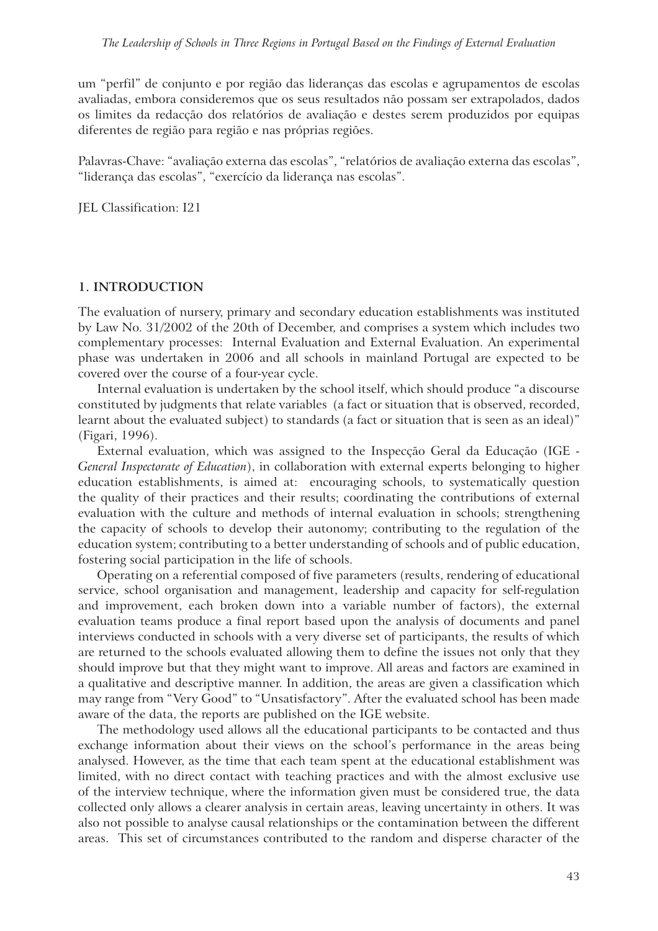um "perfil" de conjunto e por região das lideranças das escolas e agrupamentos de escolas avaliadas, embora consideremos que os seus resultados não possam ser extrapolados, dados os limites da redacção dos relatórios de avaliação e destes serem produzidos por equipas diferentes de região para região e nas próprias regiões.

Palavras-Chave: "avaliação externa das escolas", "relatórios de avaliação externa das escolas", "liderança das escolas", "exercício da liderança nas escolas".

JEL Classification: I21

#### **1. INTRODUCTION**

The evaluation of nursery, primary and secondary education establishments was instituted by Law No. 31/2002 of the 20th of December, and comprises a system which includes two complementary processes: Internal Evaluation and External Evaluation. An experimental phase was undertaken in 2006 and all schools in mainland Portugal are expected to be covered over the course of a four-year cycle.

Internal evaluation is undertaken by the school itself, which should produce "a discourse constituted by judgments that relate variables (a fact or situation that is observed, recorded, learnt about the evaluated subject) to standards (a fact or situation that is seen as an ideal)" (Figari, 1996).

External evaluation, which was assigned to the Inspecção Geral da Educação (IGE - *General Inspectorate of Education*), in collaboration with external experts belonging to higher education establishments, is aimed at: encouraging schools, to systematically question the quality of their practices and their results; coordinating the contributions of external evaluation with the culture and methods of internal evaluation in schools; strengthening the capacity of schools to develop their autonomy; contributing to the regulation of the education system; contributing to a better understanding of schools and of public education, fostering social participation in the life of schools.

Operating on a referential composed of five parameters (results, rendering of educational service, school organisation and management, leadership and capacity for self-regulation and improvement, each broken down into a variable number of factors), the external evaluation teams produce a final report based upon the analysis of documents and panel interviews conducted in schools with a very diverse set of participants, the results of which are returned to the schools evaluated allowing them to define the issues not only that they should improve but that they might want to improve. All areas and factors are examined in a qualitative and descriptive manner. In addition, the areas are given a classification which may range from "Very Good" to "Unsatisfactory". After the evaluated school has been made aware of the data, the reports are published on the IGE website.

The methodology used allows all the educational participants to be contacted and thus exchange information about their views on the school's performance in the areas being analysed. However, as the time that each team spent at the educational establishment was limited, with no direct contact with teaching practices and with the almost exclusive use of the interview technique, where the information given must be considered true, the data collected only allows a clearer analysis in certain areas, leaving uncertainty in others. It was also not possible to analyse causal relationships or the contamination between the different areas. This set of circumstances contributed to the random and disperse character of the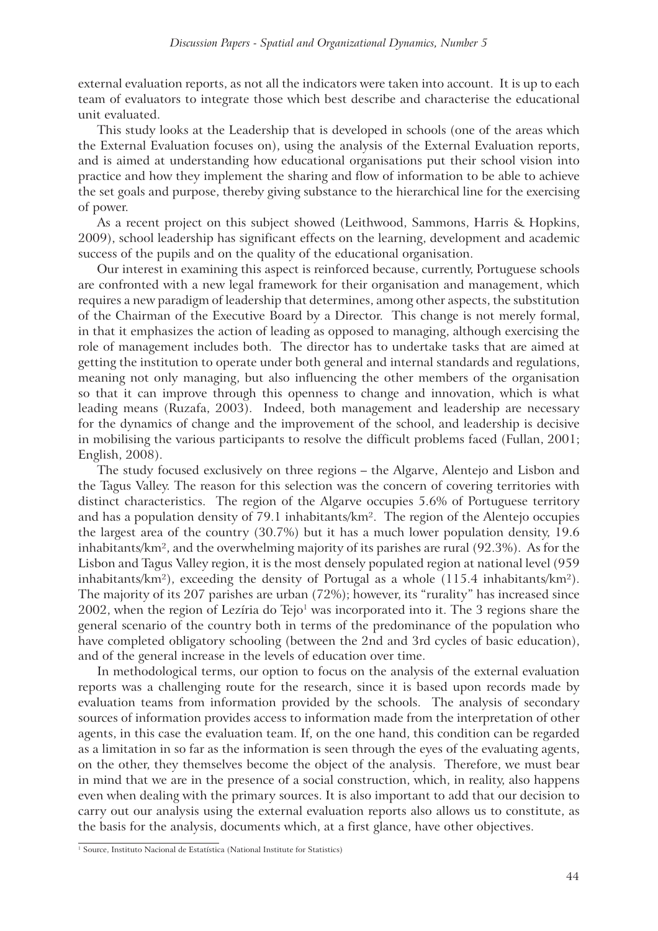external evaluation reports, as not all the indicators were taken into account. It is up to each team of evaluators to integrate those which best describe and characterise the educational unit evaluated.

This study looks at the Leadership that is developed in schools (one of the areas which the External Evaluation focuses on), using the analysis of the External Evaluation reports, and is aimed at understanding how educational organisations put their school vision into practice and how they implement the sharing and flow of information to be able to achieve the set goals and purpose, thereby giving substance to the hierarchical line for the exercising of power.

As a recent project on this subject showed (Leithwood, Sammons, Harris & Hopkins, 2009), school leadership has significant effects on the learning, development and academic success of the pupils and on the quality of the educational organisation.

Our interest in examining this aspect is reinforced because, currently, Portuguese schools are confronted with a new legal framework for their organisation and management, which requires a new paradigm of leadership that determines, among other aspects, the substitution of the Chairman of the Executive Board by a Director. This change is not merely formal, in that it emphasizes the action of leading as opposed to managing, although exercising the role of management includes both. The director has to undertake tasks that are aimed at getting the institution to operate under both general and internal standards and regulations, meaning not only managing, but also influencing the other members of the organisation so that it can improve through this openness to change and innovation, which is what leading means (Ruzafa, 2003). Indeed, both management and leadership are necessary for the dynamics of change and the improvement of the school, and leadership is decisive in mobilising the various participants to resolve the difficult problems faced (Fullan, 2001; English, 2008).

The study focused exclusively on three regions – the Algarve, Alentejo and Lisbon and the Tagus Valley. The reason for this selection was the concern of covering territories with distinct characteristics. The region of the Algarve occupies 5.6% of Portuguese territory and has a population density of 79.1 inhabitants/km². The region of the Alentejo occupies the largest area of the country (30.7%) but it has a much lower population density, 19.6 inhabitants/km², and the overwhelming majority of its parishes are rural (92.3%). As for the Lisbon and Tagus Valley region, it is the most densely populated region at national level (959 inhabitants/km²), exceeding the density of Portugal as a whole (115.4 inhabitants/km²). The majority of its 207 parishes are urban (72%); however, its "rurality" has increased since  $2002$ , when the region of Lezíria do Tejo<sup>1</sup> was incorporated into it. The 3 regions share the general scenario of the country both in terms of the predominance of the population who have completed obligatory schooling (between the 2nd and 3rd cycles of basic education), and of the general increase in the levels of education over time.

In methodological terms, our option to focus on the analysis of the external evaluation reports was a challenging route for the research, since it is based upon records made by evaluation teams from information provided by the schools. The analysis of secondary sources of information provides access to information made from the interpretation of other agents, in this case the evaluation team. If, on the one hand, this condition can be regarded as a limitation in so far as the information is seen through the eyes of the evaluating agents, on the other, they themselves become the object of the analysis. Therefore, we must bear in mind that we are in the presence of a social construction, which, in reality, also happens even when dealing with the primary sources. It is also important to add that our decision to carry out our analysis using the external evaluation reports also allows us to constitute, as the basis for the analysis, documents which, at a first glance, have other objectives.

<sup>&</sup>lt;sup>1</sup> Source, Instituto Nacional de Estatística (National Institute for Statistics)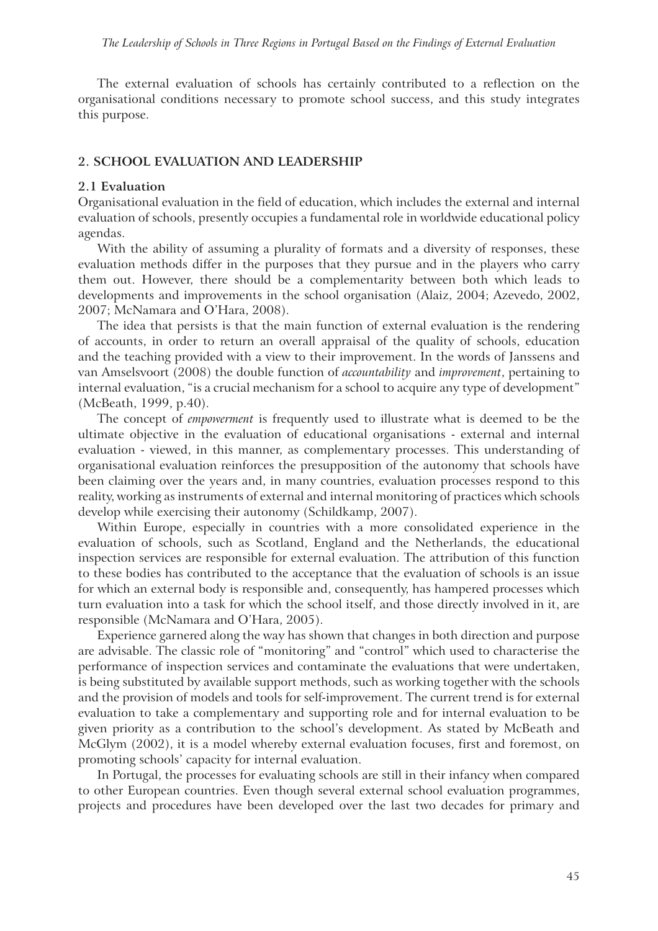The external evaluation of schools has certainly contributed to a reflection on the organisational conditions necessary to promote school success, and this study integrates this purpose.

#### **2. SCHOOL EVALUATION AND LEADERSHIP**

#### **2.1 Evaluation**

Organisational evaluation in the field of education, which includes the external and internal evaluation of schools, presently occupies a fundamental role in worldwide educational policy agendas.

With the ability of assuming a plurality of formats and a diversity of responses, these evaluation methods differ in the purposes that they pursue and in the players who carry them out. However, there should be a complementarity between both which leads to developments and improvements in the school organisation (Alaiz, 2004; Azevedo, 2002, 2007; McNamara and O'Hara, 2008).

The idea that persists is that the main function of external evaluation is the rendering of accounts, in order to return an overall appraisal of the quality of schools, education and the teaching provided with a view to their improvement. In the words of Janssens and van Amselsvoort (2008) the double function of *accountability* and *improvement*, pertaining to internal evaluation, "is a crucial mechanism for a school to acquire any type of development" (McBeath, 1999, p.40).

The concept of *empowerment* is frequently used to illustrate what is deemed to be the ultimate objective in the evaluation of educational organisations - external and internal evaluation - viewed, in this manner, as complementary processes. This understanding of organisational evaluation reinforces the presupposition of the autonomy that schools have been claiming over the years and, in many countries, evaluation processes respond to this reality, working as instruments of external and internal monitoring of practices which schools develop while exercising their autonomy (Schildkamp, 2007).

Within Europe, especially in countries with a more consolidated experience in the evaluation of schools, such as Scotland, England and the Netherlands, the educational inspection services are responsible for external evaluation. The attribution of this function to these bodies has contributed to the acceptance that the evaluation of schools is an issue for which an external body is responsible and, consequently, has hampered processes which turn evaluation into a task for which the school itself, and those directly involved in it, are responsible (McNamara and O'Hara, 2005).

Experience garnered along the way has shown that changes in both direction and purpose are advisable. The classic role of "monitoring" and "control" which used to characterise the performance of inspection services and contaminate the evaluations that were undertaken, is being substituted by available support methods, such as working together with the schools and the provision of models and tools for self-improvement. The current trend is for external evaluation to take a complementary and supporting role and for internal evaluation to be given priority as a contribution to the school's development. As stated by McBeath and McGlym (2002), it is a model whereby external evaluation focuses, first and foremost, on promoting schools' capacity for internal evaluation.

In Portugal, the processes for evaluating schools are still in their infancy when compared to other European countries. Even though several external school evaluation programmes, projects and procedures have been developed over the last two decades for primary and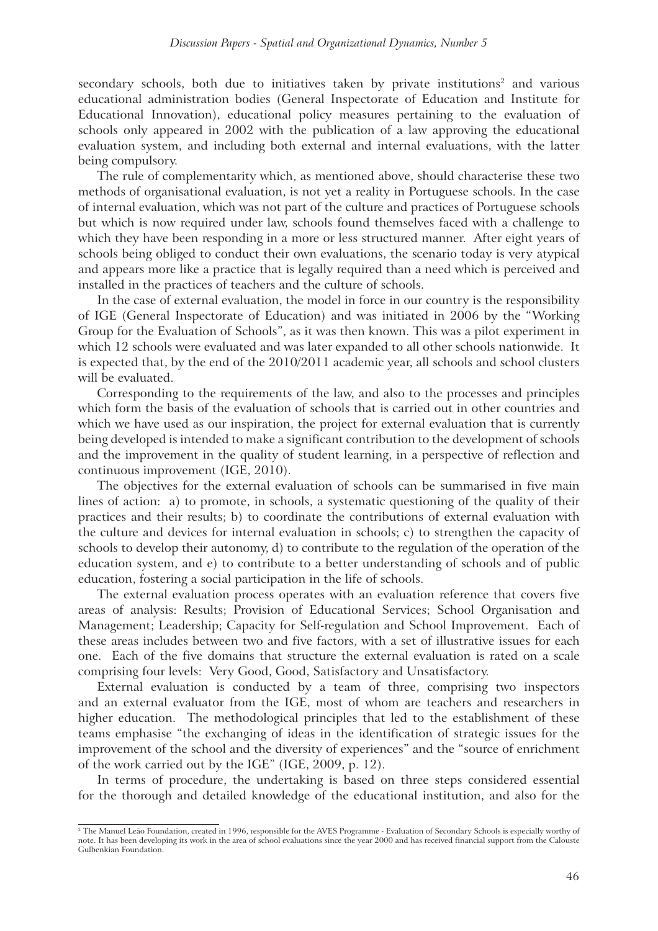secondary schools, both due to initiatives taken by private institutions<sup>2</sup> and various educational administration bodies (General Inspectorate of Education and Institute for Educational Innovation), educational policy measures pertaining to the evaluation of schools only appeared in 2002 with the publication of a law approving the educational evaluation system, and including both external and internal evaluations, with the latter being compulsory.

The rule of complementarity which, as mentioned above, should characterise these two methods of organisational evaluation, is not yet a reality in Portuguese schools. In the case of internal evaluation, which was not part of the culture and practices of Portuguese schools but which is now required under law, schools found themselves faced with a challenge to which they have been responding in a more or less structured manner. After eight years of schools being obliged to conduct their own evaluations, the scenario today is very atypical and appears more like a practice that is legally required than a need which is perceived and installed in the practices of teachers and the culture of schools.

In the case of external evaluation, the model in force in our country is the responsibility of IGE (General Inspectorate of Education) and was initiated in 2006 by the "Working Group for the Evaluation of Schools", as it was then known. This was a pilot experiment in which 12 schools were evaluated and was later expanded to all other schools nationwide. It is expected that, by the end of the 2010/2011 academic year, all schools and school clusters will be evaluated.

Corresponding to the requirements of the law, and also to the processes and principles which form the basis of the evaluation of schools that is carried out in other countries and which we have used as our inspiration, the project for external evaluation that is currently being developed is intended to make a significant contribution to the development of schools and the improvement in the quality of student learning, in a perspective of reflection and continuous improvement (IGE, 2010).

The objectives for the external evaluation of schools can be summarised in five main lines of action: a) to promote, in schools, a systematic questioning of the quality of their practices and their results; b) to coordinate the contributions of external evaluation with the culture and devices for internal evaluation in schools; c) to strengthen the capacity of schools to develop their autonomy, d) to contribute to the regulation of the operation of the education system, and e) to contribute to a better understanding of schools and of public education, fostering a social participation in the life of schools.

The external evaluation process operates with an evaluation reference that covers five areas of analysis: Results; Provision of Educational Services; School Organisation and Management; Leadership; Capacity for Self-regulation and School Improvement. Each of these areas includes between two and five factors, with a set of illustrative issues for each one. Each of the five domains that structure the external evaluation is rated on a scale comprising four levels: Very Good, Good, Satisfactory and Unsatisfactory.

External evaluation is conducted by a team of three, comprising two inspectors and an external evaluator from the IGE, most of whom are teachers and researchers in higher education. The methodological principles that led to the establishment of these teams emphasise "the exchanging of ideas in the identification of strategic issues for the improvement of the school and the diversity of experiences" and the "source of enrichment of the work carried out by the IGE" (IGE, 2009, p. 12).

In terms of procedure, the undertaking is based on three steps considered essential for the thorough and detailed knowledge of the educational institution, and also for the

<sup>2</sup> The Manuel Leão Foundation, created in 1996, responsible for the AVES Programme - Evaluation of Secondary Schools is especially worthy of note. It has been developing its work in the area of school evaluations since the year 2000 and has received financial support from the Calouste Gulbenkian Foundation.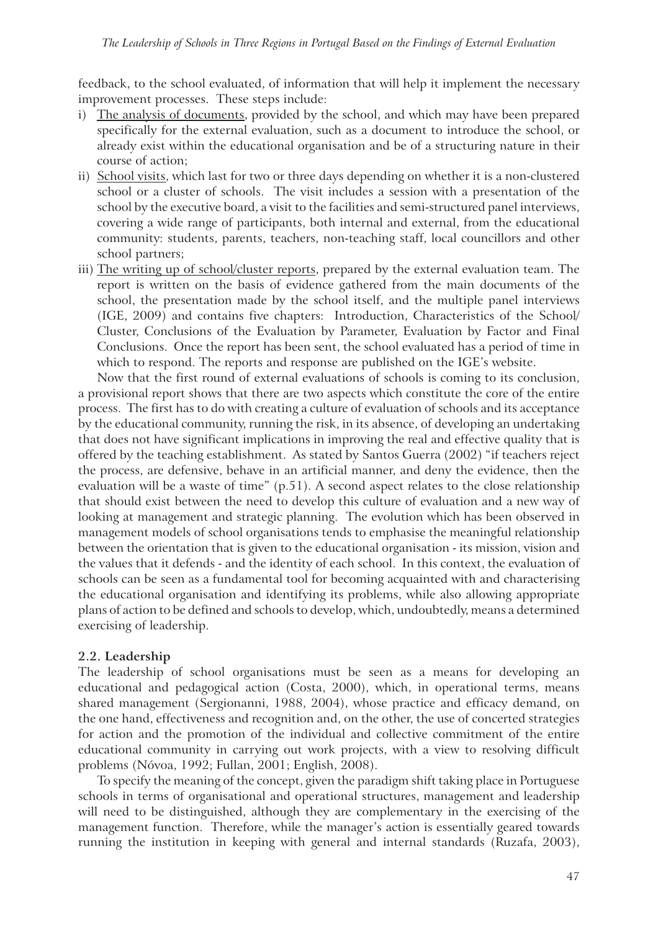feedback, to the school evaluated, of information that will help it implement the necessary improvement processes. These steps include:

- i) The analysis of documents, provided by the school, and which may have been prepared specifically for the external evaluation, such as a document to introduce the school, or already exist within the educational organisation and be of a structuring nature in their course of action;
- ii) School visits, which last for two or three days depending on whether it is a non-clustered school or a cluster of schools. The visit includes a session with a presentation of the school by the executive board, a visit to the facilities and semi-structured panel interviews, covering a wide range of participants, both internal and external, from the educational community: students, parents, teachers, non-teaching staff, local councillors and other school partners;
- iii) The writing up of school/cluster reports, prepared by the external evaluation team. The report is written on the basis of evidence gathered from the main documents of the school, the presentation made by the school itself, and the multiple panel interviews (IGE, 2009) and contains five chapters: Introduction, Characteristics of the School/ Cluster, Conclusions of the Evaluation by Parameter, Evaluation by Factor and Final Conclusions. Once the report has been sent, the school evaluated has a period of time in which to respond. The reports and response are published on the IGE's website.

Now that the first round of external evaluations of schools is coming to its conclusion, a provisional report shows that there are two aspects which constitute the core of the entire process. The first has to do with creating a culture of evaluation of schools and its acceptance by the educational community, running the risk, in its absence, of developing an undertaking that does not have significant implications in improving the real and effective quality that is offered by the teaching establishment. As stated by Santos Guerra (2002) "if teachers reject the process, are defensive, behave in an artificial manner, and deny the evidence, then the evaluation will be a waste of time" (p.51). A second aspect relates to the close relationship that should exist between the need to develop this culture of evaluation and a new way of looking at management and strategic planning. The evolution which has been observed in management models of school organisations tends to emphasise the meaningful relationship between the orientation that is given to the educational organisation - its mission, vision and the values that it defends - and the identity of each school. In this context, the evaluation of schools can be seen as a fundamental tool for becoming acquainted with and characterising the educational organisation and identifying its problems, while also allowing appropriate plans of action to be defined and schools to develop, which, undoubtedly, means a determined exercising of leadership.

#### **2.2. Leadership**

The leadership of school organisations must be seen as a means for developing an educational and pedagogical action (Costa, 2000), which, in operational terms, means shared management (Sergionanni, 1988, 2004), whose practice and efficacy demand, on the one hand, effectiveness and recognition and, on the other, the use of concerted strategies for action and the promotion of the individual and collective commitment of the entire educational community in carrying out work projects, with a view to resolving difficult problems (Nóvoa, 1992; Fullan, 2001; English, 2008).

To specify the meaning of the concept, given the paradigm shift taking place in Portuguese schools in terms of organisational and operational structures, management and leadership will need to be distinguished, although they are complementary in the exercising of the management function. Therefore, while the manager's action is essentially geared towards running the institution in keeping with general and internal standards (Ruzafa, 2003),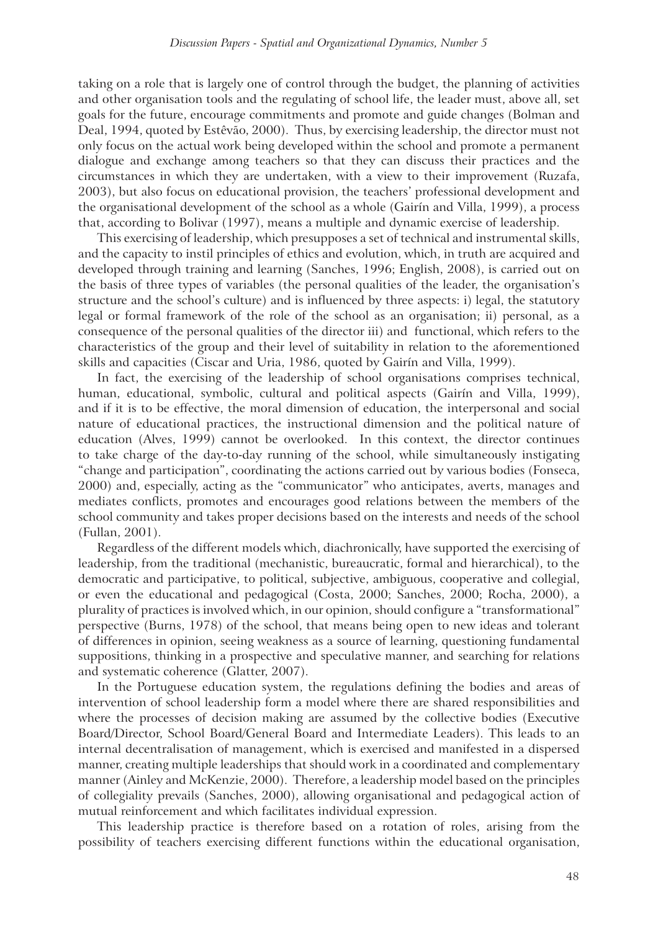taking on a role that is largely one of control through the budget, the planning of activities and other organisation tools and the regulating of school life, the leader must, above all, set goals for the future, encourage commitments and promote and guide changes (Bolman and Deal, 1994, quoted by Estêvão, 2000). Thus, by exercising leadership, the director must not only focus on the actual work being developed within the school and promote a permanent dialogue and exchange among teachers so that they can discuss their practices and the circumstances in which they are undertaken, with a view to their improvement (Ruzafa, 2003), but also focus on educational provision, the teachers' professional development and the organisational development of the school as a whole (Gairín and Villa, 1999), a process that, according to Bolivar (1997), means a multiple and dynamic exercise of leadership.

This exercising of leadership, which presupposes a set of technical and instrumental skills, and the capacity to instil principles of ethics and evolution, which, in truth are acquired and developed through training and learning (Sanches, 1996; English, 2008), is carried out on the basis of three types of variables (the personal qualities of the leader, the organisation's structure and the school's culture) and is influenced by three aspects: i) legal, the statutory legal or formal framework of the role of the school as an organisation; ii) personal, as a consequence of the personal qualities of the director iii) and functional, which refers to the characteristics of the group and their level of suitability in relation to the aforementioned skills and capacities (Ciscar and Uria, 1986, quoted by Gairín and Villa, 1999).

In fact, the exercising of the leadership of school organisations comprises technical, human, educational, symbolic, cultural and political aspects (Gairín and Villa, 1999), and if it is to be effective, the moral dimension of education, the interpersonal and social nature of educational practices, the instructional dimension and the political nature of education (Alves, 1999) cannot be overlooked. In this context, the director continues to take charge of the day-to-day running of the school, while simultaneously instigating "change and participation", coordinating the actions carried out by various bodies (Fonseca, 2000) and, especially, acting as the "communicator" who anticipates, averts, manages and mediates conflicts, promotes and encourages good relations between the members of the school community and takes proper decisions based on the interests and needs of the school (Fullan, 2001).

Regardless of the different models which, diachronically, have supported the exercising of leadership, from the traditional (mechanistic, bureaucratic, formal and hierarchical), to the democratic and participative, to political, subjective, ambiguous, cooperative and collegial, or even the educational and pedagogical (Costa, 2000; Sanches, 2000; Rocha, 2000), a plurality of practices is involved which, in our opinion, should configure a "transformational" perspective (Burns, 1978) of the school, that means being open to new ideas and tolerant of differences in opinion, seeing weakness as a source of learning, questioning fundamental suppositions, thinking in a prospective and speculative manner, and searching for relations and systematic coherence (Glatter, 2007).

In the Portuguese education system, the regulations defining the bodies and areas of intervention of school leadership form a model where there are shared responsibilities and where the processes of decision making are assumed by the collective bodies (Executive Board/Director, School Board/General Board and Intermediate Leaders). This leads to an internal decentralisation of management, which is exercised and manifested in a dispersed manner, creating multiple leaderships that should work in a coordinated and complementary manner (Ainley and McKenzie, 2000). Therefore, a leadership model based on the principles of collegiality prevails (Sanches, 2000), allowing organisational and pedagogical action of mutual reinforcement and which facilitates individual expression.

This leadership practice is therefore based on a rotation of roles, arising from the possibility of teachers exercising different functions within the educational organisation,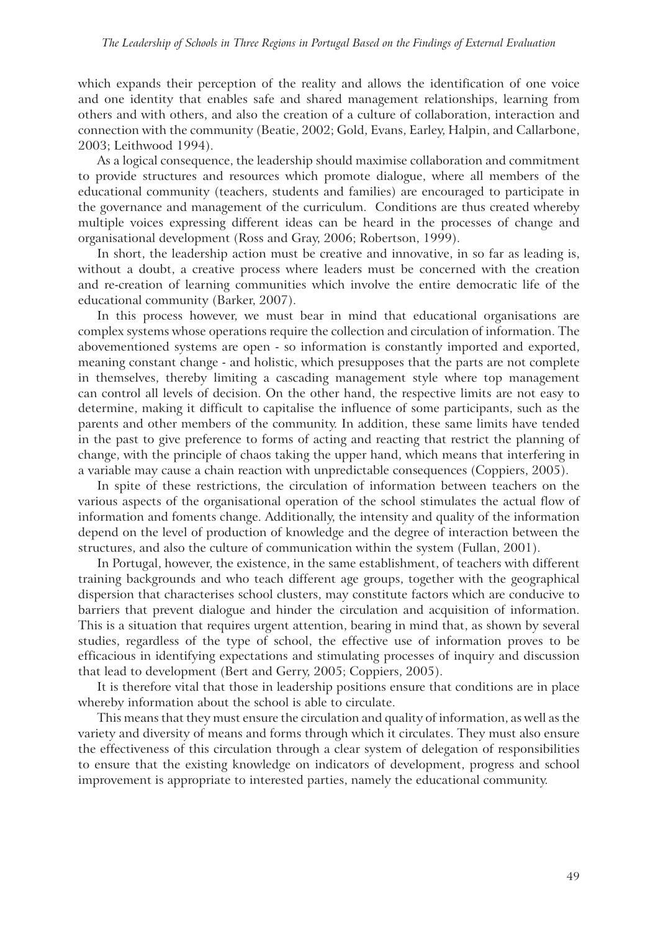which expands their perception of the reality and allows the identification of one voice and one identity that enables safe and shared management relationships, learning from others and with others, and also the creation of a culture of collaboration, interaction and connection with the community (Beatie, 2002; Gold, Evans, Earley, Halpin, and Callarbone, 2003; Leithwood 1994).

As a logical consequence, the leadership should maximise collaboration and commitment to provide structures and resources which promote dialogue, where all members of the educational community (teachers, students and families) are encouraged to participate in the governance and management of the curriculum. Conditions are thus created whereby multiple voices expressing different ideas can be heard in the processes of change and organisational development (Ross and Gray, 2006; Robertson, 1999).

In short, the leadership action must be creative and innovative, in so far as leading is, without a doubt, a creative process where leaders must be concerned with the creation and re-creation of learning communities which involve the entire democratic life of the educational community (Barker, 2007).

In this process however, we must bear in mind that educational organisations are complex systems whose operations require the collection and circulation of information. The abovementioned systems are open - so information is constantly imported and exported, meaning constant change - and holistic, which presupposes that the parts are not complete in themselves, thereby limiting a cascading management style where top management can control all levels of decision. On the other hand, the respective limits are not easy to determine, making it difficult to capitalise the influence of some participants, such as the parents and other members of the community. In addition, these same limits have tended in the past to give preference to forms of acting and reacting that restrict the planning of change, with the principle of chaos taking the upper hand, which means that interfering in a variable may cause a chain reaction with unpredictable consequences (Coppiers, 2005).

In spite of these restrictions, the circulation of information between teachers on the various aspects of the organisational operation of the school stimulates the actual flow of information and foments change. Additionally, the intensity and quality of the information depend on the level of production of knowledge and the degree of interaction between the structures, and also the culture of communication within the system (Fullan, 2001).

In Portugal, however, the existence, in the same establishment, of teachers with different training backgrounds and who teach different age groups, together with the geographical dispersion that characterises school clusters, may constitute factors which are conducive to barriers that prevent dialogue and hinder the circulation and acquisition of information. This is a situation that requires urgent attention, bearing in mind that, as shown by several studies, regardless of the type of school, the effective use of information proves to be efficacious in identifying expectations and stimulating processes of inquiry and discussion that lead to development (Bert and Gerry, 2005; Coppiers, 2005).

It is therefore vital that those in leadership positions ensure that conditions are in place whereby information about the school is able to circulate.

This means that they must ensure the circulation and quality of information, as well as the variety and diversity of means and forms through which it circulates. They must also ensure the effectiveness of this circulation through a clear system of delegation of responsibilities to ensure that the existing knowledge on indicators of development, progress and school improvement is appropriate to interested parties, namely the educational community.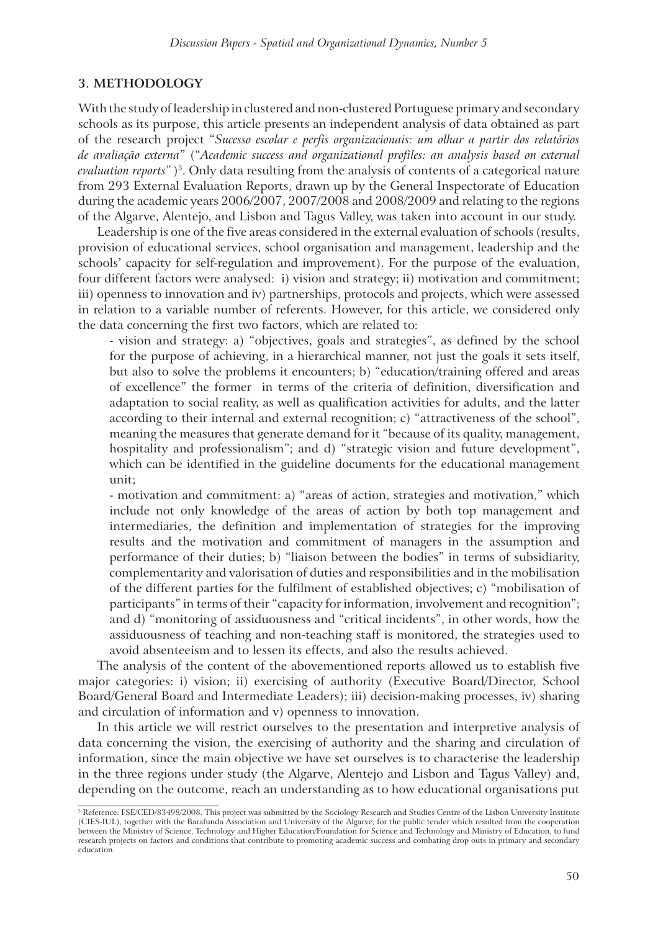# **3. METHODOLOGY**

With the study of leadership in clustered and non-clustered Portuguese primary and secondary schools as its purpose, this article presents an independent analysis of data obtained as part of the research project "*Sucesso escolar e perfis organizacionais: um olhar a partir dos relatórios de avaliação externa*" ("*Academic success and organizational profiles: an analysis based on external*  evaluation reports")<sup>3</sup>. Only data resulting from the analysis of contents of a categorical nature from 293 External Evaluation Reports, drawn up by the General Inspectorate of Education during the academic years 2006/2007, 2007/2008 and 2008/2009 and relating to the regions of the Algarve, Alentejo, and Lisbon and Tagus Valley, was taken into account in our study.

Leadership is one of the five areas considered in the external evaluation of schools (results, provision of educational services, school organisation and management, leadership and the schools' capacity for self-regulation and improvement). For the purpose of the evaluation, four different factors were analysed: i) vision and strategy; ii) motivation and commitment; iii) openness to innovation and iv) partnerships, protocols and projects, which were assessed in relation to a variable number of referents. However, for this article, we considered only the data concerning the first two factors, which are related to:

- vision and strategy: a) "objectives, goals and strategies", as defined by the school for the purpose of achieving, in a hierarchical manner, not just the goals it sets itself, but also to solve the problems it encounters; b) "education/training offered and areas of excellence" the former in terms of the criteria of definition, diversification and adaptation to social reality, as well as qualification activities for adults, and the latter according to their internal and external recognition; c) "attractiveness of the school", meaning the measures that generate demand for it "because of its quality, management, hospitality and professionalism"; and d) "strategic vision and future development", which can be identified in the guideline documents for the educational management unit;

- motivation and commitment: a) "areas of action, strategies and motivation," which include not only knowledge of the areas of action by both top management and intermediaries, the definition and implementation of strategies for the improving results and the motivation and commitment of managers in the assumption and performance of their duties; b) "liaison between the bodies" in terms of subsidiarity, complementarity and valorisation of duties and responsibilities and in the mobilisation of the different parties for the fulfilment of established objectives; c) "mobilisation of participants" in terms of their "capacity for information, involvement and recognition"; and d) "monitoring of assiduousness and "critical incidents", in other words, how the assiduousness of teaching and non-teaching staff is monitored, the strategies used to avoid absenteeism and to lessen its effects, and also the results achieved.

The analysis of the content of the abovementioned reports allowed us to establish five major categories: i) vision; ii) exercising of authority (Executive Board/Director, School Board/General Board and Intermediate Leaders); iii) decision-making processes, iv) sharing and circulation of information and v) openness to innovation.

In this article we will restrict ourselves to the presentation and interpretive analysis of data concerning the vision, the exercising of authority and the sharing and circulation of information, since the main objective we have set ourselves is to characterise the leadership in the three regions under study (the Algarve, Alentejo and Lisbon and Tagus Valley) and, depending on the outcome, reach an understanding as to how educational organisations put

<sup>3</sup> Reference: FSE/CED/83498/2008. This project was submitted by the Sociology Research and Studies Centre of the Lisbon University Institute (CIES-IUL), together with the Barafunda Association and University of the Algarve, for the public tender which resulted from the cooperation between the Ministry of Science, Technology and Higher Education/Foundation for Science and Technology and Ministry of Education, to fund research projects on factors and conditions that contribute to promoting academic success and combating drop outs in primary and secondary education.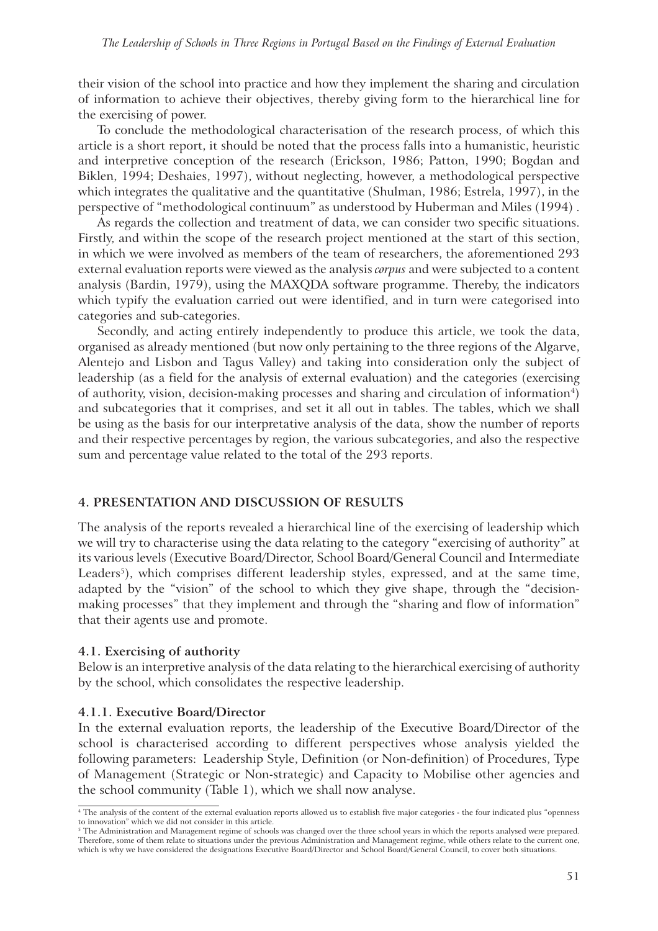their vision of the school into practice and how they implement the sharing and circulation of information to achieve their objectives, thereby giving form to the hierarchical line for the exercising of power.

To conclude the methodological characterisation of the research process, of which this article is a short report, it should be noted that the process falls into a humanistic, heuristic and interpretive conception of the research (Erickson, 1986; Patton, 1990; Bogdan and Biklen, 1994; Deshaies, 1997), without neglecting, however, a methodological perspective which integrates the qualitative and the quantitative (Shulman, 1986; Estrela, 1997), in the perspective of "methodological continuum" as understood by Huberman and Miles (1994) .

As regards the collection and treatment of data, we can consider two specific situations. Firstly, and within the scope of the research project mentioned at the start of this section, in which we were involved as members of the team of researchers, the aforementioned 293 external evaluation reports were viewed as the analysis *corpus* and were subjected to a content analysis (Bardin, 1979), using the MAXQDA software programme. Thereby, the indicators which typify the evaluation carried out were identified, and in turn were categorised into categories and sub-categories.

Secondly, and acting entirely independently to produce this article, we took the data, organised as already mentioned (but now only pertaining to the three regions of the Algarve, Alentejo and Lisbon and Tagus Valley) and taking into consideration only the subject of leadership (as a field for the analysis of external evaluation) and the categories (exercising of authority, vision, decision-making processes and sharing and circulation of information<sup>4</sup>) and subcategories that it comprises, and set it all out in tables. The tables, which we shall be using as the basis for our interpretative analysis of the data, show the number of reports and their respective percentages by region, the various subcategories, and also the respective sum and percentage value related to the total of the 293 reports.

#### **4. PRESENTATION AND DISCUSSION OF RESULTS**

The analysis of the reports revealed a hierarchical line of the exercising of leadership which we will try to characterise using the data relating to the category "exercising of authority" at its various levels (Executive Board/Director, School Board/General Council and Intermediate Leaders<sup>5</sup>), which comprises different leadership styles, expressed, and at the same time, adapted by the "vision" of the school to which they give shape, through the "decisionmaking processes" that they implement and through the "sharing and flow of information" that their agents use and promote.

#### **4.1. Exercising of authority**

Below is an interpretive analysis of the data relating to the hierarchical exercising of authority by the school, which consolidates the respective leadership.

#### **4.1.1. Executive Board/Director**

In the external evaluation reports, the leadership of the Executive Board/Director of the school is characterised according to different perspectives whose analysis yielded the following parameters: Leadership Style, Definition (or Non-definition) of Procedures, Type of Management (Strategic or Non-strategic) and Capacity to Mobilise other agencies and the school community (Table 1), which we shall now analyse.

<sup>4</sup> The analysis of the content of the external evaluation reports allowed us to establish five major categories - the four indicated plus "openness to innovation" which we did not consider in this article.

<sup>5</sup> The Administration and Management regime of schools was changed over the three school years in which the reports analysed were prepared. Therefore, some of them relate to situations under the previous Administration and Management regime, while others relate to the current one, which is why we have considered the designations Executive Board/Director and School Board/General Council, to cover both situations.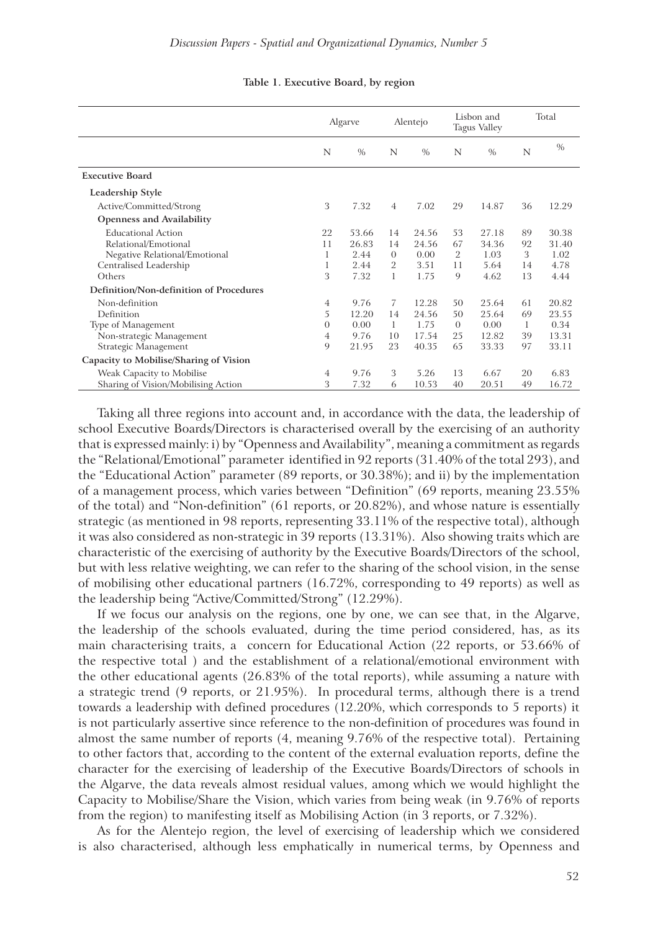|                                         | Algarve        |               | Alentejo       |       | Lisbon and<br><b>Tagus Valley</b> |               | Total |       |
|-----------------------------------------|----------------|---------------|----------------|-------|-----------------------------------|---------------|-------|-------|
|                                         | N              | $\frac{0}{0}$ | N              | $\%$  | N                                 | $\frac{0}{0}$ | N     | $\%$  |
| <b>Executive Board</b>                  |                |               |                |       |                                   |               |       |       |
| Leadership Style                        |                |               |                |       |                                   |               |       |       |
| Active/Committed/Strong                 | 3              | 7.32          | 4              | 7.02  | 29                                | 14.87         | 36    | 12.29 |
| <b>Openness and Availability</b>        |                |               |                |       |                                   |               |       |       |
| <b>Educational Action</b>               | 22             | 53.66         | 14             | 24.56 | 53                                | 27.18         | 89    | 30.38 |
| Relational/Emotional                    | 11             | 26.83         | 14             | 24.56 | 67                                | 34.36         | 92    | 31.40 |
| Negative Relational/Emotional           |                | 2.44          | $\Omega$       | 0.00  | 2                                 | 1.03          | 3     | 1.02  |
| Centralised Leadership                  | 1              | 2.44          | $\overline{2}$ | 3.51  | 11                                | 5.64          | 14    | 4.78  |
| Others                                  | 3              | 7.32          | 1              | 1.75  | 9                                 | 4.62          | 13    | 4.44  |
| Definition/Non-definition of Procedures |                |               |                |       |                                   |               |       |       |
| Non-definition                          | $\overline{4}$ | 9.76          | 7              | 12.28 | 50                                | 25.64         | 61    | 20.82 |
| Definition                              | 5              | 12.20         | 14             | 24.56 | 50                                | 25.64         | 69    | 23.55 |
| Type of Management                      | $\overline{0}$ | 0.00          | 1              | 1.75  | $\Omega$                          | 0.00          | 1     | 0.34  |
| Non-strategic Management                | 4              | 9.76          | 10             | 17.54 | 25                                | 12.82         | 39    | 13.31 |
| Strategic Management                    | 9              | 21.95         | 23             | 40.35 | 65                                | 33.33         | 97    | 33.11 |
| Capacity to Mobilise/Sharing of Vision  |                |               |                |       |                                   |               |       |       |
| Weak Capacity to Mobilise               | $\overline{4}$ | 9.76          | 3              | 5.26  | 13                                | 6.67          | 20    | 6.83  |
| Sharing of Vision/Mobilising Action     | 3              | 7.32          | 6              | 10.53 | 40                                | 20.51         | 49    | 16.72 |

#### **Table 1. Executive Board, by region**

Taking all three regions into account and, in accordance with the data, the leadership of school Executive Boards/Directors is characterised overall by the exercising of an authority that is expressed mainly: i) by "Openness and Availability", meaning a commitment as regards the "Relational/Emotional" parameter identified in 92 reports (31.40% of the total 293), and the "Educational Action" parameter (89 reports, or 30.38%); and ii) by the implementation of a management process, which varies between "Definition" (69 reports, meaning 23.55% of the total) and "Non-definition" (61 reports, or 20.82%), and whose nature is essentially strategic (as mentioned in 98 reports, representing 33.11% of the respective total), although it was also considered as non-strategic in 39 reports (13.31%). Also showing traits which are characteristic of the exercising of authority by the Executive Boards/Directors of the school, but with less relative weighting, we can refer to the sharing of the school vision, in the sense of mobilising other educational partners (16.72%, corresponding to 49 reports) as well as the leadership being "Active/Committed/Strong" (12.29%).

If we focus our analysis on the regions, one by one, we can see that, in the Algarve, the leadership of the schools evaluated, during the time period considered, has, as its main characterising traits, a concern for Educational Action (22 reports, or 53.66% of the respective total ) and the establishment of a relational/emotional environment with the other educational agents (26.83% of the total reports), while assuming a nature with a strategic trend (9 reports, or 21.95%). In procedural terms, although there is a trend towards a leadership with defined procedures (12.20%, which corresponds to 5 reports) it is not particularly assertive since reference to the non-definition of procedures was found in almost the same number of reports (4, meaning 9.76% of the respective total). Pertaining to other factors that, according to the content of the external evaluation reports, define the character for the exercising of leadership of the Executive Boards/Directors of schools in the Algarve, the data reveals almost residual values, among which we would highlight the Capacity to Mobilise/Share the Vision, which varies from being weak (in 9.76% of reports from the region) to manifesting itself as Mobilising Action (in 3 reports, or 7.32%).

As for the Alentejo region, the level of exercising of leadership which we considered is also characterised, although less emphatically in numerical terms, by Openness and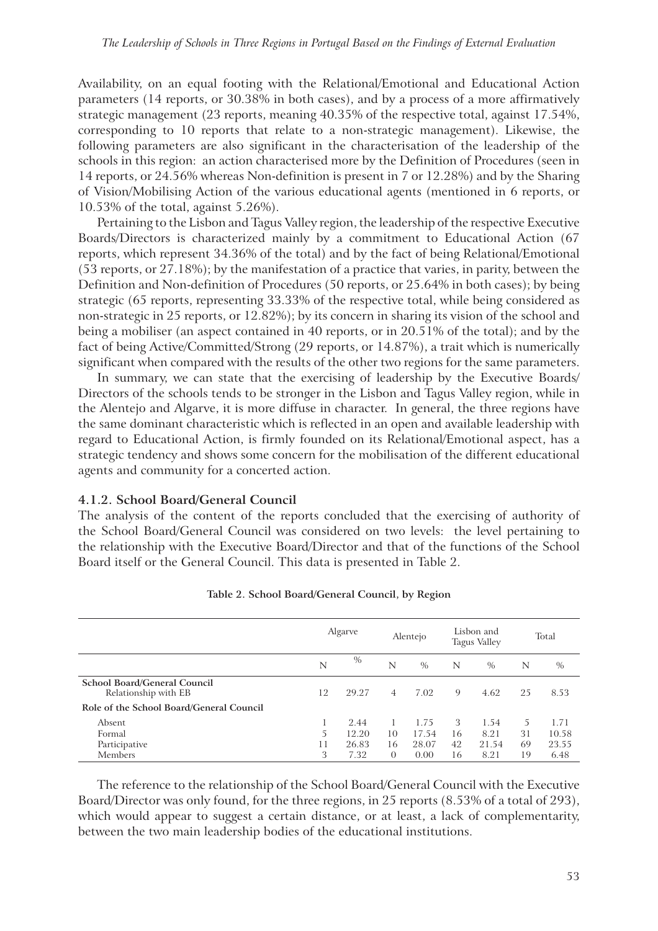Availability, on an equal footing with the Relational/Emotional and Educational Action parameters (14 reports, or 30.38% in both cases), and by a process of a more affirmatively strategic management (23 reports, meaning 40.35% of the respective total, against 17.54%, corresponding to 10 reports that relate to a non-strategic management). Likewise, the following parameters are also significant in the characterisation of the leadership of the schools in this region: an action characterised more by the Definition of Procedures (seen in 14 reports, or 24.56% whereas Non-definition is present in 7 or 12.28%) and by the Sharing of Vision/Mobilising Action of the various educational agents (mentioned in 6 reports, or 10.53% of the total, against 5.26%).

Pertaining to the Lisbon and Tagus Valley region, the leadership of the respective Executive Boards/Directors is characterized mainly by a commitment to Educational Action (67 reports, which represent 34.36% of the total) and by the fact of being Relational/Emotional (53 reports, or 27.18%); by the manifestation of a practice that varies, in parity, between the Definition and Non-definition of Procedures (50 reports, or 25.64% in both cases); by being strategic (65 reports, representing 33.33% of the respective total, while being considered as non-strategic in 25 reports, or 12.82%); by its concern in sharing its vision of the school and being a mobiliser (an aspect contained in 40 reports, or in 20.51% of the total); and by the fact of being Active/Committed/Strong (29 reports, or 14.87%), a trait which is numerically significant when compared with the results of the other two regions for the same parameters.

In summary, we can state that the exercising of leadership by the Executive Boards/ Directors of the schools tends to be stronger in the Lisbon and Tagus Valley region, while in the Alentejo and Algarve, it is more diffuse in character. In general, the three regions have the same dominant characteristic which is reflected in an open and available leadership with regard to Educational Action, is firmly founded on its Relational/Emotional aspect, has a strategic tendency and shows some concern for the mobilisation of the different educational agents and community for a concerted action.

## **4.1.2. School Board/General Council**

The analysis of the content of the reports concluded that the exercising of authority of the School Board/General Council was considered on two levels: the level pertaining to the relationship with the Executive Board/Director and that of the functions of the School Board itself or the General Council. This data is presented in Table 2.

|                                                             | Algarve |       | Alentejo       |       | Lisbon and<br><b>Tagus Valley</b> |               | Total |       |
|-------------------------------------------------------------|---------|-------|----------------|-------|-----------------------------------|---------------|-------|-------|
|                                                             | N       | $\%$  | N              | $\%$  | N                                 | $\frac{0}{0}$ | N     | $\%$  |
| <b>School Board/General Council</b><br>Relationship with EB | 12      | 29.27 | $\overline{4}$ | 7.02  | 9                                 | 4.62          | 25    | 8.53  |
| Role of the School Board/General Council                    |         |       |                |       |                                   |               |       |       |
| Absent                                                      |         | 2.44  |                | 1.75  | 3                                 | 1.54          | 5     | 1.71  |
| Formal                                                      | 5       | 12.20 | 10             | 17.54 | 16                                | 8.21          | 31    | 10.58 |
| Participative                                               | 11      | 26.83 | 16             | 28.07 | 42                                | 21.54         | 69    | 23.55 |
| Members                                                     | 3       | 7.32  | $\Omega$       | 0.00  | 16                                | 8.21          | 19    | 6.48  |

#### **Table 2. School Board/General Council, by Region**

The reference to the relationship of the School Board/General Council with the Executive Board/Director was only found, for the three regions, in 25 reports (8.53% of a total of 293), which would appear to suggest a certain distance, or at least, a lack of complementarity, between the two main leadership bodies of the educational institutions.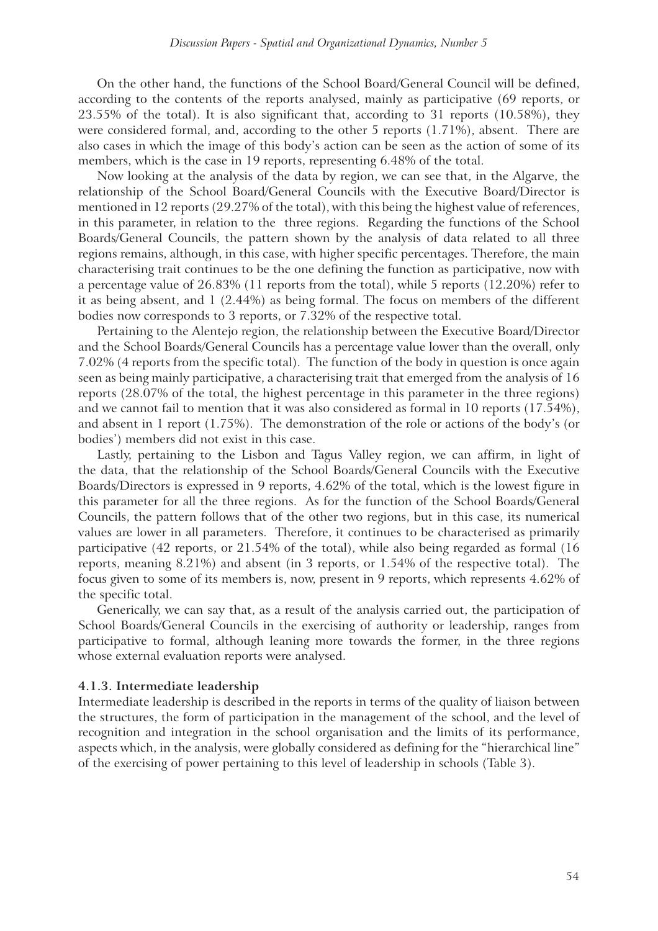On the other hand, the functions of the School Board/General Council will be defined, according to the contents of the reports analysed, mainly as participative (69 reports, or 23.55% of the total). It is also significant that, according to 31 reports (10.58%), they were considered formal, and, according to the other 5 reports (1.71%), absent. There are also cases in which the image of this body's action can be seen as the action of some of its members, which is the case in 19 reports, representing 6.48% of the total.

Now looking at the analysis of the data by region, we can see that, in the Algarve, the relationship of the School Board/General Councils with the Executive Board/Director is mentioned in 12 reports (29.27% of the total), with this being the highest value of references, in this parameter, in relation to the three regions. Regarding the functions of the School Boards/General Councils, the pattern shown by the analysis of data related to all three regions remains, although, in this case, with higher specific percentages. Therefore, the main characterising trait continues to be the one defining the function as participative, now with a percentage value of 26.83% (11 reports from the total), while 5 reports (12.20%) refer to it as being absent, and 1 (2.44%) as being formal. The focus on members of the different bodies now corresponds to 3 reports, or 7.32% of the respective total.

Pertaining to the Alentejo region, the relationship between the Executive Board/Director and the School Boards/General Councils has a percentage value lower than the overall, only 7.02% (4 reports from the specific total). The function of the body in question is once again seen as being mainly participative, a characterising trait that emerged from the analysis of 16 reports (28.07% of the total, the highest percentage in this parameter in the three regions) and we cannot fail to mention that it was also considered as formal in 10 reports (17.54%), and absent in 1 report (1.75%). The demonstration of the role or actions of the body's (or bodies') members did not exist in this case.

Lastly, pertaining to the Lisbon and Tagus Valley region, we can affirm, in light of the data, that the relationship of the School Boards/General Councils with the Executive Boards/Directors is expressed in 9 reports, 4.62% of the total, which is the lowest figure in this parameter for all the three regions. As for the function of the School Boards/General Councils, the pattern follows that of the other two regions, but in this case, its numerical values are lower in all parameters. Therefore, it continues to be characterised as primarily participative (42 reports, or 21.54% of the total), while also being regarded as formal (16 reports, meaning 8.21%) and absent (in 3 reports, or 1.54% of the respective total). The focus given to some of its members is, now, present in 9 reports, which represents 4.62% of the specific total.

Generically, we can say that, as a result of the analysis carried out, the participation of School Boards/General Councils in the exercising of authority or leadership, ranges from participative to formal, although leaning more towards the former, in the three regions whose external evaluation reports were analysed.

#### **4.1.3. Intermediate leadership**

Intermediate leadership is described in the reports in terms of the quality of liaison between the structures, the form of participation in the management of the school, and the level of recognition and integration in the school organisation and the limits of its performance, aspects which, in the analysis, were globally considered as defining for the "hierarchical line" of the exercising of power pertaining to this level of leadership in schools (Table 3).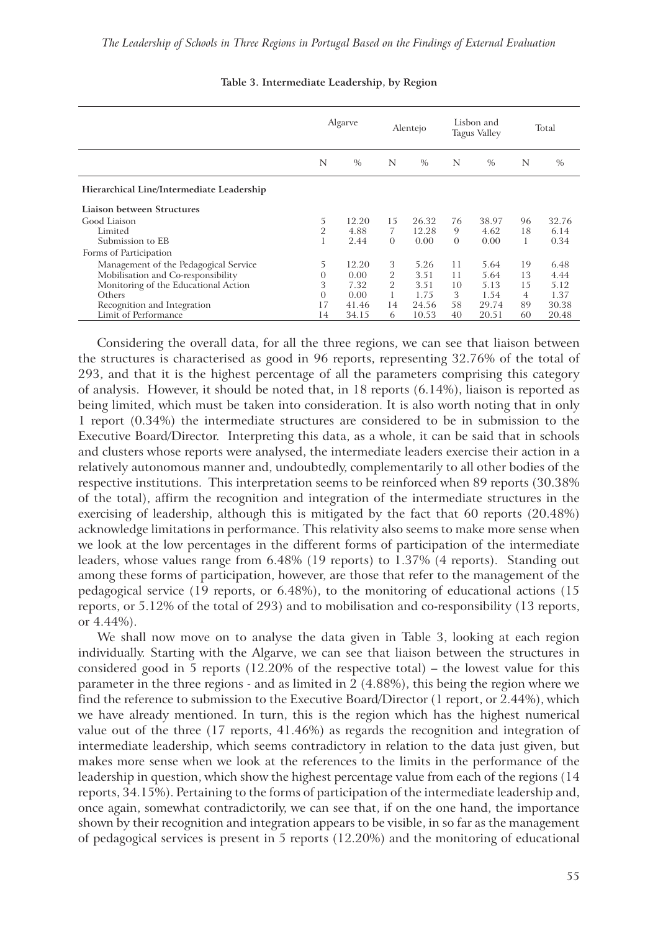|                                           |                | Algarve |          | Alentejo |          | Lisbon and<br><b>Tagus Valley</b> |    | Total |
|-------------------------------------------|----------------|---------|----------|----------|----------|-----------------------------------|----|-------|
|                                           | N              | $\%$    | N        | $\%$     | N        | $\%$                              | N  | $\%$  |
| Hierarchical Line/Intermediate Leadership |                |         |          |          |          |                                   |    |       |
| Liaison between Structures                |                |         |          |          |          |                                   |    |       |
| Good Liaison                              | 5              | 12.20   | 15       | 26.32    | 76       | 38.97                             | 96 | 32.76 |
| Limited                                   | $\overline{2}$ | 4.88    | 7        | 12.28    | 9        | 4.62                              | 18 | 6.14  |
| Submission to EB                          |                | 2.44    | $\Omega$ | 0.00     | $\theta$ | 0.00                              |    | 0.34  |
| Forms of Participation                    |                |         |          |          |          |                                   |    |       |
| Management of the Pedagogical Service     | 5              | 12.20   | 3        | 5.26     | 11       | 5.64                              | 19 | 6.48  |
| Mobilisation and Co-responsibility        | $\overline{0}$ | 0.00    | 2        | 3.51     | 11       | 5.64                              | 13 | 4.44  |
| Monitoring of the Educational Action      | 3              | 7.32    | 2        | 3.51     | 10       | 5.13                              | 15 | 5.12  |
| Others                                    | $\overline{0}$ | 0.00    |          | 1.75     | 3        | 1.54                              | 4  | 1.37  |
| Recognition and Integration               | 17             | 41.46   | 14       | 24.56    | 58       | 29.74                             | 89 | 30.38 |
| Limit of Performance                      | 14             | 34.15   | 6        | 10.53    | 40       | 20.51                             | 60 | 20.48 |

**Table 3. Intermediate Leadership, by Region**

Considering the overall data, for all the three regions, we can see that liaison between the structures is characterised as good in 96 reports, representing 32.76% of the total of 293, and that it is the highest percentage of all the parameters comprising this category of analysis. However, it should be noted that, in 18 reports (6.14%), liaison is reported as being limited, which must be taken into consideration. It is also worth noting that in only 1 report (0.34%) the intermediate structures are considered to be in submission to the Executive Board/Director. Interpreting this data, as a whole, it can be said that in schools and clusters whose reports were analysed, the intermediate leaders exercise their action in a relatively autonomous manner and, undoubtedly, complementarily to all other bodies of the respective institutions. This interpretation seems to be reinforced when 89 reports (30.38% of the total), affirm the recognition and integration of the intermediate structures in the exercising of leadership, although this is mitigated by the fact that 60 reports (20.48%) acknowledge limitations in performance. This relativity also seems to make more sense when we look at the low percentages in the different forms of participation of the intermediate leaders, whose values range from 6.48% (19 reports) to 1.37% (4 reports). Standing out among these forms of participation, however, are those that refer to the management of the pedagogical service (19 reports, or 6.48%), to the monitoring of educational actions (15 reports, or 5.12% of the total of 293) and to mobilisation and co-responsibility (13 reports, or 4.44%).

We shall now move on to analyse the data given in Table 3, looking at each region individually. Starting with the Algarve, we can see that liaison between the structures in considered good in 5 reports (12.20% of the respective total) – the lowest value for this parameter in the three regions - and as limited in 2 (4.88%), this being the region where we find the reference to submission to the Executive Board/Director (1 report, or 2.44%), which we have already mentioned. In turn, this is the region which has the highest numerical value out of the three (17 reports, 41.46%) as regards the recognition and integration of intermediate leadership, which seems contradictory in relation to the data just given, but makes more sense when we look at the references to the limits in the performance of the leadership in question, which show the highest percentage value from each of the regions (14 reports, 34.15%). Pertaining to the forms of participation of the intermediate leadership and, once again, somewhat contradictorily, we can see that, if on the one hand, the importance shown by their recognition and integration appears to be visible, in so far as the management of pedagogical services is present in 5 reports (12.20%) and the monitoring of educational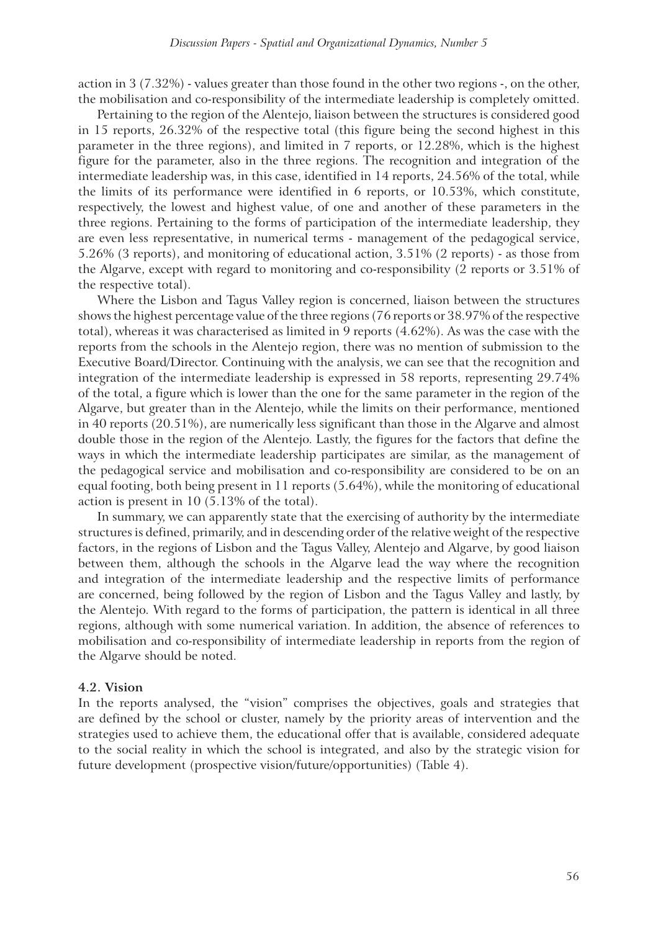action in 3 (7.32%) - values greater than those found in the other two regions -, on the other, the mobilisation and co-responsibility of the intermediate leadership is completely omitted.

Pertaining to the region of the Alentejo, liaison between the structures is considered good in 15 reports, 26.32% of the respective total (this figure being the second highest in this parameter in the three regions), and limited in 7 reports, or 12.28%, which is the highest figure for the parameter, also in the three regions. The recognition and integration of the intermediate leadership was, in this case, identified in 14 reports, 24.56% of the total, while the limits of its performance were identified in 6 reports, or 10.53%, which constitute, respectively, the lowest and highest value, of one and another of these parameters in the three regions. Pertaining to the forms of participation of the intermediate leadership, they are even less representative, in numerical terms - management of the pedagogical service, 5.26% (3 reports), and monitoring of educational action, 3.51% (2 reports) - as those from the Algarve, except with regard to monitoring and co-responsibility (2 reports or 3.51% of the respective total).

Where the Lisbon and Tagus Valley region is concerned, liaison between the structures shows the highest percentage value of the three regions (76 reports or 38.97% of the respective total), whereas it was characterised as limited in 9 reports (4.62%). As was the case with the reports from the schools in the Alentejo region, there was no mention of submission to the Executive Board/Director. Continuing with the analysis, we can see that the recognition and integration of the intermediate leadership is expressed in 58 reports, representing 29.74% of the total, a figure which is lower than the one for the same parameter in the region of the Algarve, but greater than in the Alentejo, while the limits on their performance, mentioned in 40 reports (20.51%), are numerically less significant than those in the Algarve and almost double those in the region of the Alentejo. Lastly, the figures for the factors that define the ways in which the intermediate leadership participates are similar, as the management of the pedagogical service and mobilisation and co-responsibility are considered to be on an equal footing, both being present in 11 reports (5.64%), while the monitoring of educational action is present in 10 (5.13% of the total).

In summary, we can apparently state that the exercising of authority by the intermediate structures is defined, primarily, and in descending order of the relative weight of the respective factors, in the regions of Lisbon and the Tagus Valley, Alentejo and Algarve, by good liaison between them, although the schools in the Algarve lead the way where the recognition and integration of the intermediate leadership and the respective limits of performance are concerned, being followed by the region of Lisbon and the Tagus Valley and lastly, by the Alentejo. With regard to the forms of participation, the pattern is identical in all three regions, although with some numerical variation. In addition, the absence of references to mobilisation and co-responsibility of intermediate leadership in reports from the region of the Algarve should be noted.

#### **4.2. Vision**

In the reports analysed, the "vision" comprises the objectives, goals and strategies that are defined by the school or cluster, namely by the priority areas of intervention and the strategies used to achieve them, the educational offer that is available, considered adequate to the social reality in which the school is integrated, and also by the strategic vision for future development (prospective vision/future/opportunities) (Table 4).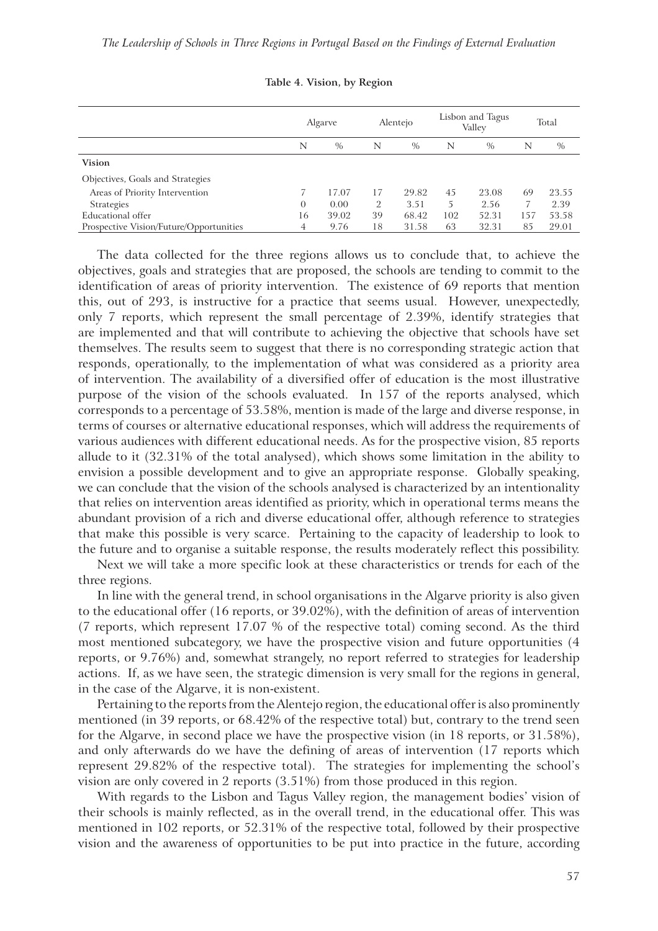|                                         | Algarve  |       | Alentejo |               | Lisbon and Tagus<br>Valley |       | Total |       |
|-----------------------------------------|----------|-------|----------|---------------|----------------------------|-------|-------|-------|
|                                         | N        | $\%$  | N        | $\frac{0}{0}$ | N                          | $\%$  | N     | $\%$  |
| <b>Vision</b>                           |          |       |          |               |                            |       |       |       |
| Objectives, Goals and Strategies        |          |       |          |               |                            |       |       |       |
| Areas of Priority Intervention          |          | 17.07 | 17       | 29.82         | 45                         | 23.08 | 69    | 23.55 |
| <b>Strategies</b>                       | $\Omega$ | 0.00  | 2        | 3.51          | 5                          | 2.56  |       | 2.39  |
| Educational offer                       | 16       | 39.02 | 39       | 68.42         | 102                        | 52.31 | 157   | 53.58 |
| Prospective Vision/Future/Opportunities | 4        | 9.76  | 18       | 31.58         | 63                         | 32.31 | 85    | 29.01 |

**Table 4. Vision, by Region** 

The data collected for the three regions allows us to conclude that, to achieve the objectives, goals and strategies that are proposed, the schools are tending to commit to the identification of areas of priority intervention. The existence of 69 reports that mention this, out of 293, is instructive for a practice that seems usual. However, unexpectedly, only 7 reports, which represent the small percentage of 2.39%, identify strategies that are implemented and that will contribute to achieving the objective that schools have set themselves. The results seem to suggest that there is no corresponding strategic action that responds, operationally, to the implementation of what was considered as a priority area of intervention. The availability of a diversified offer of education is the most illustrative purpose of the vision of the schools evaluated. In 157 of the reports analysed, which corresponds to a percentage of 53.58%, mention is made of the large and diverse response, in terms of courses or alternative educational responses, which will address the requirements of various audiences with different educational needs. As for the prospective vision, 85 reports allude to it (32.31% of the total analysed), which shows some limitation in the ability to envision a possible development and to give an appropriate response. Globally speaking, we can conclude that the vision of the schools analysed is characterized by an intentionality that relies on intervention areas identified as priority, which in operational terms means the abundant provision of a rich and diverse educational offer, although reference to strategies that make this possible is very scarce. Pertaining to the capacity of leadership to look to the future and to organise a suitable response, the results moderately reflect this possibility.

Next we will take a more specific look at these characteristics or trends for each of the three regions.

In line with the general trend, in school organisations in the Algarve priority is also given to the educational offer (16 reports, or 39.02%), with the definition of areas of intervention (7 reports, which represent 17.07 % of the respective total) coming second. As the third most mentioned subcategory, we have the prospective vision and future opportunities (4 reports, or 9.76%) and, somewhat strangely, no report referred to strategies for leadership actions. If, as we have seen, the strategic dimension is very small for the regions in general, in the case of the Algarve, it is non-existent.

Pertaining to the reports from the Alentejo region, the educational offer is also prominently mentioned (in 39 reports, or 68.42% of the respective total) but, contrary to the trend seen for the Algarve, in second place we have the prospective vision (in 18 reports, or 31.58%), and only afterwards do we have the defining of areas of intervention (17 reports which represent 29.82% of the respective total). The strategies for implementing the school's vision are only covered in 2 reports (3.51%) from those produced in this region.

With regards to the Lisbon and Tagus Valley region, the management bodies' vision of their schools is mainly reflected, as in the overall trend, in the educational offer. This was mentioned in 102 reports, or 52.31% of the respective total, followed by their prospective vision and the awareness of opportunities to be put into practice in the future, according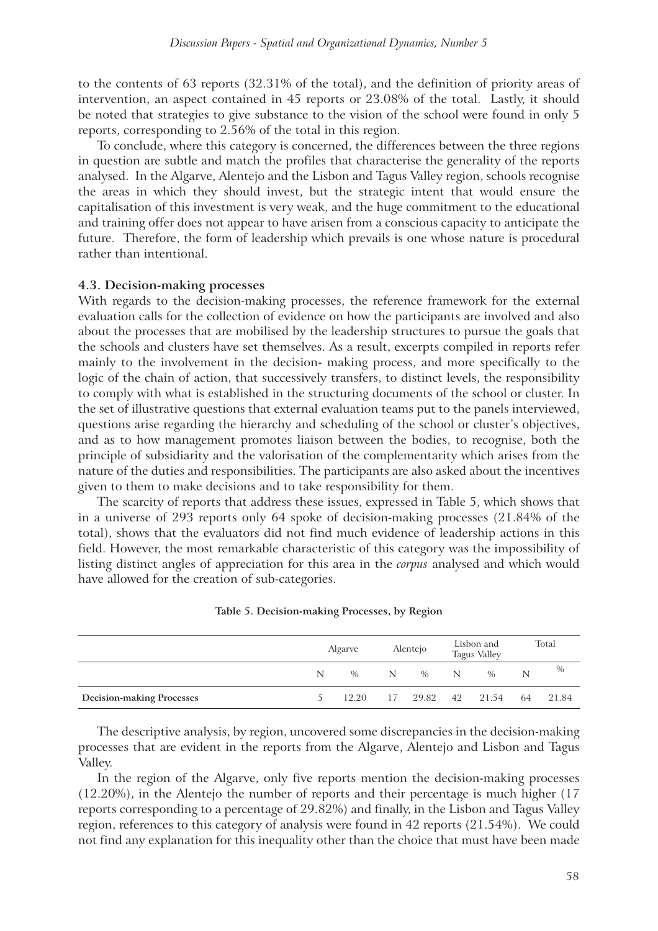to the contents of 63 reports (32.31% of the total), and the definition of priority areas of intervention, an aspect contained in 45 reports or 23.08% of the total. Lastly, it should be noted that strategies to give substance to the vision of the school were found in only 5 reports, corresponding to 2.56% of the total in this region.

To conclude, where this category is concerned, the differences between the three regions in question are subtle and match the profiles that characterise the generality of the reports analysed. In the Algarve, Alentejo and the Lisbon and Tagus Valley region, schools recognise the areas in which they should invest, but the strategic intent that would ensure the capitalisation of this investment is very weak, and the huge commitment to the educational and training offer does not appear to have arisen from a conscious capacity to anticipate the future. Therefore, the form of leadership which prevails is one whose nature is procedural rather than intentional.

#### **4.3. Decision-making processes**

With regards to the decision-making processes, the reference framework for the external evaluation calls for the collection of evidence on how the participants are involved and also about the processes that are mobilised by the leadership structures to pursue the goals that the schools and clusters have set themselves. As a result, excerpts compiled in reports refer mainly to the involvement in the decision- making process, and more specifically to the logic of the chain of action, that successively transfers, to distinct levels, the responsibility to comply with what is established in the structuring documents of the school or cluster. In the set of illustrative questions that external evaluation teams put to the panels interviewed, questions arise regarding the hierarchy and scheduling of the school or cluster's objectives, and as to how management promotes liaison between the bodies, to recognise, both the principle of subsidiarity and the valorisation of the complementarity which arises from the nature of the duties and responsibilities. The participants are also asked about the incentives given to them to make decisions and to take responsibility for them.

The scarcity of reports that address these issues, expressed in Table 5, which shows that in a universe of 293 reports only 64 spoke of decision-making processes (21.84% of the total), shows that the evaluators did not find much evidence of leadership actions in this field. However, the most remarkable characteristic of this category was the impossibility of listing distinct angles of appreciation for this area in the *corpus* analysed and which would have allowed for the creation of sub-categories.

|                                  |   | Algarve |     | Alentejo |   | Lisbon and<br><b>Tagus Valley</b> |   | Total |  |
|----------------------------------|---|---------|-----|----------|---|-----------------------------------|---|-------|--|
|                                  | N | $\%$    | N = | $\%$     | N | $\%$                              | N | $\%$  |  |
| <b>Decision-making Processes</b> |   |         |     |          |   | 12.20 17 29.82 42 21.54 64        |   | 21.84 |  |

**Table 5. Decision-making Processes, by Region**

The descriptive analysis, by region, uncovered some discrepancies in the decision-making processes that are evident in the reports from the Algarve, Alentejo and Lisbon and Tagus Valley.

In the region of the Algarve, only five reports mention the decision-making processes (12.20%), in the Alentejo the number of reports and their percentage is much higher (17 reports corresponding to a percentage of 29.82%) and finally, in the Lisbon and Tagus Valley region, references to this category of analysis were found in 42 reports (21.54%). We could not find any explanation for this inequality other than the choice that must have been made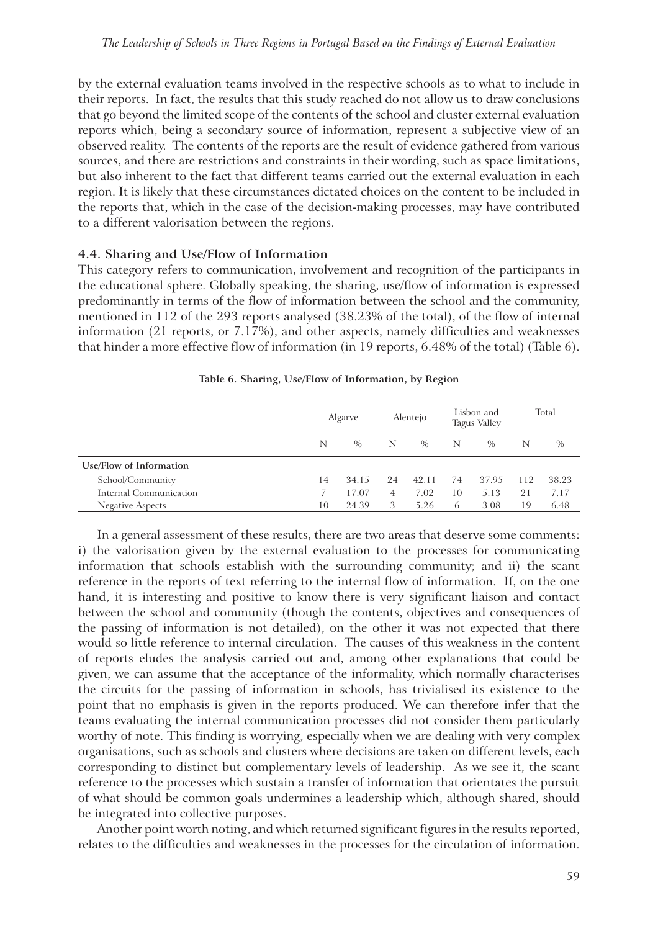by the external evaluation teams involved in the respective schools as to what to include in their reports. In fact, the results that this study reached do not allow us to draw conclusions that go beyond the limited scope of the contents of the school and cluster external evaluation reports which, being a secondary source of information, represent a subjective view of an observed reality. The contents of the reports are the result of evidence gathered from various sources, and there are restrictions and constraints in their wording, such as space limitations, but also inherent to the fact that different teams carried out the external evaluation in each region. It is likely that these circumstances dictated choices on the content to be included in the reports that, which in the case of the decision-making processes, may have contributed to a different valorisation between the regions.

#### **4.4. Sharing and Use/Flow of Information**

This category refers to communication, involvement and recognition of the participants in the educational sphere. Globally speaking, the sharing, use/flow of information is expressed predominantly in terms of the flow of information between the school and the community, mentioned in 112 of the 293 reports analysed (38.23% of the total), of the flow of internal information (21 reports, or 7.17%), and other aspects, namely difficulties and weaknesses that hinder a more effective flow of information (in 19 reports, 6.48% of the total) (Table 6).

|                         |    | Algarve |    | Alentejo | Lisbon and<br><b>Tagus Valley</b> |       | Total |       |
|-------------------------|----|---------|----|----------|-----------------------------------|-------|-------|-------|
|                         | N  | $\%$    | N  | $\%$     | N                                 | $\%$  | N     | $\%$  |
| Use/Flow of Information |    |         |    |          |                                   |       |       |       |
| School/Community        | 14 | 34.15   | 24 | 42.11    | 74                                | 37.95 | -112  | 38.23 |
| Internal Communication  |    | 17.07   | 4  | 7.02     | 10                                | 5.13  | 21    | 7.17  |
| <b>Negative Aspects</b> | 10 | 24.39   | 3  | 5.26     | 6                                 | 3.08  | 19    | 6.48  |

**Table 6. Sharing, Use/Flow of Information, by Region**

In a general assessment of these results, there are two areas that deserve some comments: i) the valorisation given by the external evaluation to the processes for communicating information that schools establish with the surrounding community; and ii) the scant reference in the reports of text referring to the internal flow of information. If, on the one hand, it is interesting and positive to know there is very significant liaison and contact between the school and community (though the contents, objectives and consequences of the passing of information is not detailed), on the other it was not expected that there would so little reference to internal circulation. The causes of this weakness in the content of reports eludes the analysis carried out and, among other explanations that could be given, we can assume that the acceptance of the informality, which normally characterises the circuits for the passing of information in schools, has trivialised its existence to the point that no emphasis is given in the reports produced. We can therefore infer that the teams evaluating the internal communication processes did not consider them particularly worthy of note. This finding is worrying, especially when we are dealing with very complex organisations, such as schools and clusters where decisions are taken on different levels, each corresponding to distinct but complementary levels of leadership. As we see it, the scant reference to the processes which sustain a transfer of information that orientates the pursuit of what should be common goals undermines a leadership which, although shared, should be integrated into collective purposes.

Another point worth noting, and which returned significant figures in the results reported, relates to the difficulties and weaknesses in the processes for the circulation of information.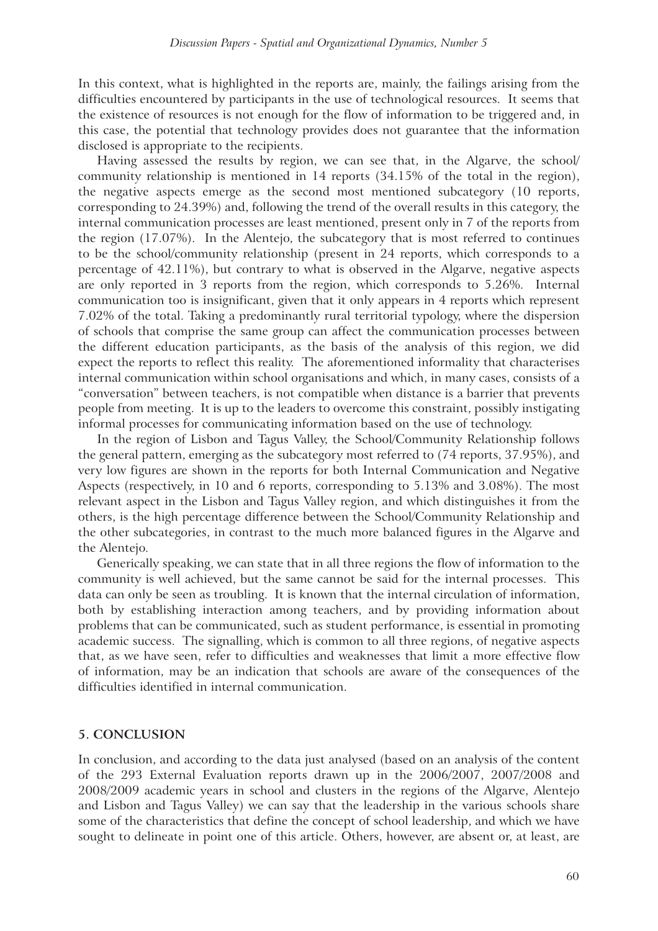In this context, what is highlighted in the reports are, mainly, the failings arising from the difficulties encountered by participants in the use of technological resources. It seems that the existence of resources is not enough for the flow of information to be triggered and, in this case, the potential that technology provides does not guarantee that the information disclosed is appropriate to the recipients.

Having assessed the results by region, we can see that, in the Algarve, the school/ community relationship is mentioned in 14 reports (34.15% of the total in the region), the negative aspects emerge as the second most mentioned subcategory (10 reports, corresponding to 24.39%) and, following the trend of the overall results in this category, the internal communication processes are least mentioned, present only in 7 of the reports from the region (17.07%). In the Alentejo, the subcategory that is most referred to continues to be the school/community relationship (present in 24 reports, which corresponds to a percentage of 42.11%), but contrary to what is observed in the Algarve, negative aspects are only reported in 3 reports from the region, which corresponds to 5.26%. Internal communication too is insignificant, given that it only appears in 4 reports which represent 7.02% of the total. Taking a predominantly rural territorial typology, where the dispersion of schools that comprise the same group can affect the communication processes between the different education participants, as the basis of the analysis of this region, we did expect the reports to reflect this reality. The aforementioned informality that characterises internal communication within school organisations and which, in many cases, consists of a "conversation" between teachers, is not compatible when distance is a barrier that prevents people from meeting. It is up to the leaders to overcome this constraint, possibly instigating informal processes for communicating information based on the use of technology.

In the region of Lisbon and Tagus Valley, the School/Community Relationship follows the general pattern, emerging as the subcategory most referred to (74 reports, 37.95%), and very low figures are shown in the reports for both Internal Communication and Negative Aspects (respectively, in 10 and 6 reports, corresponding to 5.13% and 3.08%). The most relevant aspect in the Lisbon and Tagus Valley region, and which distinguishes it from the others, is the high percentage difference between the School/Community Relationship and the other subcategories, in contrast to the much more balanced figures in the Algarve and the Alentejo.

Generically speaking, we can state that in all three regions the flow of information to the community is well achieved, but the same cannot be said for the internal processes. This data can only be seen as troubling. It is known that the internal circulation of information, both by establishing interaction among teachers, and by providing information about problems that can be communicated, such as student performance, is essential in promoting academic success. The signalling, which is common to all three regions, of negative aspects that, as we have seen, refer to difficulties and weaknesses that limit a more effective flow of information, may be an indication that schools are aware of the consequences of the difficulties identified in internal communication.

### **5. CONCLUSION**

In conclusion, and according to the data just analysed (based on an analysis of the content of the 293 External Evaluation reports drawn up in the 2006/2007, 2007/2008 and 2008/2009 academic years in school and clusters in the regions of the Algarve, Alentejo and Lisbon and Tagus Valley) we can say that the leadership in the various schools share some of the characteristics that define the concept of school leadership, and which we have sought to delineate in point one of this article. Others, however, are absent or, at least, are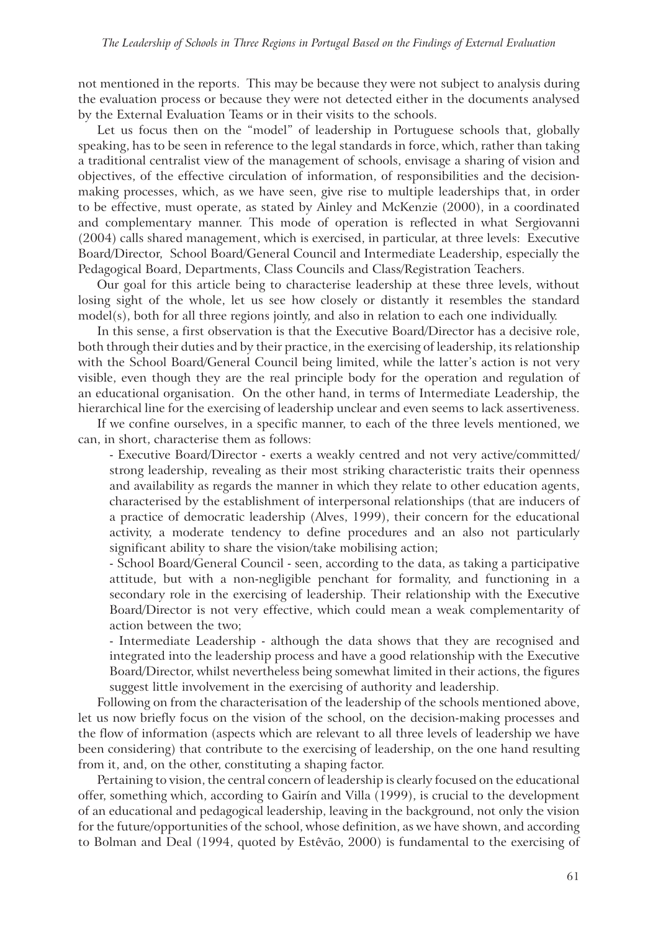not mentioned in the reports. This may be because they were not subject to analysis during the evaluation process or because they were not detected either in the documents analysed by the External Evaluation Teams or in their visits to the schools.

Let us focus then on the "model" of leadership in Portuguese schools that, globally speaking, has to be seen in reference to the legal standards in force, which, rather than taking a traditional centralist view of the management of schools, envisage a sharing of vision and objectives, of the effective circulation of information, of responsibilities and the decisionmaking processes, which, as we have seen, give rise to multiple leaderships that, in order to be effective, must operate, as stated by Ainley and McKenzie (2000), in a coordinated and complementary manner. This mode of operation is reflected in what Sergiovanni (2004) calls shared management, which is exercised, in particular, at three levels: Executive Board/Director, School Board/General Council and Intermediate Leadership, especially the Pedagogical Board, Departments, Class Councils and Class/Registration Teachers.

Our goal for this article being to characterise leadership at these three levels, without losing sight of the whole, let us see how closely or distantly it resembles the standard model(s), both for all three regions jointly, and also in relation to each one individually.

In this sense, a first observation is that the Executive Board/Director has a decisive role, both through their duties and by their practice, in the exercising of leadership, its relationship with the School Board/General Council being limited, while the latter's action is not very visible, even though they are the real principle body for the operation and regulation of an educational organisation. On the other hand, in terms of Intermediate Leadership, the hierarchical line for the exercising of leadership unclear and even seems to lack assertiveness.

If we confine ourselves, in a specific manner, to each of the three levels mentioned, we can, in short, characterise them as follows:

- Executive Board/Director - exerts a weakly centred and not very active/committed/ strong leadership, revealing as their most striking characteristic traits their openness and availability as regards the manner in which they relate to other education agents, characterised by the establishment of interpersonal relationships (that are inducers of a practice of democratic leadership (Alves, 1999), their concern for the educational activity, a moderate tendency to define procedures and an also not particularly significant ability to share the vision/take mobilising action;

- School Board/General Council - seen, according to the data, as taking a participative attitude, but with a non-negligible penchant for formality, and functioning in a secondary role in the exercising of leadership. Their relationship with the Executive Board/Director is not very effective, which could mean a weak complementarity of action between the two;

- Intermediate Leadership - although the data shows that they are recognised and integrated into the leadership process and have a good relationship with the Executive Board/Director, whilst nevertheless being somewhat limited in their actions, the figures suggest little involvement in the exercising of authority and leadership.

Following on from the characterisation of the leadership of the schools mentioned above, let us now briefly focus on the vision of the school, on the decision-making processes and the flow of information (aspects which are relevant to all three levels of leadership we have been considering) that contribute to the exercising of leadership, on the one hand resulting from it, and, on the other, constituting a shaping factor.

Pertaining to vision, the central concern of leadership is clearly focused on the educational offer, something which, according to Gairín and Villa (1999), is crucial to the development of an educational and pedagogical leadership, leaving in the background, not only the vision for the future/opportunities of the school, whose definition, as we have shown, and according to Bolman and Deal (1994, quoted by Estêvão, 2000) is fundamental to the exercising of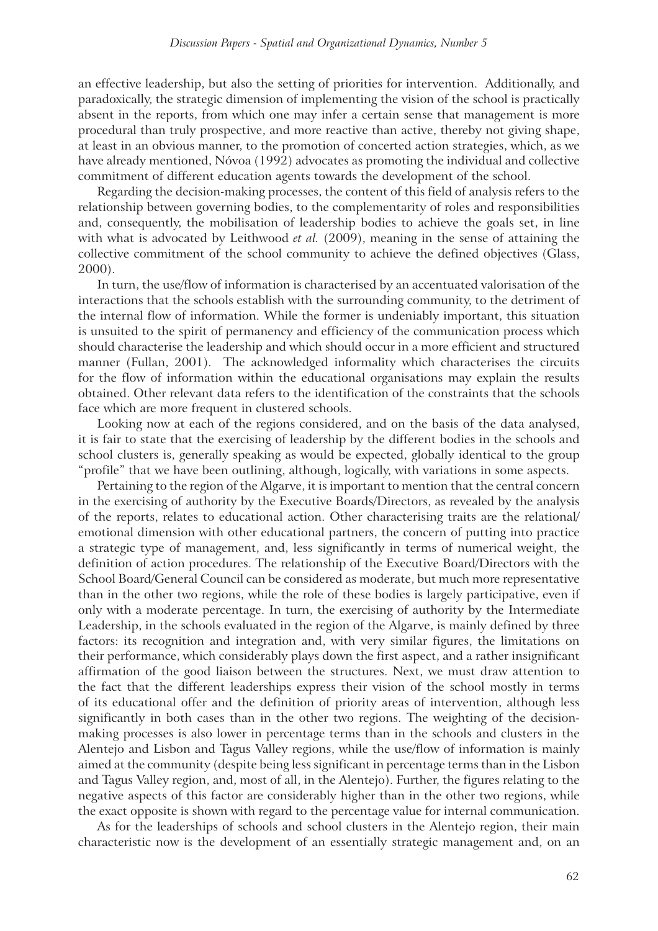an effective leadership, but also the setting of priorities for intervention. Additionally, and paradoxically, the strategic dimension of implementing the vision of the school is practically absent in the reports, from which one may infer a certain sense that management is more procedural than truly prospective, and more reactive than active, thereby not giving shape, at least in an obvious manner, to the promotion of concerted action strategies, which, as we have already mentioned, Nóvoa (1992) advocates as promoting the individual and collective commitment of different education agents towards the development of the school.

Regarding the decision-making processes, the content of this field of analysis refers to the relationship between governing bodies, to the complementarity of roles and responsibilities and, consequently, the mobilisation of leadership bodies to achieve the goals set, in line with what is advocated by Leithwood *et al.* (2009), meaning in the sense of attaining the collective commitment of the school community to achieve the defined objectives (Glass, 2000).

In turn, the use/flow of information is characterised by an accentuated valorisation of the interactions that the schools establish with the surrounding community, to the detriment of the internal flow of information. While the former is undeniably important, this situation is unsuited to the spirit of permanency and efficiency of the communication process which should characterise the leadership and which should occur in a more efficient and structured manner (Fullan, 2001). The acknowledged informality which characterises the circuits for the flow of information within the educational organisations may explain the results obtained. Other relevant data refers to the identification of the constraints that the schools face which are more frequent in clustered schools.

Looking now at each of the regions considered, and on the basis of the data analysed, it is fair to state that the exercising of leadership by the different bodies in the schools and school clusters is, generally speaking as would be expected, globally identical to the group "profile" that we have been outlining, although, logically, with variations in some aspects.

Pertaining to the region of the Algarve, it is important to mention that the central concern in the exercising of authority by the Executive Boards/Directors, as revealed by the analysis of the reports, relates to educational action. Other characterising traits are the relational/ emotional dimension with other educational partners, the concern of putting into practice a strategic type of management, and, less significantly in terms of numerical weight, the definition of action procedures. The relationship of the Executive Board/Directors with the School Board/General Council can be considered as moderate, but much more representative than in the other two regions, while the role of these bodies is largely participative, even if only with a moderate percentage. In turn, the exercising of authority by the Intermediate Leadership, in the schools evaluated in the region of the Algarve, is mainly defined by three factors: its recognition and integration and, with very similar figures, the limitations on their performance, which considerably plays down the first aspect, and a rather insignificant affirmation of the good liaison between the structures. Next, we must draw attention to the fact that the different leaderships express their vision of the school mostly in terms of its educational offer and the definition of priority areas of intervention, although less significantly in both cases than in the other two regions. The weighting of the decisionmaking processes is also lower in percentage terms than in the schools and clusters in the Alentejo and Lisbon and Tagus Valley regions, while the use/flow of information is mainly aimed at the community (despite being less significant in percentage terms than in the Lisbon and Tagus Valley region, and, most of all, in the Alentejo). Further, the figures relating to the negative aspects of this factor are considerably higher than in the other two regions, while the exact opposite is shown with regard to the percentage value for internal communication.

As for the leaderships of schools and school clusters in the Alentejo region, their main characteristic now is the development of an essentially strategic management and, on an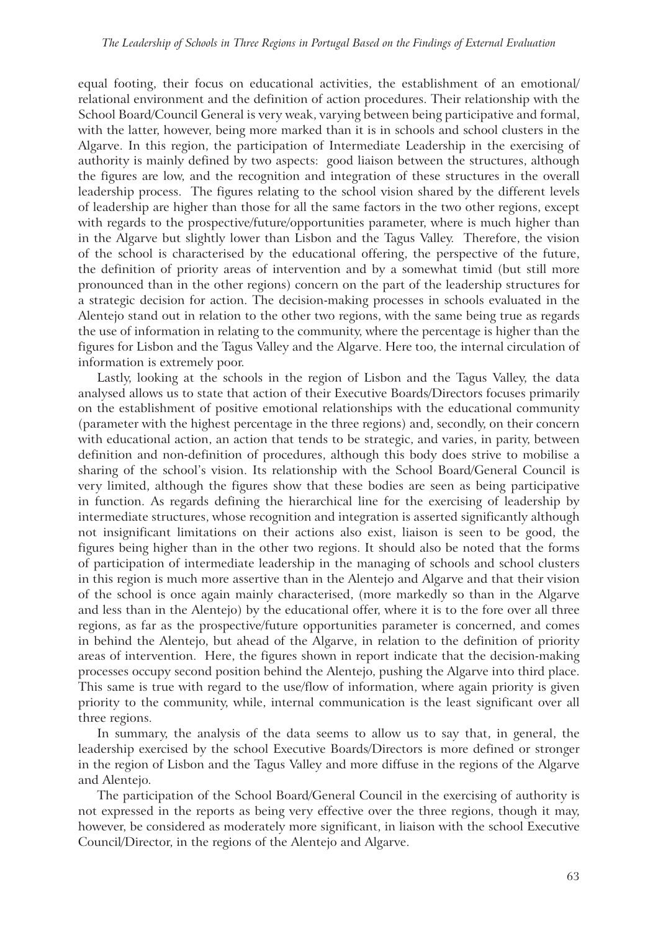equal footing, their focus on educational activities, the establishment of an emotional/ relational environment and the definition of action procedures. Their relationship with the School Board/Council General is very weak, varying between being participative and formal, with the latter, however, being more marked than it is in schools and school clusters in the Algarve. In this region, the participation of Intermediate Leadership in the exercising of authority is mainly defined by two aspects: good liaison between the structures, although the figures are low, and the recognition and integration of these structures in the overall leadership process. The figures relating to the school vision shared by the different levels of leadership are higher than those for all the same factors in the two other regions, except with regards to the prospective/future/opportunities parameter, where is much higher than in the Algarve but slightly lower than Lisbon and the Tagus Valley. Therefore, the vision of the school is characterised by the educational offering, the perspective of the future, the definition of priority areas of intervention and by a somewhat timid (but still more pronounced than in the other regions) concern on the part of the leadership structures for a strategic decision for action. The decision-making processes in schools evaluated in the Alentejo stand out in relation to the other two regions, with the same being true as regards the use of information in relating to the community, where the percentage is higher than the figures for Lisbon and the Tagus Valley and the Algarve. Here too, the internal circulation of information is extremely poor.

Lastly, looking at the schools in the region of Lisbon and the Tagus Valley, the data analysed allows us to state that action of their Executive Boards/Directors focuses primarily on the establishment of positive emotional relationships with the educational community (parameter with the highest percentage in the three regions) and, secondly, on their concern with educational action, an action that tends to be strategic, and varies, in parity, between definition and non-definition of procedures, although this body does strive to mobilise a sharing of the school's vision. Its relationship with the School Board/General Council is very limited, although the figures show that these bodies are seen as being participative in function. As regards defining the hierarchical line for the exercising of leadership by intermediate structures, whose recognition and integration is asserted significantly although not insignificant limitations on their actions also exist, liaison is seen to be good, the figures being higher than in the other two regions. It should also be noted that the forms of participation of intermediate leadership in the managing of schools and school clusters in this region is much more assertive than in the Alentejo and Algarve and that their vision of the school is once again mainly characterised, (more markedly so than in the Algarve and less than in the Alentejo) by the educational offer, where it is to the fore over all three regions, as far as the prospective/future opportunities parameter is concerned, and comes in behind the Alentejo, but ahead of the Algarve, in relation to the definition of priority areas of intervention. Here, the figures shown in report indicate that the decision-making processes occupy second position behind the Alentejo, pushing the Algarve into third place. This same is true with regard to the use/flow of information, where again priority is given priority to the community, while, internal communication is the least significant over all three regions.

In summary, the analysis of the data seems to allow us to say that, in general, the leadership exercised by the school Executive Boards/Directors is more defined or stronger in the region of Lisbon and the Tagus Valley and more diffuse in the regions of the Algarve and Alentejo.

The participation of the School Board/General Council in the exercising of authority is not expressed in the reports as being very effective over the three regions, though it may, however, be considered as moderately more significant, in liaison with the school Executive Council/Director, in the regions of the Alentejo and Algarve.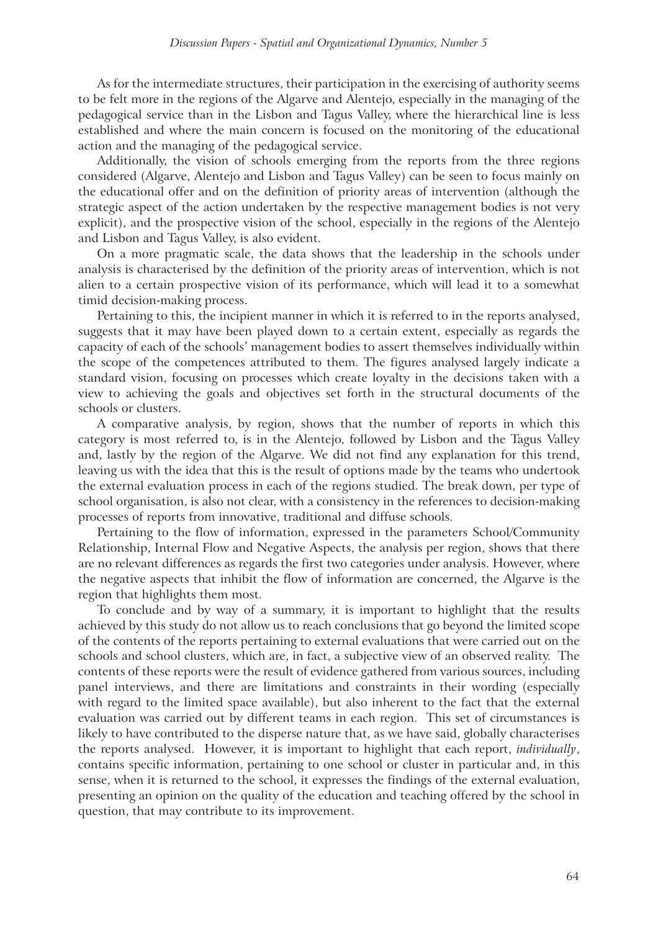As for the intermediate structures, their participation in the exercising of authority seems to be felt more in the regions of the Algarve and Alentejo, especially in the managing of the pedagogical service than in the Lisbon and Tagus Valley, where the hierarchical line is less established and where the main concern is focused on the monitoring of the educational action and the managing of the pedagogical service.

Additionally, the vision of schools emerging from the reports from the three regions considered (Algarve, Alentejo and Lisbon and Tagus Valley) can be seen to focus mainly on the educational offer and on the definition of priority areas of intervention (although the strategic aspect of the action undertaken by the respective management bodies is not very explicit), and the prospective vision of the school, especially in the regions of the Alentejo and Lisbon and Tagus Valley, is also evident.

On a more pragmatic scale, the data shows that the leadership in the schools under analysis is characterised by the definition of the priority areas of intervention, which is not alien to a certain prospective vision of its performance, which will lead it to a somewhat timid decision-making process.

Pertaining to this, the incipient manner in which it is referred to in the reports analysed, suggests that it may have been played down to a certain extent, especially as regards the capacity of each of the schools' management bodies to assert themselves individually within the scope of the competences attributed to them. The figures analysed largely indicate a standard vision, focusing on processes which create loyalty in the decisions taken with a view to achieving the goals and objectives set forth in the structural documents of the schools or clusters.

A comparative analysis, by region, shows that the number of reports in which this category is most referred to, is in the Alentejo, followed by Lisbon and the Tagus Valley and, lastly by the region of the Algarve. We did not find any explanation for this trend, leaving us with the idea that this is the result of options made by the teams who undertook the external evaluation process in each of the regions studied. The break down, per type of school organisation, is also not clear, with a consistency in the references to decision-making processes of reports from innovative, traditional and diffuse schools.

Pertaining to the flow of information, expressed in the parameters School/Community Relationship, Internal Flow and Negative Aspects, the analysis per region, shows that there are no relevant differences as regards the first two categories under analysis. However, where the negative aspects that inhibit the flow of information are concerned, the Algarve is the region that highlights them most.

To conclude and by way of a summary, it is important to highlight that the results achieved by this study do not allow us to reach conclusions that go beyond the limited scope of the contents of the reports pertaining to external evaluations that were carried out on the schools and school clusters, which are, in fact, a subjective view of an observed reality. The contents of these reports were the result of evidence gathered from various sources, including panel interviews, and there are limitations and constraints in their wording (especially with regard to the limited space available), but also inherent to the fact that the external evaluation was carried out by different teams in each region. This set of circumstances is likely to have contributed to the disperse nature that, as we have said, globally characterises the reports analysed. However, it is important to highlight that each report, *individually*, contains specific information, pertaining to one school or cluster in particular and, in this sense, when it is returned to the school, it expresses the findings of the external evaluation, presenting an opinion on the quality of the education and teaching offered by the school in question, that may contribute to its improvement.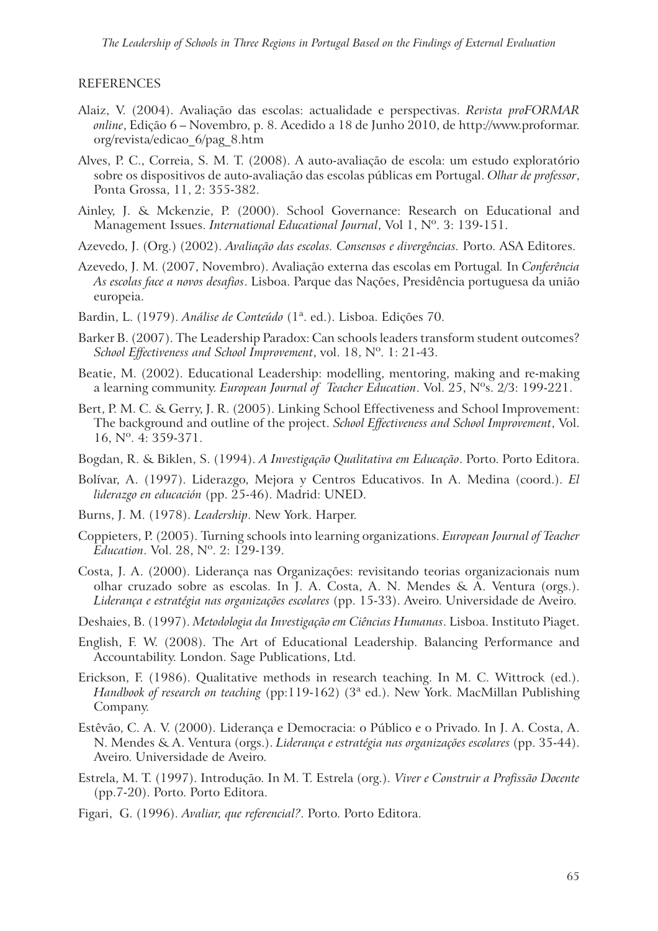#### REFERENCES

- Alaiz, V. (2004). Avaliação das escolas: actualidade e perspectivas. *Revista proFORMAR online*, Edição 6 – Novembro, p. 8. Acedido a 18 de Junho 2010, de http://www.proformar. org/revista/edicao\_6/pag\_8.htm
- Alves, P. C., Correia, S. M. T. (2008). A auto-avaliação de escola: um estudo exploratório sobre os dispositivos de auto-avaliação das escolas públicas em Portugal. *Olhar de professor*, Ponta Grossa, 11, 2: 355-382.
- Ainley, J. & Mckenzie, P. (2000). School Governance: Research on Educational and Management Issues. *International Educational Journal*, Vol 1, Nº. 3: 139-151.
- Azevedo, J. (Org.) (2002). *Avaliação das escolas. Consensos e divergências.* Porto. ASA Editores.
- Azevedo, J. M. (2007, Novembro). Avaliação externa das escolas em Portugal*.* In *Conferência As escolas face a novos desafios*. Lisboa. Parque das Nações, Presidência portuguesa da união europeia.
- Bardin, L. (1979). *Análise de Conteúdo* (1ª. ed.). Lisboa. Edições 70.
- Barker B. (2007). The Leadership Paradox: Can schools leaders transform student outcomes? *School Effectiveness and School Improvement*, vol. 18, Nº. 1: 21-43.
- Beatie, M. (2002). Educational Leadership: modelling, mentoring, making and re-making a learning community. *European Journal of Teacher Education*. Vol. 25, Nºs. 2/3: 199-221.
- Bert, P. M. C. & Gerry, J. R. (2005). Linking School Effectiveness and School Improvement: The background and outline of the project. *School Effectiveness and School Improvement*, Vol. 16, Nº. 4: 359-371.
- Bogdan, R. & Biklen, S. (1994). *A Investigação Qualitativa em Educação*. Porto. Porto Editora.
- Bolívar, A. (1997). Liderazgo, Mejora y Centros Educativos. In A. Medina (coord.). *El liderazgo en educación* (pp. 25-46). Madrid: UNED.
- Burns, J. M. (1978). *Leadership*. New York. Harper.
- Coppieters, P. (2005). Turning schools into learning organizations. *European Journal of Teacher Education*. Vol. 28, Nº. 2: 129-139.
- Costa, J. A. (2000). Liderança nas Organizações: revisitando teorias organizacionais num olhar cruzado sobre as escolas. In J. A. Costa, A. N. Mendes & A. Ventura (orgs.). *Liderança e estratégia nas organizações escolares* (pp. 15-33). Aveiro. Universidade de Aveiro.
- Deshaies, B. (1997). *Metodologia da Investigação em Ciências Humanas*. Lisboa. Instituto Piaget.
- English, F. W. (2008). The Art of Educational Leadership. Balancing Performance and Accountability. London. Sage Publications, Ltd.
- Erickson, F. (1986). Qualitative methods in research teaching. In M. C. Wittrock (ed.). *Handbook of research on teaching* (pp:119-162) (3<sup>ª</sup> ed.). New York. MacMillan Publishing Company.
- Estêvão, C. A. V. (2000). Liderança e Democracia: o Público e o Privado. In J. A. Costa, A. N. Mendes & A. Ventura (orgs.). *Liderança e estratégia nas organizações escolares* (pp. 35-44). Aveiro. Universidade de Aveiro.
- Estrela, M. T. (1997). Introdução. In M. T. Estrela (org.). *Viver e Construir a Profissão Docente* (pp.7-20). Porto. Porto Editora.
- Figari, G. (1996). *Avaliar, que referencial?*. Porto. Porto Editora.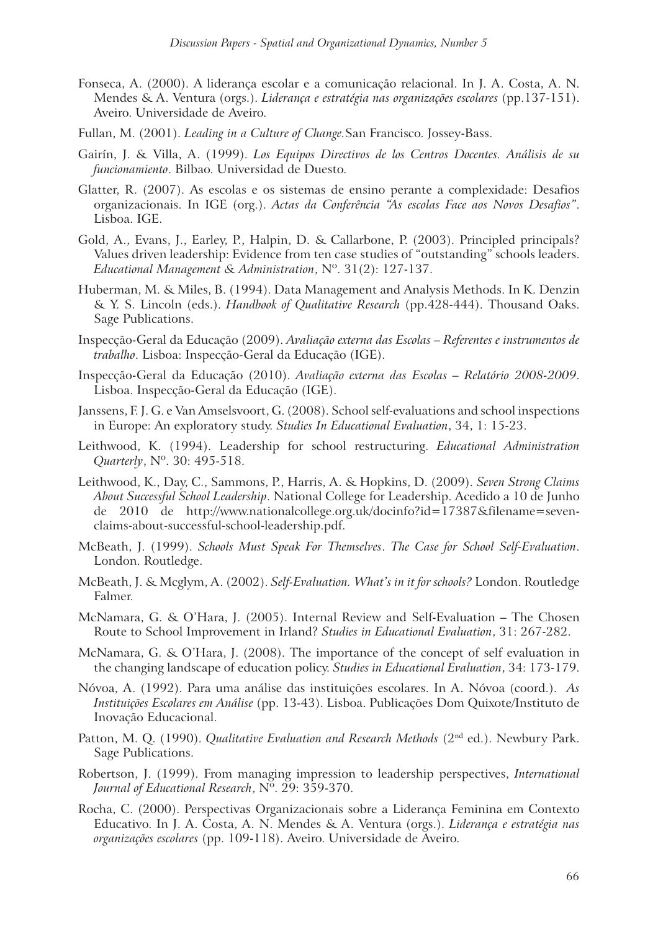- Fonseca, A. (2000). A liderança escolar e a comunicação relacional. In J. A. Costa, A. N. Mendes & A. Ventura (orgs.). *Liderança e estratégia nas organizações escolares* (pp.137-151). Aveiro. Universidade de Aveiro.
- Fullan, M. (2001). *Leading in a Culture of Change.*San Francisco. Jossey-Bass.
- Gairín, J. & Villa, A. (1999). *Los Equipos Directivos de los Centros Docentes. Análisis de su funcionamiento*. Bilbao. Universidad de Duesto.
- Glatter, R. (2007). As escolas e os sistemas de ensino perante a complexidade: Desafios organizacionais. In IGE (org.). *Actas da Conferência "As escolas Face aos Novos Desafios"*. Lisboa. IGE.
- Gold, A., Evans, J., Earley, P., Halpin, D. & Callarbone, P. (2003). Principled principals? Values driven leadership: Evidence from ten case studies of "outstanding" schools leaders. *Educational Management & Administration*, Nº. 31(2): 127-137.
- Huberman, M. & Miles, B. (1994). Data Management and Analysis Methods. In K. Denzin & Y. S. Lincoln (eds.). *Handbook of Qualitative Research* (pp.428-444). Thousand Oaks. Sage Publications.
- Inspecção-Geral da Educação (2009). *Avaliação externa das Escolas Referentes e instrumentos de trabalho*. Lisboa: Inspecção-Geral da Educação (IGE).
- Inspecção-Geral da Educação (2010). *Avaliação externa das Escolas Relatório 2008-2009*. Lisboa. Inspecção-Geral da Educação (IGE).
- Janssens, F. J. G. e Van Amselsvoort, G. (2008). School self-evaluations and school inspections in Europe: An exploratory study. *Studies In Educational Evaluation*, 34, 1: 15-23.
- Leithwood, K. (1994). Leadership for school restructuring. *Educational Administration Quarterly*, Nº. 30: 495-518.
- Leithwood, K., Day, C., Sammons, P., Harris, A. & Hopkins, D. (2009). *Seven Strong Claims About Successful School Leadership*. National College for Leadership. Acedido a 10 de Junho de 2010 de http://www.nationalcollege.org.uk/docinfo?id=17387&filename=sevenclaims-about-successful-school-leadership.pdf.
- McBeath, J. (1999). *Schools Must Speak For Themselves*. *The Case for School Self-Evaluation*. London. Routledge.
- McBeath, J. & Mcglym, A. (2002). *Self-Evaluation. What's in it for schools?* London. Routledge Falmer.
- McNamara, G. & O'Hara, J. (2005). Internal Review and Self-Evaluation The Chosen Route to School Improvement in Irland? *Studies in Educational Evaluation*, 31: 267-282.
- McNamara, G. & O'Hara, J. (2008). The importance of the concept of self evaluation in the changing landscape of education policy. *Studies in Educational Evaluation*, 34: 173-179.
- Nóvoa, A. (1992). Para uma análise das instituições escolares. In A. Nóvoa (coord.). *As Instituições Escolares em Análise* (pp. 13-43). Lisboa. Publicações Dom Quixote/Instituto de Inovação Educacional.
- Patton, M. Q. (1990). *Qualitative Evaluation and Research Methods* (2nd ed.). Newbury Park. Sage Publications.
- Robertson, J. (1999). From managing impression to leadership perspectives, *International Journal of Educational Research*, Nº. 29: 359-370.
- Rocha, C. (2000). Perspectivas Organizacionais sobre a Liderança Feminina em Contexto Educativo. In J. A. Costa, A. N. Mendes & A. Ventura (orgs.). *Liderança e estratégia nas organizações escolares* (pp. 109-118). Aveiro. Universidade de Aveiro.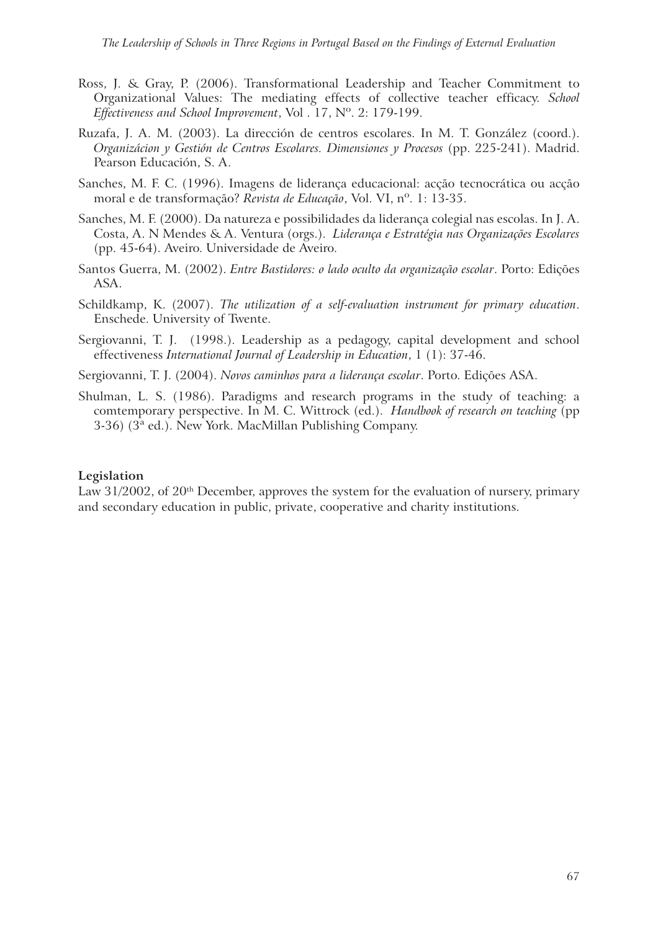- Ross, J. & Gray, P. (2006). Transformational Leadership and Teacher Commitment to Organizational Values: The mediating effects of collective teacher efficacy. *School Effectiveness and School Improvement*, Vol . 17, Nº. 2: 179-199.
- Ruzafa, J. A. M. (2003). La dirección de centros escolares. In M. T. González (coord.). *Organizácion y Gestión de Centros Escolares. Dimensiones y Procesos* (pp. 225-241). Madrid. Pearson Educación, S. A.
- Sanches, M. F. C. (1996). Imagens de liderança educacional: acção tecnocrática ou acção moral e de transformação? *Revista de Educação*, Vol. VI, nº. 1: 13-35.
- Sanches, M. F. (2000). Da natureza e possibilidades da liderança colegial nas escolas. In J. A. Costa, A. N Mendes & A. Ventura (orgs.). *Liderança e Estratégia nas Organizações Escolares* (pp. 45-64). Aveiro. Universidade de Aveiro.
- Santos Guerra, M. (2002). *Entre Bastidores: o lado oculto da organização escolar*. Porto: Edições ASA.
- Schildkamp, K. (2007). *The utilization of a self-evaluation instrument for primary education*. Enschede. University of Twente.
- Sergiovanni, T. J. (1998.). Leadership as a pedagogy, capital development and school effectiveness *International Journal of Leadership in Education*, 1 (1): 37-46.
- Sergiovanni, T. J. (2004). *Novos caminhos para a liderança escolar*. Porto. Edições ASA.
- Shulman, L. S. (1986). Paradigms and research programs in the study of teaching: a comtemporary perspective. In M. C. Wittrock (ed.). *Handbook of research on teaching* (pp 3-36) (3ª ed.). New York. MacMillan Publishing Company.

#### **Legislation**

Law  $31/2002$ , of  $20<sup>th</sup>$  December, approves the system for the evaluation of nursery, primary and secondary education in public, private, cooperative and charity institutions.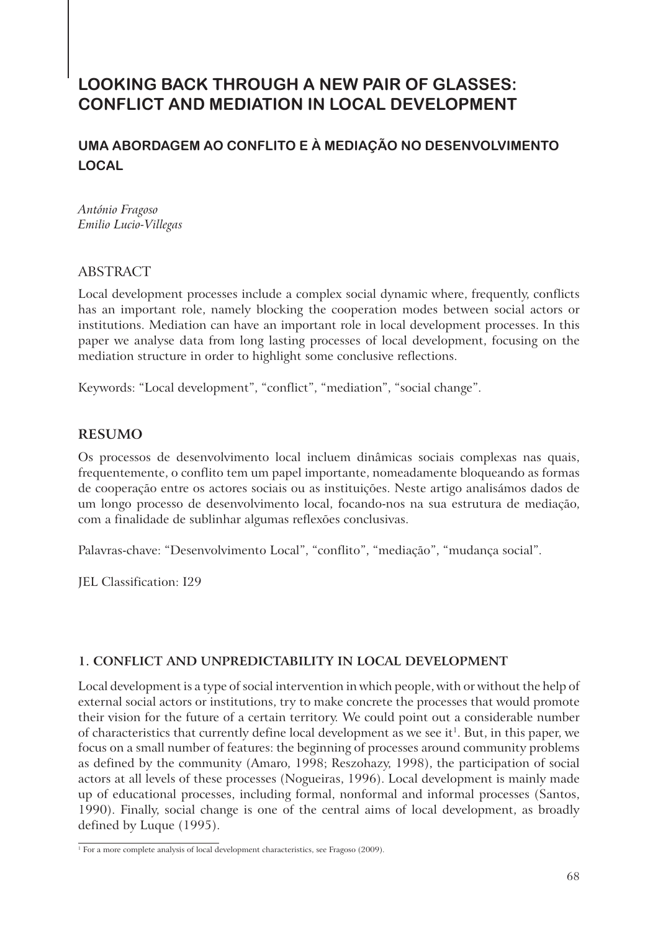# **LOOKING BACK THROUGH A NEW PAIR OF GLASSES: CONFLICT AND MEDIATION IN LOCAL DEVELOPMENT**

# **UMA ABORDAGEM AO CONFLITO E À MEDIAÇÃO NO DESENVOLVIMENTO LOCAL**

*António Fragoso Emilio Lucio-Villegas*

# ABSTRACT

Local development processes include a complex social dynamic where, frequently, conflicts has an important role, namely blocking the cooperation modes between social actors or institutions. Mediation can have an important role in local development processes. In this paper we analyse data from long lasting processes of local development, focusing on the mediation structure in order to highlight some conclusive reflections.

Keywords: "Local development", "conflict", "mediation", "social change".

# **RESUMO**

Os processos de desenvolvimento local incluem dinâmicas sociais complexas nas quais, frequentemente, o conflito tem um papel importante, nomeadamente bloqueando as formas de cooperação entre os actores sociais ou as instituições. Neste artigo analisámos dados de um longo processo de desenvolvimento local, focando-nos na sua estrutura de mediação, com a finalidade de sublinhar algumas reflexões conclusivas.

Palavras-chave: "Desenvolvimento Local", "conflito", "mediação", "mudança social".

JEL Classification: I29

# **1. CONFLICT AND UNPREDICTABILITY IN LOCAL DEVELOPMENT**

Local development is a type of social intervention in which people, with or without the help of external social actors or institutions, try to make concrete the processes that would promote their vision for the future of a certain territory. We could point out a considerable number of characteristics that currently define local development as we see it<sup>1</sup>. But, in this paper, we focus on a small number of features: the beginning of processes around community problems as defined by the community (Amaro, 1998; Reszohazy, 1998), the participation of social actors at all levels of these processes (Nogueiras, 1996). Local development is mainly made up of educational processes, including formal, nonformal and informal processes (Santos, 1990). Finally, social change is one of the central aims of local development, as broadly defined by Luque (1995).

<sup>1</sup> For a more complete analysis of local development characteristics, see Fragoso (2009).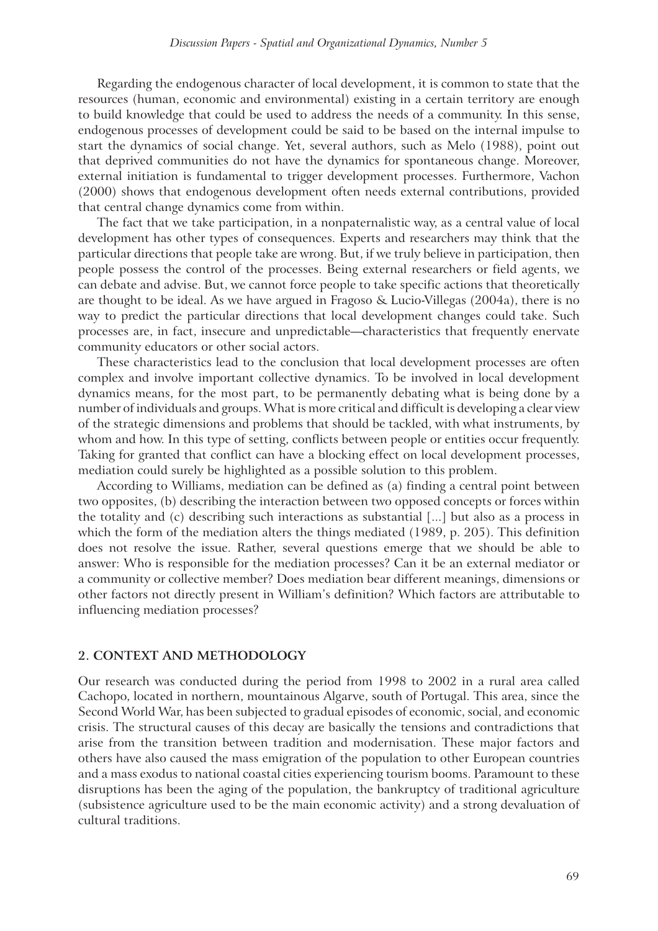Regarding the endogenous character of local development, it is common to state that the resources (human, economic and environmental) existing in a certain territory are enough to build knowledge that could be used to address the needs of a community. In this sense, endogenous processes of development could be said to be based on the internal impulse to start the dynamics of social change. Yet, several authors, such as Melo (1988), point out that deprived communities do not have the dynamics for spontaneous change. Moreover, external initiation is fundamental to trigger development processes. Furthermore, Vachon (2000) shows that endogenous development often needs external contributions, provided that central change dynamics come from within.

The fact that we take participation, in a nonpaternalistic way, as a central value of local development has other types of consequences. Experts and researchers may think that the particular directions that people take are wrong. But, if we truly believe in participation, then people possess the control of the processes. Being external researchers or field agents, we can debate and advise. But, we cannot force people to take specific actions that theoretically are thought to be ideal. As we have argued in Fragoso & Lucio-Villegas (2004a), there is no way to predict the particular directions that local development changes could take. Such processes are, in fact, insecure and unpredictable—characteristics that frequently enervate community educators or other social actors.

These characteristics lead to the conclusion that local development processes are often complex and involve important collective dynamics. To be involved in local development dynamics means, for the most part, to be permanently debating what is being done by a number of individuals and groups. What is more critical and difficult is developing a clear view of the strategic dimensions and problems that should be tackled, with what instruments, by whom and how. In this type of setting, conflicts between people or entities occur frequently. Taking for granted that conflict can have a blocking effect on local development processes, mediation could surely be highlighted as a possible solution to this problem.

According to Williams, mediation can be defined as (a) finding a central point between two opposites, (b) describing the interaction between two opposed concepts or forces within the totality and (c) describing such interactions as substantial [...] but also as a process in which the form of the mediation alters the things mediated (1989, p. 205). This definition does not resolve the issue. Rather, several questions emerge that we should be able to answer: Who is responsible for the mediation processes? Can it be an external mediator or a community or collective member? Does mediation bear different meanings, dimensions or other factors not directly present in William's definition? Which factors are attributable to influencing mediation processes?

#### **2. CONTEXT AND METHODOLOGY**

Our research was conducted during the period from 1998 to 2002 in a rural area called Cachopo, located in northern, mountainous Algarve, south of Portugal. This area, since the Second World War, has been subjected to gradual episodes of economic, social, and economic crisis. The structural causes of this decay are basically the tensions and contradictions that arise from the transition between tradition and modernisation. These major factors and others have also caused the mass emigration of the population to other European countries and a mass exodus to national coastal cities experiencing tourism booms. Paramount to these disruptions has been the aging of the population, the bankruptcy of traditional agriculture (subsistence agriculture used to be the main economic activity) and a strong devaluation of cultural traditions.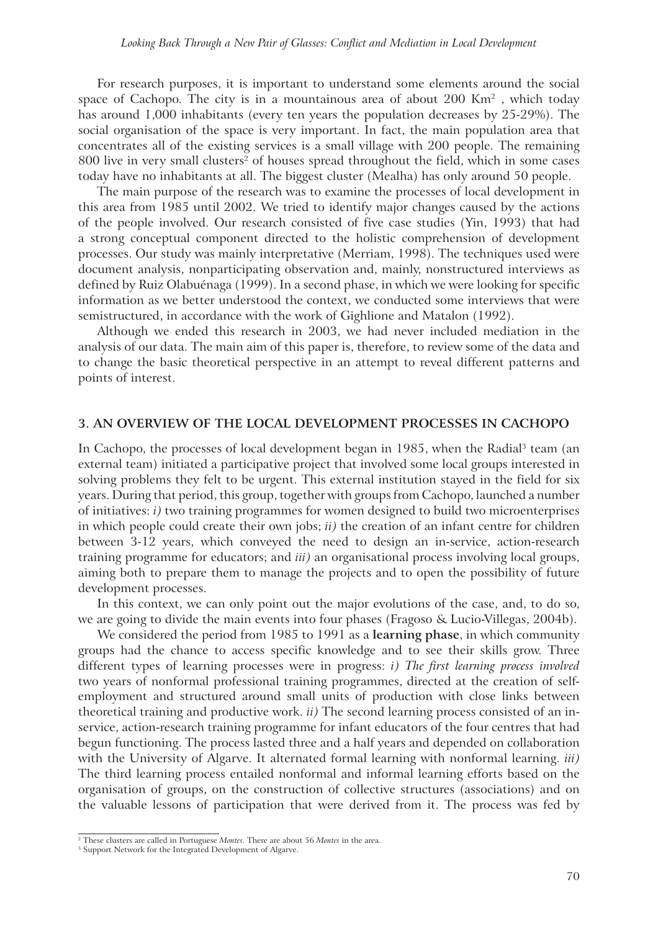For research purposes, it is important to understand some elements around the social space of Cachopo. The city is in a mountainous area of about  $200 \text{ Km}^2$ , which today has around 1,000 inhabitants (every ten years the population decreases by 25-29%). The social organisation of the space is very important. In fact, the main population area that concentrates all of the existing services is a small village with 200 people. The remaining 800 live in very small clusters<sup>2</sup> of houses spread throughout the field, which in some cases today have no inhabitants at all. The biggest cluster (Mealha) has only around 50 people.

The main purpose of the research was to examine the processes of local development in this area from 1985 until 2002. We tried to identify major changes caused by the actions of the people involved. Our research consisted of five case studies (Yin, 1993) that had a strong conceptual component directed to the holistic comprehension of development processes. Our study was mainly interpretative (Merriam, 1998). The techniques used were document analysis, nonparticipating observation and, mainly, nonstructured interviews as defined by Ruiz Olabuénaga (1999). In a second phase, in which we were looking for specific information as we better understood the context, we conducted some interviews that were semistructured, in accordance with the work of Gighlione and Matalon (1992).

Although we ended this research in 2003, we had never included mediation in the analysis of our data. The main aim of this paper is, therefore, to review some of the data and to change the basic theoretical perspective in an attempt to reveal different patterns and points of interest.

#### **3. AN OVERVIEW OF THE LOCAL DEVELOPMENT PROCESSES IN CACHOPO**

In Cachopo, the processes of local development began in 1985, when the Radial<sup>3</sup> team (an external team) initiated a participative project that involved some local groups interested in solving problems they felt to be urgent. This external institution stayed in the field for six years. During that period, this group, together with groups from Cachopo, launched a number of initiatives: *i)* two training programmes for women designed to build two microenterprises in which people could create their own jobs; *ii)* the creation of an infant centre for children between 3-12 years, which conveyed the need to design an in-service, action-research training programme for educators; and *iii)* an organisational process involving local groups, aiming both to prepare them to manage the projects and to open the possibility of future development processes.

In this context, we can only point out the major evolutions of the case, and, to do so, we are going to divide the main events into four phases (Fragoso & Lucio-Villegas, 2004b).

We considered the period from 1985 to 1991 as a **learning phase**, in which community groups had the chance to access specific knowledge and to see their skills grow. Three different types of learning processes were in progress: *i) The first learning process involved* two years of nonformal professional training programmes, directed at the creation of selfemployment and structured around small units of production with close links between theoretical training and productive work. *ii)* The second learning process consisted of an inservice, action-research training programme for infant educators of the four centres that had begun functioning. The process lasted three and a half years and depended on collaboration with the University of Algarve. It alternated formal learning with nonformal learning. *iii)* The third learning process entailed nonformal and informal learning efforts based on the organisation of groups, on the construction of collective structures (associations) and on the valuable lessons of participation that were derived from it. The process was fed by

<sup>2</sup> These clusters are called in Portuguese *Montes*. There are about 56 *Montes* in the area.

<sup>&</sup>lt;sup>3</sup> Support Network for the Integrated Development of Algarve.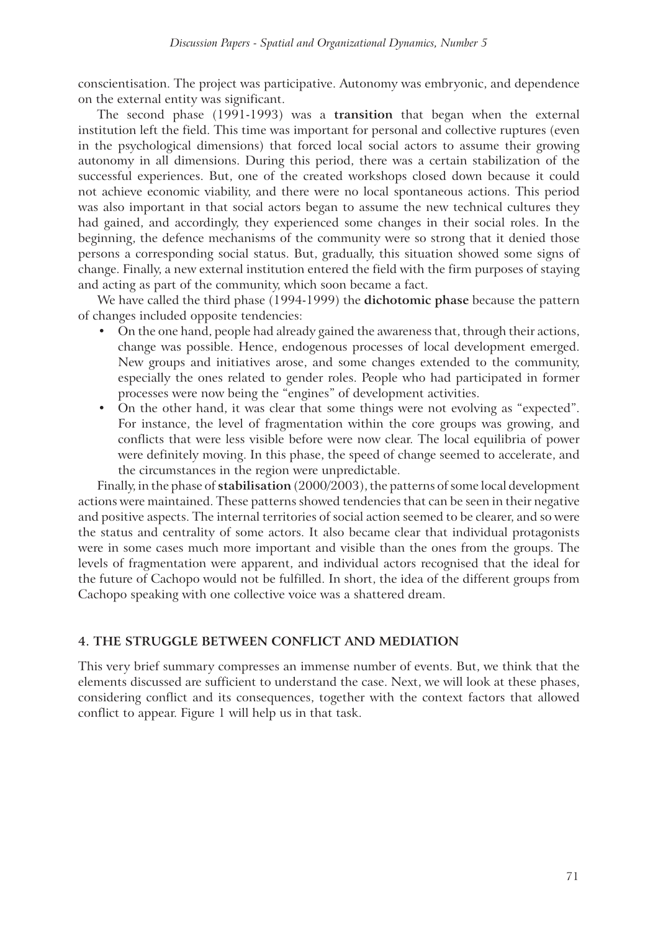conscientisation. The project was participative. Autonomy was embryonic, and dependence on the external entity was significant.

The second phase (1991-1993) was a **transition** that began when the external institution left the field. This time was important for personal and collective ruptures (even in the psychological dimensions) that forced local social actors to assume their growing autonomy in all dimensions. During this period, there was a certain stabilization of the successful experiences. But, one of the created workshops closed down because it could not achieve economic viability, and there were no local spontaneous actions. This period was also important in that social actors began to assume the new technical cultures they had gained, and accordingly, they experienced some changes in their social roles. In the beginning, the defence mechanisms of the community were so strong that it denied those persons a corresponding social status. But, gradually, this situation showed some signs of change. Finally, a new external institution entered the field with the firm purposes of staying and acting as part of the community, which soon became a fact.

We have called the third phase (1994-1999) the **dichotomic phase** because the pattern of changes included opposite tendencies:

- ! On the one hand, people had already gained the awareness that, through their actions, change was possible. Hence, endogenous processes of local development emerged. New groups and initiatives arose, and some changes extended to the community, especially the ones related to gender roles. People who had participated in former processes were now being the "engines" of development activities.
- ! On the other hand, it was clear that some things were not evolving as "expected". For instance, the level of fragmentation within the core groups was growing, and conflicts that were less visible before were now clear. The local equilibria of power were definitely moving. In this phase, the speed of change seemed to accelerate, and the circumstances in the region were unpredictable.

Finally, in the phase of **stabilisation** (2000/2003), the patterns of some local development actions were maintained. These patterns showed tendencies that can be seen in their negative and positive aspects. The internal territories of social action seemed to be clearer, and so were the status and centrality of some actors. It also became clear that individual protagonists were in some cases much more important and visible than the ones from the groups. The levels of fragmentation were apparent, and individual actors recognised that the ideal for the future of Cachopo would not be fulfilled. In short, the idea of the different groups from Cachopo speaking with one collective voice was a shattered dream.

## **4. THE STRUGGLE BETWEEN CONFLICT AND MEDIATION**

This very brief summary compresses an immense number of events. But, we think that the elements discussed are sufficient to understand the case. Next, we will look at these phases, considering conflict and its consequences, together with the context factors that allowed conflict to appear. Figure 1 will help us in that task.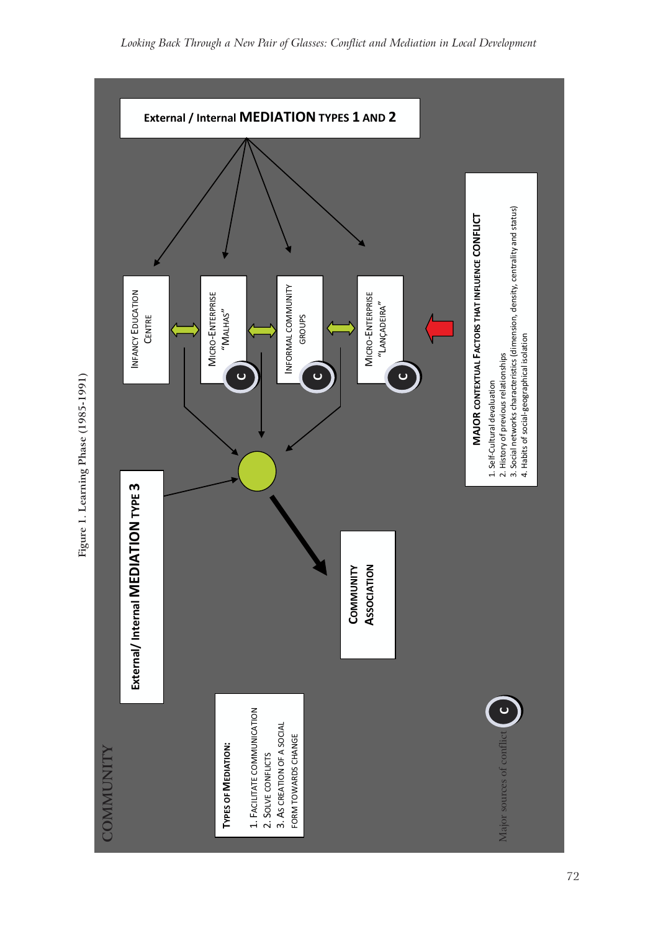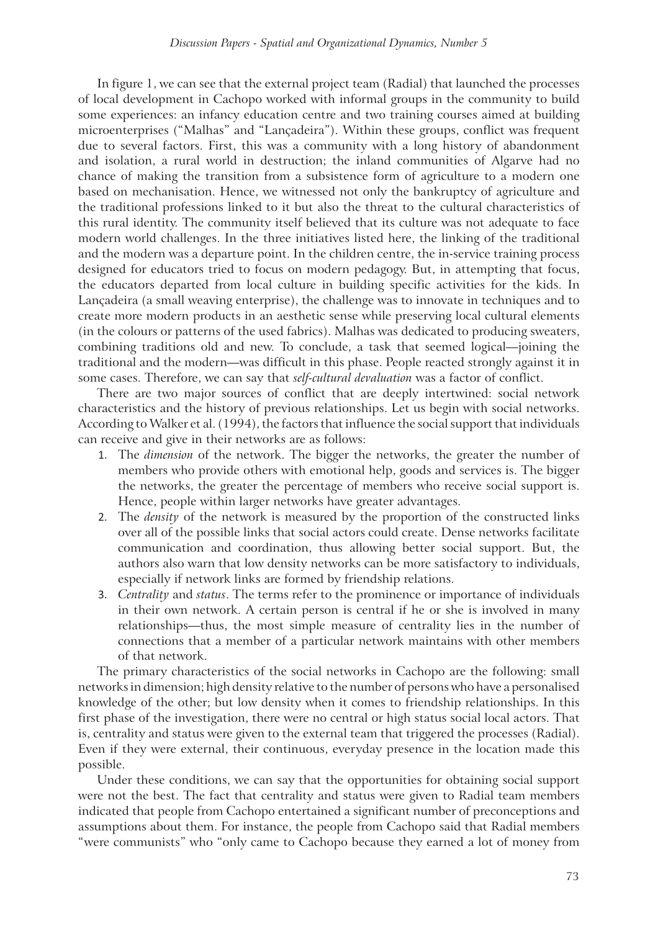In figure 1, we can see that the external project team (Radial) that launched the processes of local development in Cachopo worked with informal groups in the community to build some experiences: an infancy education centre and two training courses aimed at building microenterprises ("Malhas" and "Lançadeira"). Within these groups, conflict was frequent due to several factors. First, this was a community with a long history of abandonment and isolation, a rural world in destruction; the inland communities of Algarve had no chance of making the transition from a subsistence form of agriculture to a modern one based on mechanisation. Hence, we witnessed not only the bankruptcy of agriculture and the traditional professions linked to it but also the threat to the cultural characteristics of this rural identity. The community itself believed that its culture was not adequate to face modern world challenges. In the three initiatives listed here, the linking of the traditional and the modern was a departure point. In the children centre, the in-service training process designed for educators tried to focus on modern pedagogy. But, in attempting that focus, the educators departed from local culture in building specific activities for the kids. In Lançadeira (a small weaving enterprise), the challenge was to innovate in techniques and to create more modern products in an aesthetic sense while preserving local cultural elements (in the colours or patterns of the used fabrics). Malhas was dedicated to producing sweaters, combining traditions old and new. To conclude, a task that seemed logical—joining the traditional and the modern—was difficult in this phase. People reacted strongly against it in some cases. Therefore, we can say that *self-cultural devaluation* was a factor of conflict.

There are two major sources of conflict that are deeply intertwined: social network characteristics and the history of previous relationships. Let us begin with social networks. According to Walker et al. (1994), the factors that influence the social support that individuals can receive and give in their networks are as follows:

- 1. The *dimension* of the network. The bigger the networks, the greater the number of members who provide others with emotional help, goods and services is. The bigger the networks, the greater the percentage of members who receive social support is. Hence, people within larger networks have greater advantages.
- 2. The *density* of the network is measured by the proportion of the constructed links over all of the possible links that social actors could create. Dense networks facilitate communication and coordination, thus allowing better social support. But, the authors also warn that low density networks can be more satisfactory to individuals, especially if network links are formed by friendship relations.
- 3. *Centrality* and *status*. The terms refer to the prominence or importance of individuals in their own network. A certain person is central if he or she is involved in many relationships—thus, the most simple measure of centrality lies in the number of connections that a member of a particular network maintains with other members of that network.

The primary characteristics of the social networks in Cachopo are the following: small networks in dimension; high density relative to the number of persons who have a personalised knowledge of the other; but low density when it comes to friendship relationships. In this first phase of the investigation, there were no central or high status social local actors. That is, centrality and status were given to the external team that triggered the processes (Radial). Even if they were external, their continuous, everyday presence in the location made this possible.

Under these conditions, we can say that the opportunities for obtaining social support were not the best. The fact that centrality and status were given to Radial team members indicated that people from Cachopo entertained a significant number of preconceptions and assumptions about them. For instance, the people from Cachopo said that Radial members "were communists" who "only came to Cachopo because they earned a lot of money from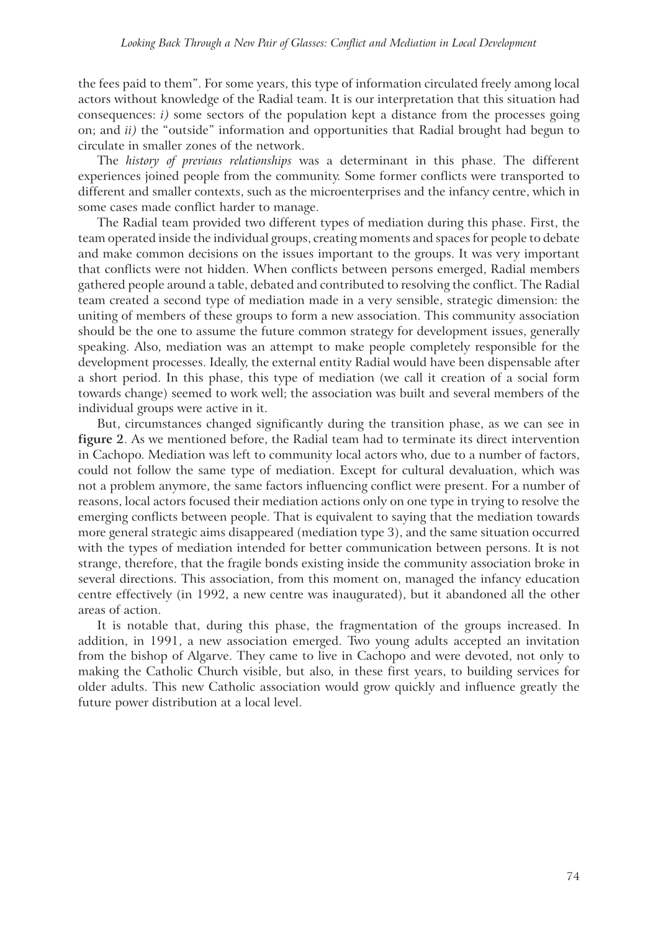the fees paid to them". For some years, this type of information circulated freely among local actors without knowledge of the Radial team. It is our interpretation that this situation had consequences: *i)* some sectors of the population kept a distance from the processes going on; and *ii)* the "outside" information and opportunities that Radial brought had begun to circulate in smaller zones of the network.

The *history of previous relationships* was a determinant in this phase. The different experiences joined people from the community. Some former conflicts were transported to different and smaller contexts, such as the microenterprises and the infancy centre, which in some cases made conflict harder to manage.

The Radial team provided two different types of mediation during this phase. First, the team operated inside the individual groups, creating moments and spaces for people to debate and make common decisions on the issues important to the groups. It was very important that conflicts were not hidden. When conflicts between persons emerged, Radial members gathered people around a table, debated and contributed to resolving the conflict. The Radial team created a second type of mediation made in a very sensible, strategic dimension: the uniting of members of these groups to form a new association. This community association should be the one to assume the future common strategy for development issues, generally speaking. Also, mediation was an attempt to make people completely responsible for the development processes. Ideally, the external entity Radial would have been dispensable after a short period. In this phase, this type of mediation (we call it creation of a social form towards change) seemed to work well; the association was built and several members of the individual groups were active in it.

But, circumstances changed significantly during the transition phase, as we can see in **figure 2**. As we mentioned before, the Radial team had to terminate its direct intervention in Cachopo. Mediation was left to community local actors who, due to a number of factors, could not follow the same type of mediation. Except for cultural devaluation, which was not a problem anymore, the same factors influencing conflict were present. For a number of reasons, local actors focused their mediation actions only on one type in trying to resolve the emerging conflicts between people. That is equivalent to saying that the mediation towards more general strategic aims disappeared (mediation type 3), and the same situation occurred with the types of mediation intended for better communication between persons. It is not strange, therefore, that the fragile bonds existing inside the community association broke in several directions. This association, from this moment on, managed the infancy education centre effectively (in 1992, a new centre was inaugurated), but it abandoned all the other areas of action.

It is notable that, during this phase, the fragmentation of the groups increased. In addition, in 1991, a new association emerged. Two young adults accepted an invitation from the bishop of Algarve. They came to live in Cachopo and were devoted, not only to making the Catholic Church visible, but also, in these first years, to building services for older adults. This new Catholic association would grow quickly and influence greatly the future power distribution at a local level.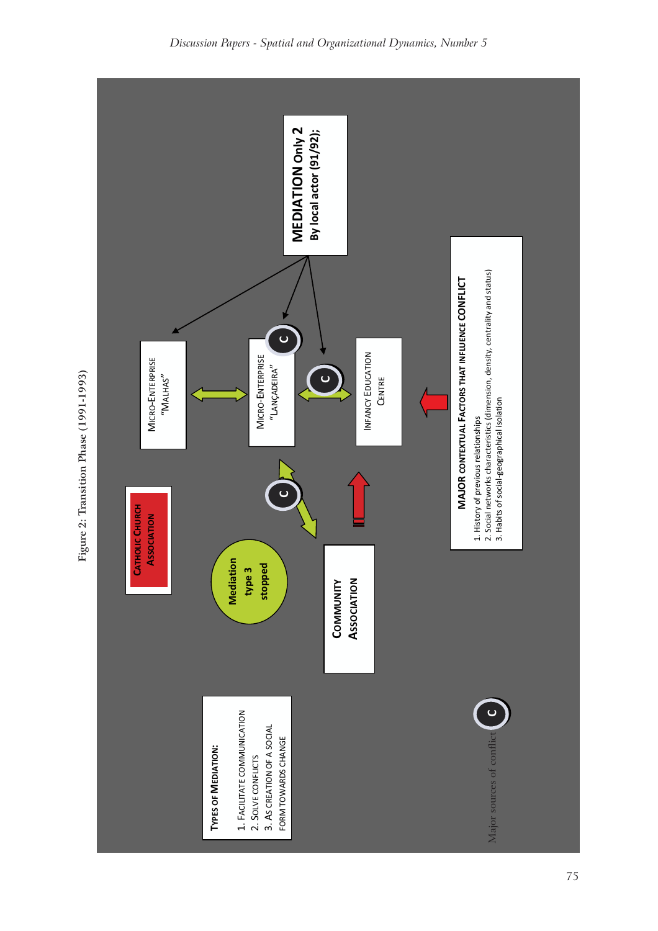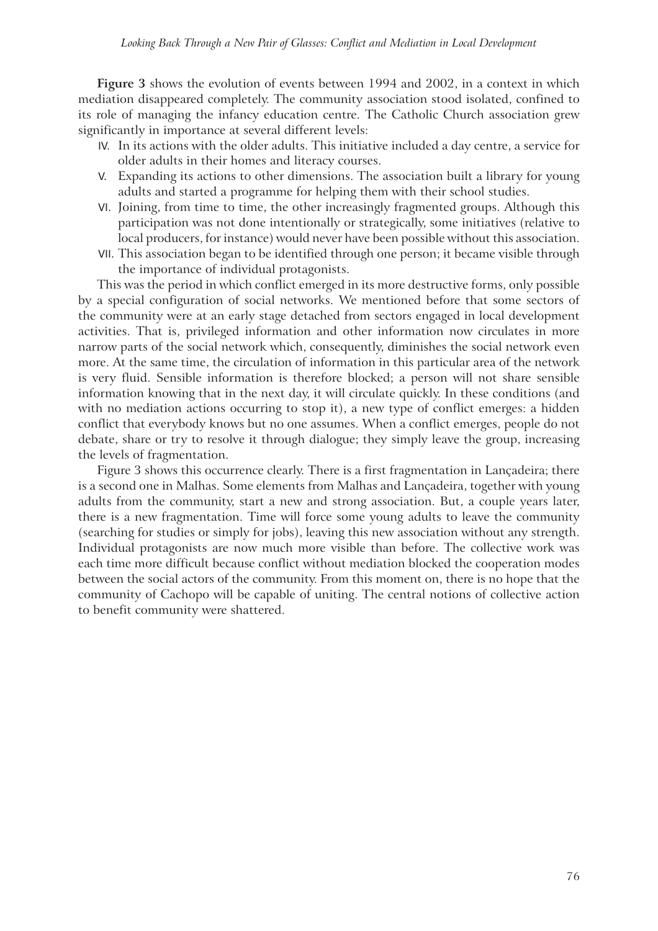**Figure 3** shows the evolution of events between 1994 and 2002, in a context in which mediation disappeared completely. The community association stood isolated, confined to its role of managing the infancy education centre. The Catholic Church association grew significantly in importance at several different levels:

- IV. In its actions with the older adults. This initiative included a day centre, a service for older adults in their homes and literacy courses.
- V. Expanding its actions to other dimensions. The association built a library for young adults and started a programme for helping them with their school studies.
- VI. Joining, from time to time, the other increasingly fragmented groups. Although this participation was not done intentionally or strategically, some initiatives (relative to local producers, for instance) would never have been possible without this association.
- VII. This association began to be identified through one person; it became visible through the importance of individual protagonists.

This was the period in which conflict emerged in its more destructive forms, only possible by a special configuration of social networks. We mentioned before that some sectors of the community were at an early stage detached from sectors engaged in local development activities. That is, privileged information and other information now circulates in more narrow parts of the social network which, consequently, diminishes the social network even more. At the same time, the circulation of information in this particular area of the network is very fluid. Sensible information is therefore blocked; a person will not share sensible information knowing that in the next day, it will circulate quickly. In these conditions (and with no mediation actions occurring to stop it), a new type of conflict emerges: a hidden conflict that everybody knows but no one assumes. When a conflict emerges, people do not debate, share or try to resolve it through dialogue; they simply leave the group, increasing the levels of fragmentation.

Figure 3 shows this occurrence clearly. There is a first fragmentation in Lançadeira; there is a second one in Malhas. Some elements from Malhas and Lançadeira, together with young adults from the community, start a new and strong association. But, a couple years later, there is a new fragmentation. Time will force some young adults to leave the community (searching for studies or simply for jobs), leaving this new association without any strength. Individual protagonists are now much more visible than before. The collective work was each time more difficult because conflict without mediation blocked the cooperation modes between the social actors of the community. From this moment on, there is no hope that the community of Cachopo will be capable of uniting. The central notions of collective action to benefit community were shattered.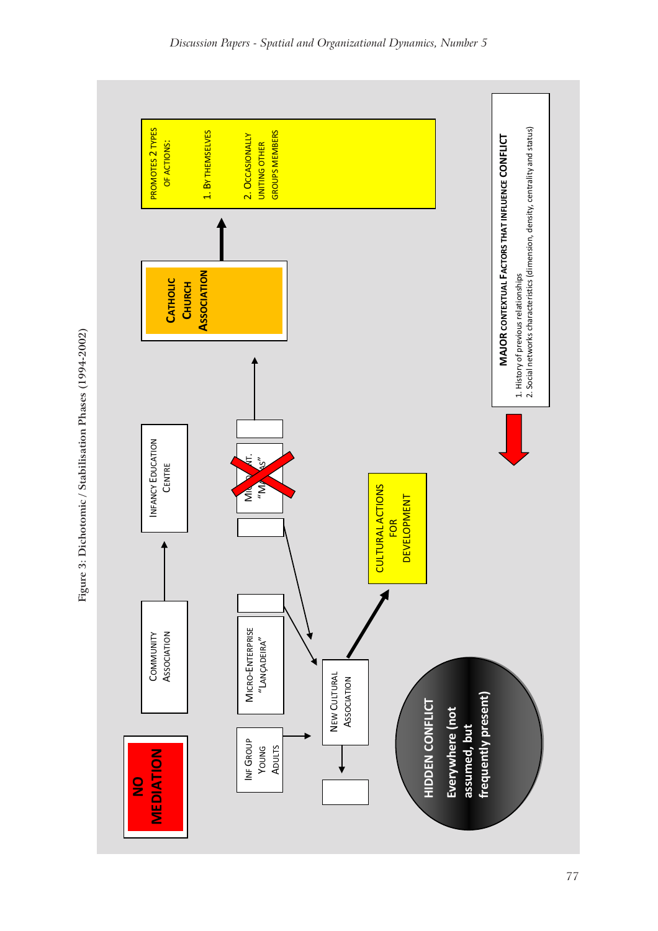

Figure 3: Dichotomic / Stabilisation Phases (1994-2002) **Figure 3: Dichotomic / Stabilisation Phases (1994-2002)**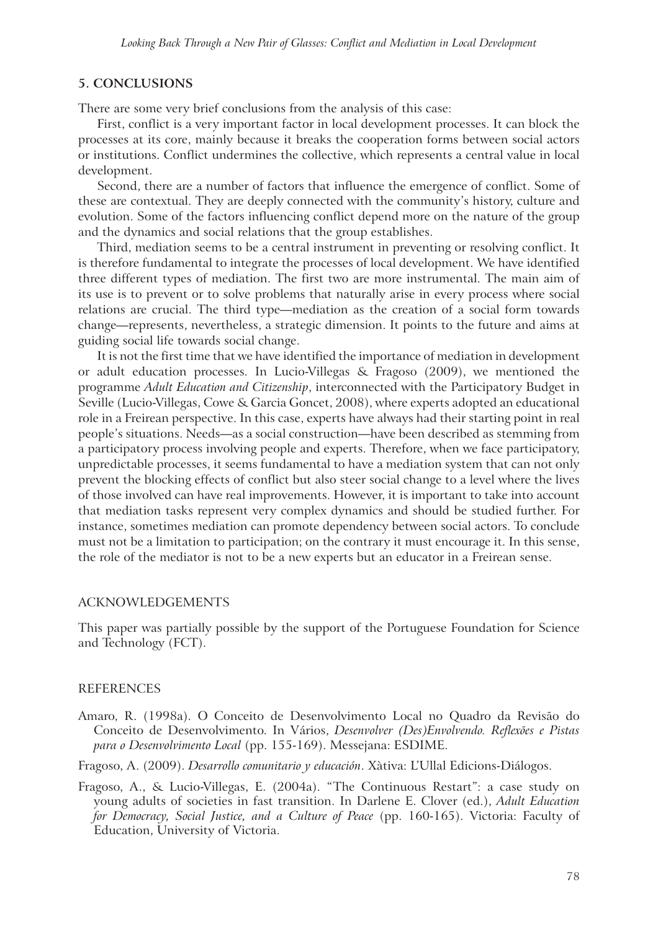#### **5. CONCLUSIONS**

There are some very brief conclusions from the analysis of this case:

First, conflict is a very important factor in local development processes. It can block the processes at its core, mainly because it breaks the cooperation forms between social actors or institutions. Conflict undermines the collective, which represents a central value in local development.

Second, there are a number of factors that influence the emergence of conflict. Some of these are contextual. They are deeply connected with the community's history, culture and evolution. Some of the factors influencing conflict depend more on the nature of the group and the dynamics and social relations that the group establishes.

Third, mediation seems to be a central instrument in preventing or resolving conflict. It is therefore fundamental to integrate the processes of local development. We have identified three different types of mediation. The first two are more instrumental. The main aim of its use is to prevent or to solve problems that naturally arise in every process where social relations are crucial. The third type—mediation as the creation of a social form towards change—represents, nevertheless, a strategic dimension. It points to the future and aims at guiding social life towards social change.

It is not the first time that we have identified the importance of mediation in development or adult education processes. In Lucio-Villegas & Fragoso (2009), we mentioned the programme *Adult Education and Citizenship*, interconnected with the Participatory Budget in Seville (Lucio-Villegas, Cowe & Garcia Goncet, 2008), where experts adopted an educational role in a Freirean perspective. In this case, experts have always had their starting point in real people's situations. Needs—as a social construction—have been described as stemming from a participatory process involving people and experts. Therefore, when we face participatory, unpredictable processes, it seems fundamental to have a mediation system that can not only prevent the blocking effects of conflict but also steer social change to a level where the lives of those involved can have real improvements. However, it is important to take into account that mediation tasks represent very complex dynamics and should be studied further. For instance, sometimes mediation can promote dependency between social actors. To conclude must not be a limitation to participation; on the contrary it must encourage it. In this sense, the role of the mediator is not to be a new experts but an educator in a Freirean sense.

#### ACKNOWLEDGEMENTS

This paper was partially possible by the support of the Portuguese Foundation for Science and Technology (FCT).

#### REFERENCES

- Amaro, R. (1998a). O Conceito de Desenvolvimento Local no Quadro da Revisão do Conceito de Desenvolvimento. In Vários, *Desenvolver (Des)Envolvendo. Reflexões e Pistas para o Desenvolvimento Local* (pp. 155-169). Messejana: ESDIME.
- Fragoso, A. (2009). *Desarrollo comunitario y educación*. Xàtiva: L'Ullal Edicions-Diálogos.
- Fragoso, A., & Lucio-Villegas, E. (2004a). "The Continuous Restart": a case study on young adults of societies in fast transition. In Darlene E. Clover (ed.), *Adult Education for Democracy, Social Justice, and a Culture of Peace* (pp. 160-165). Victoria: Faculty of Education, University of Victoria.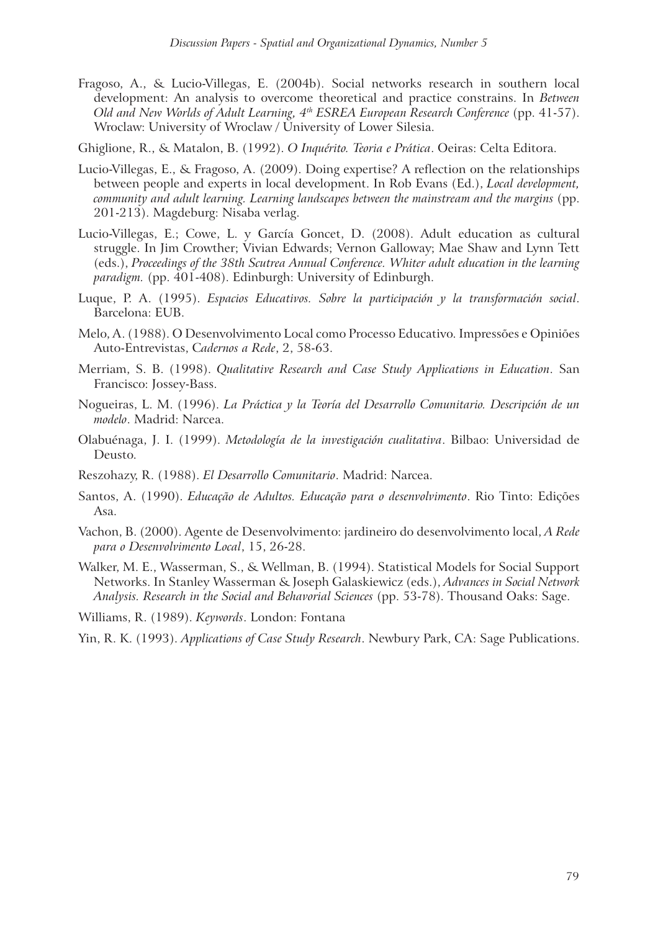Fragoso, A., & Lucio-Villegas, E. (2004b). Social networks research in southern local development: An analysis to overcome theoretical and practice constrains. In *Between Old and New Worlds of Adult Learning, 4th ESREA European Research Conference* (pp. 41-57). Wroclaw: University of Wroclaw / University of Lower Silesia.

Ghiglione, R., & Matalon, B. (1992). *O Inquérito. Teoria e Prática*. Oeiras: Celta Editora.

- Lucio-Villegas, E., & Fragoso, A. (2009). Doing expertise? A reflection on the relationships between people and experts in local development. In Rob Evans (Ed.), *Local development, community and adult learning. Learning landscapes between the mainstream and the margins* (pp. 201-213). Magdeburg: Nisaba verlag.
- Lucio-Villegas, E.; Cowe, L. y García Goncet, D. (2008). Adult education as cultural struggle. In Jim Crowther; Vivian Edwards; Vernon Galloway; Mae Shaw and Lynn Tett (eds.), *Proceedings of the 38th Scutrea Annual Conference. Whiter adult education in the learning paradigm.* (pp. 401-408). Edinburgh: University of Edinburgh.
- Luque, P. A. (1995). *Espacios Educativos. Sobre la participación y la transformación social*. Barcelona: EUB.
- Melo, A. (1988). O Desenvolvimento Local como Processo Educativo. Impressões e Opiniões Auto-Entrevistas, C*adernos a Rede*, 2, 58-63.
- Merriam, S. B. (1998). *Qualitative Research and Case Study Applications in Education*. San Francisco: Jossey-Bass.
- Nogueiras, L. M. (1996). *La Práctica y la Teoría del Desarrollo Comunitario. Descripción de un modelo*. Madrid: Narcea.
- Olabuénaga, J. I. (1999). *Metodología de la investigación cualitativa*. Bilbao: Universidad de Deusto.
- Reszohazy, R. (1988). *El Desarrollo Comunitario*. Madrid: Narcea.
- Santos, A. (1990). *Educação de Adultos. Educação para o desenvolvimento*. Rio Tinto: Edições Asa.
- Vachon, B. (2000). Agente de Desenvolvimento: jardineiro do desenvolvimento local, *A Rede para o Desenvolvimento Local*, 15, 26-28.
- Walker, M. E., Wasserman, S., & Wellman, B. (1994). Statistical Models for Social Support Networks. In Stanley Wasserman & Joseph Galaskiewicz (eds.), *Advances in Social Network Analysis. Research in the Social and Behavorial Sciences* (pp. 53-78). Thousand Oaks: Sage.

Williams, R. (1989). *Keywords*. London: Fontana

Yin, R. K. (1993). *Applications of Case Study Research*. Newbury Park, CA: Sage Publications.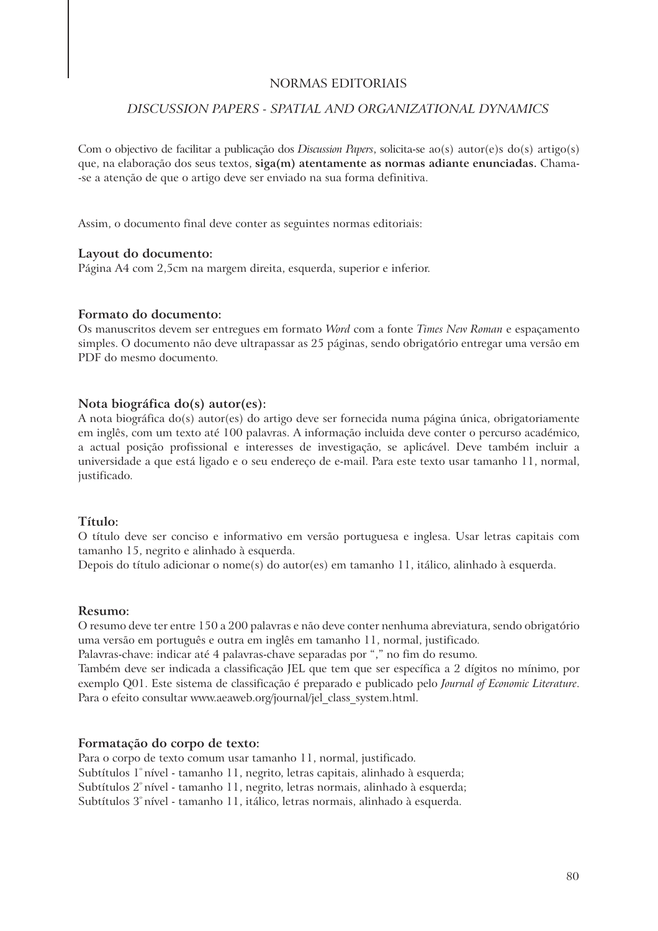#### NORMAS EDITORIAIS

### *DISCUSSION PAPERS - SPATIAL AND ORGANIZATIONAL DYNAMICS*

Com o objectivo de facilitar a publicação dos *Discussion Papers*, solicita-se ao(s) autor(e)s do(s) artigo(s) que, na elaboração dos seus textos, **siga(m) atentamente as normas adiante enunciadas.** Chama- -se a atenção de que o artigo deve ser enviado na sua forma definitiva.

Assim, o documento final deve conter as seguintes normas editoriais:

#### **Layout do documento:**

Página A4 com 2,5cm na margem direita, esquerda, superior e inferior.

#### **Formato do documento:**

Os manuscritos devem ser entregues em formato *Word* com a fonte *Times New Roman* e espaçamento simples. O documento não deve ultrapassar as 25 páginas, sendo obrigatório entregar uma versão em PDF do mesmo documento.

#### **Nota biográfica do(s) autor(es):**

A nota biográfica do(s) autor(es) do artigo deve ser fornecida numa página única, obrigatoriamente em inglês, com um texto até 100 palavras. A informação incluida deve conter o percurso académico, a actual posição profissional e interesses de investigação, se aplicável. Deve também incluir a universidade a que está ligado e o seu endereço de e-mail. Para este texto usar tamanho 11, normal, justificado.

#### **Título:**

O título deve ser conciso e informativo em versão portuguesa e inglesa. Usar letras capitais com tamanho 15, negrito e alinhado à esquerda.

Depois do título adicionar o nome(s) do autor(es) em tamanho 11, itálico, alinhado à esquerda.

#### **Resumo:**

O resumo deve ter entre 150 a 200 palavras e não deve conter nenhuma abreviatura, sendo obrigatório uma versão em português e outra em inglês em tamanho 11, normal, justificado.

Palavras-chave: indicar até 4 palavras-chave separadas por "," no fim do resumo.

Também deve ser indicada a classificação JEL que tem que ser específica a 2 dígitos no mínimo, por exemplo Q01. Este sistema de classificação é preparado e publicado pelo *Journal of Economic Literature*. Para o efeito consultar www.aeaweb.org/journal/jel\_class\_system.html.

#### **Formatação do corpo de texto:**

Para o corpo de texto comum usar tamanho 11, normal, justificado. Subtítulos 1° nível - tamanho 11, negrito, letras capitais, alinhado à esquerda; Subtítulos 2<sup>°</sup> nível - tamanho 11, negrito, letras normais, alinhado à esquerda; Subtítulos 3º nível - tamanho 11, itálico, letras normais, alinhado à esquerda.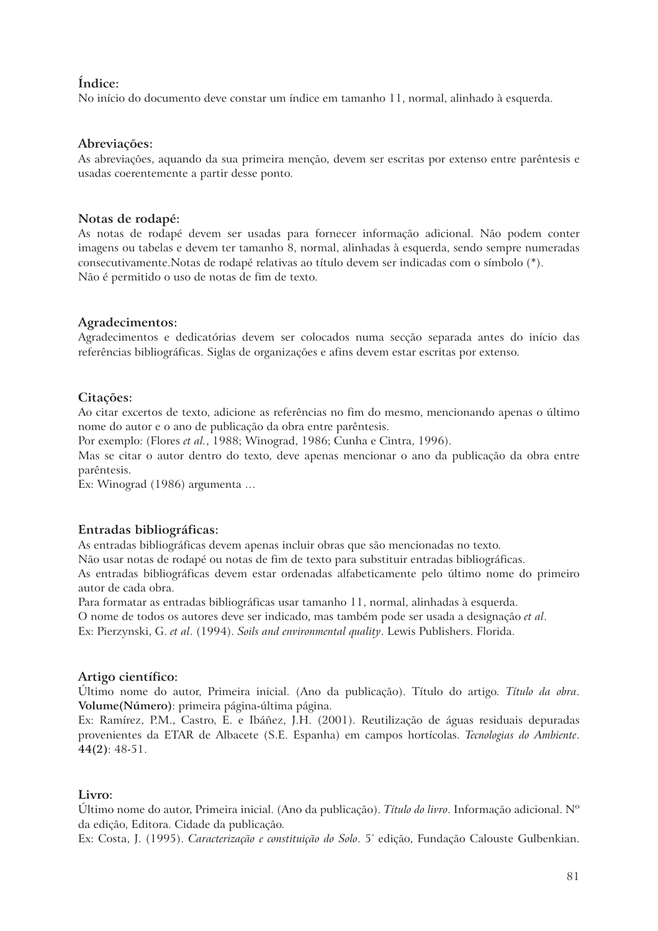# **Índice:**

No início do documento deve constar um índice em tamanho 11, normal, alinhado à esquerda.

### **Abreviações:**

As abreviações, aquando da sua primeira menção, devem ser escritas por extenso entre parêntesis e usadas coerentemente a partir desse ponto.

### **Notas de rodapé:**

As notas de rodapé devem ser usadas para fornecer informação adicional. Não podem conter imagens ou tabelas e devem ter tamanho 8, normal, alinhadas à esquerda, sendo sempre numeradas consecutivamente.Notas de rodapé relativas ao título devem ser indicadas com o símbolo (\*). Não é permitido o uso de notas de fim de texto.

### **Agradecimentos:**

Agradecimentos e dedicatórias devem ser colocados numa secção separada antes do início das referências bibliográficas. Siglas de organizações e afins devem estar escritas por extenso.

### **Citações:**

Ao citar excertos de texto, adicione as referências no fim do mesmo, mencionando apenas o último nome do autor e o ano de publicação da obra entre parêntesis.

Por exemplo: (Flores *et al.*, 1988; Winograd, 1986; Cunha e Cintra, 1996).

Mas se citar o autor dentro do texto, deve apenas mencionar o ano da publicação da obra entre parêntesis.

Ex: Winograd (1986) argumenta …

### **Entradas bibliográficas:**

As entradas bibliográficas devem apenas incluir obras que são mencionadas no texto.

Não usar notas de rodapé ou notas de fim de texto para substituir entradas bibliográficas.

As entradas bibliográficas devem estar ordenadas alfabeticamente pelo último nome do primeiro autor de cada obra.

Para formatar as entradas bibliográficas usar tamanho 11, normal, alinhadas à esquerda.

O nome de todos os autores deve ser indicado, mas também pode ser usada a designação *et al*.

Ex: Pierzynski, G. *et al*. (1994). *Soils and environmental quality*. Lewis Publishers. Florida.

#### **Artigo científico:**

Último nome do autor, Primeira inicial. (Ano da publicação). Título do artigo. *Título da obra*. **Volume(Número)**: primeira página-última página.

Ex: Ramírez, P.M., Castro, E. e Ibáñez, J.H. (2001). Reutilização de águas residuais depuradas provenientes da ETAR de Albacete (S.E. Espanha) em campos hortícolas. *Tecnologias do Ambiente*. **44(2)**: 48-51.

### **Livro:**

Último nome do autor, Primeira inicial. (Ano da publicação). *Título do livro*. Informação adicional. Nº da edição, Editora. Cidade da publicação.

Ex: Costa, J. (1995). *Caracterização e constituição do Solo*. 5<sup>ª</sup> edição, Fundação Calouste Gulbenkian.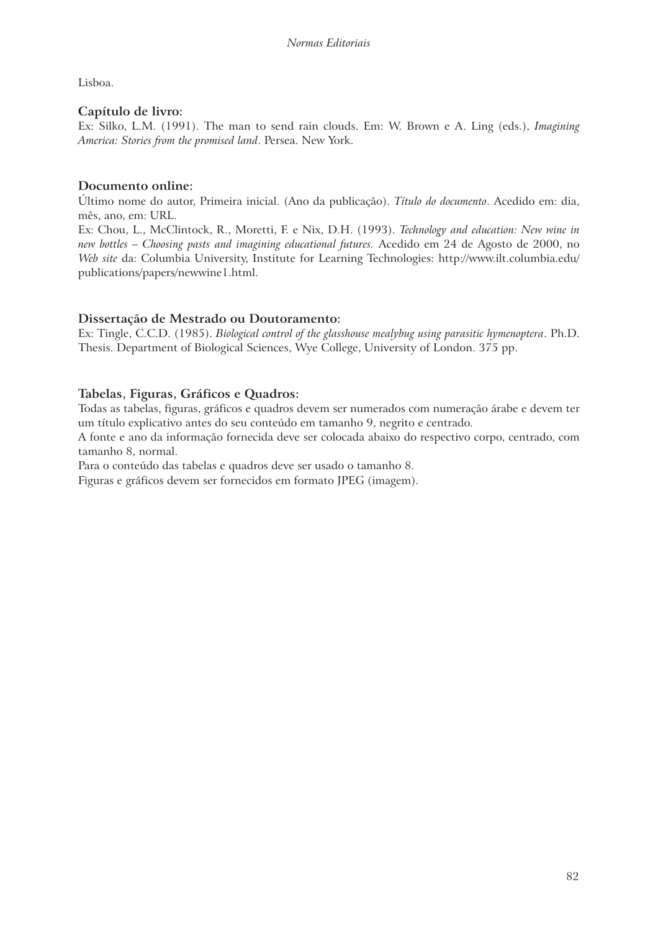Lisboa.

# **Capítulo de livro:**

Ex: Silko, L.M. (1991). The man to send rain clouds. Em: W. Brown e A. Ling (eds.), *Imagining America: Stories from the promised land*. Persea. New York.

# **Documento online:**

Último nome do autor, Primeira inicial. (Ano da publicação). *Título do documento*. Acedido em: dia, mês, ano, em: URL.

Ex: Chou, L., McClintock, R., Moretti, F. e Nix, D.H. (1993). *Technology and education: New wine in new bottles – Choosing pasts and imagining educational futures.* Acedido em 24 de Agosto de 2000, no *Web site* da: Columbia University, Institute for Learning Technologies: http://www.ilt.columbia.edu/ publications/papers/newwine1.html.

# **Dissertação de Mestrado ou Doutoramento:**

Ex: Tingle, C.C.D. (1985). *Biological control of the glasshouse mealybug using parasitic hymenoptera*. Ph.D. Thesis. Department of Biological Sciences, Wye College, University of London. 375 pp.

# **Tabelas, Figuras, Gráficos e Quadros:**

Todas as tabelas, figuras, gráficos e quadros devem ser numerados com numeração árabe e devem ter um título explicativo antes do seu conteúdo em tamanho 9, negrito e centrado.

A fonte e ano da informação fornecida deve ser colocada abaixo do respectivo corpo, centrado, com tamanho 8, normal.

Para o conteúdo das tabelas e quadros deve ser usado o tamanho 8.

Figuras e gráficos devem ser fornecidos em formato JPEG (imagem).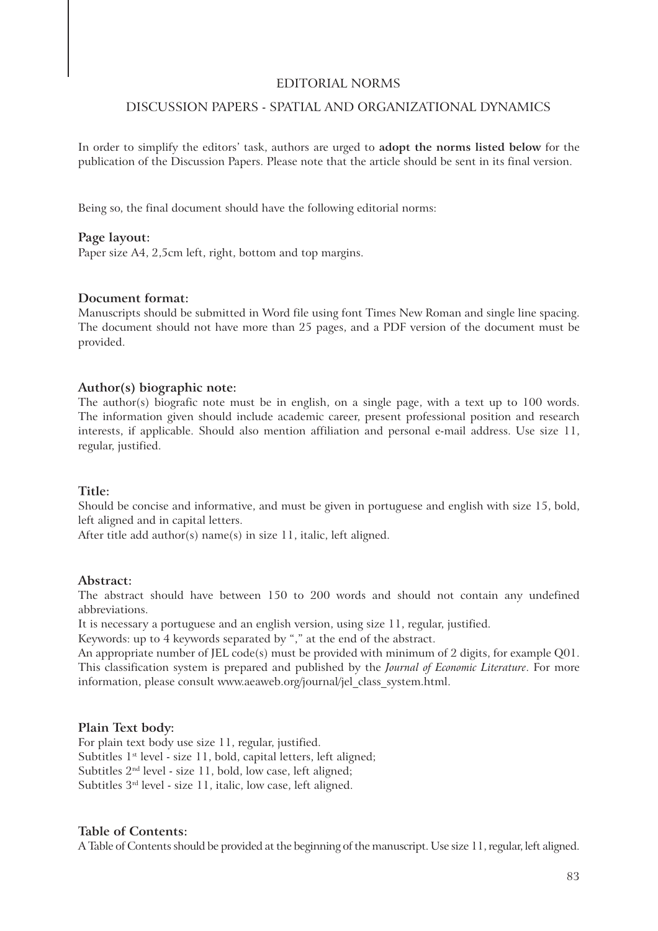#### EDITORIAL NORMS

# DISCUSSION PAPERS - SPATIAL AND ORGANIZATIONAL DYNAMICS

In order to simplify the editors' task, authors are urged to **adopt the norms listed below** for the publication of the Discussion Papers. Please note that the article should be sent in its final version.

Being so, the final document should have the following editorial norms:

#### **Page layout:**

Paper size A4, 2,5cm left, right, bottom and top margins.

#### **Document format:**

Manuscripts should be submitted in Word file using font Times New Roman and single line spacing. The document should not have more than 25 pages, and a PDF version of the document must be provided.

#### **Author(s) biographic note:**

The author(s) biografic note must be in english, on a single page, with a text up to 100 words. The information given should include academic career, present professional position and research interests, if applicable. Should also mention affiliation and personal e-mail address. Use size 11, regular, justified.

#### **Title:**

Should be concise and informative, and must be given in portuguese and english with size 15, bold, left aligned and in capital letters.

After title add author(s) name(s) in size 11, italic, left aligned.

#### **Abstract:**

The abstract should have between 150 to 200 words and should not contain any undefined abbreviations.

It is necessary a portuguese and an english version, using size 11, regular, justified.

Keywords: up to 4 keywords separated by "," at the end of the abstract.

An appropriate number of JEL code(s) must be provided with minimum of 2 digits, for example Q01. This classification system is prepared and published by the *Journal of Economic Literature*. For more information, please consult www.aeaweb.org/journal/jel\_class\_system.html.

#### **Plain Text body:**

For plain text body use size 11, regular, justified. Subtitles 1<sup>st</sup> level - size 11, bold, capital letters, left aligned; Subtitles 2nd level - size 11, bold, low case, left aligned; Subtitles 3rd level - size 11, italic, low case, left aligned.

#### **Table of Contents:**

A Table of Contents should be provided at the beginning of the manuscript. Use size 11, regular, left aligned.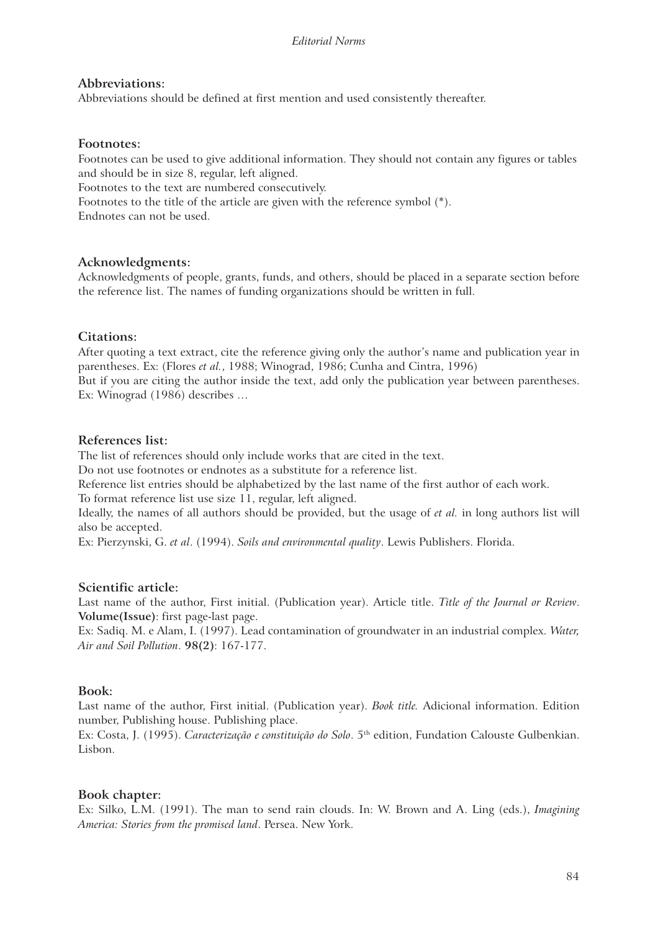### **Abbreviations:**

Abbreviations should be defined at first mention and used consistently thereafter.

### **Footnotes:**

Footnotes can be used to give additional information. They should not contain any figures or tables and should be in size 8, regular, left aligned. Footnotes to the text are numbered consecutively.

Footnotes to the title of the article are given with the reference symbol (\*).

Endnotes can not be used.

### **Acknowledgments:**

Acknowledgments of people, grants, funds, and others, should be placed in a separate section before the reference list. The names of funding organizations should be written in full.

### **Citations:**

After quoting a text extract, cite the reference giving only the author's name and publication year in parentheses. Ex: (Flores *et al.*, 1988; Winograd, 1986; Cunha and Cintra, 1996)

But if you are citing the author inside the text, add only the publication year between parentheses. Ex: Winograd (1986) describes …

### **References list:**

The list of references should only include works that are cited in the text.

Do not use footnotes or endnotes as a substitute for a reference list.

Reference list entries should be alphabetized by the last name of the first author of each work. To format reference list use size 11, regular, left aligned.

Ideally, the names of all authors should be provided, but the usage of *et al.* in long authors list will also be accepted.

Ex: Pierzynski, G. *et al*. (1994). *Soils and environmental quality*. Lewis Publishers. Florida.

### **Scientific article:**

Last name of the author, First initial. (Publication year). Article title. *Title of the Journal or Review*. **Volume(Issue)**: first page-last page.

Ex: Sadiq. M. e Alam, I. (1997). Lead contamination of groundwater in an industrial complex. *Water, Air and Soil Pollution*. **98(2)**: 167-177.

### **Book:**

Last name of the author, First initial. (Publication year). *Book title.* Adicional information. Edition number, Publishing house. Publishing place.

Ex: Costa, J. (1995). *Caracterização e constituição do Solo*. 5th edition, Fundation Calouste Gulbenkian. Lisbon.

### **Book chapter:**

Ex: Silko, L.M. (1991). The man to send rain clouds. In: W. Brown and A. Ling (eds.), *Imagining America: Stories from the promised land*. Persea. New York.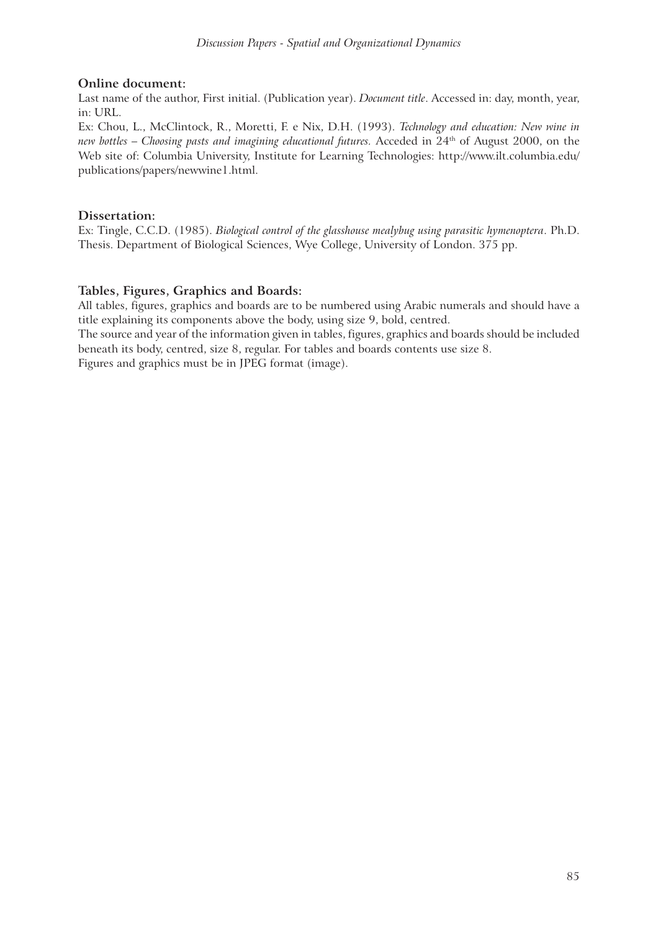## **Online document:**

Last name of the author, First initial. (Publication year). *Document title*. Accessed in: day, month, year, in: URL.

Ex: Chou, L., McClintock, R., Moretti, F. e Nix, D.H. (1993). *Technology and education: New wine in new bottles – Choosing pasts and imagining educational futures.* Acceded in 24th of August 2000, on the Web site of: Columbia University, Institute for Learning Technologies: http://www.ilt.columbia.edu/ publications/papers/newwine1.html.

# **Dissertation:**

Ex: Tingle, C.C.D. (1985). *Biological control of the glasshouse mealybug using parasitic hymenoptera*. Ph.D. Thesis. Department of Biological Sciences, Wye College, University of London. 375 pp.

# **Tables, Figures, Graphics and Boards:**

All tables, figures, graphics and boards are to be numbered using Arabic numerals and should have a title explaining its components above the body, using size 9, bold, centred.

The source and year of the information given in tables, figures, graphics and boards should be included beneath its body, centred, size 8, regular. For tables and boards contents use size 8.

Figures and graphics must be in JPEG format (image).